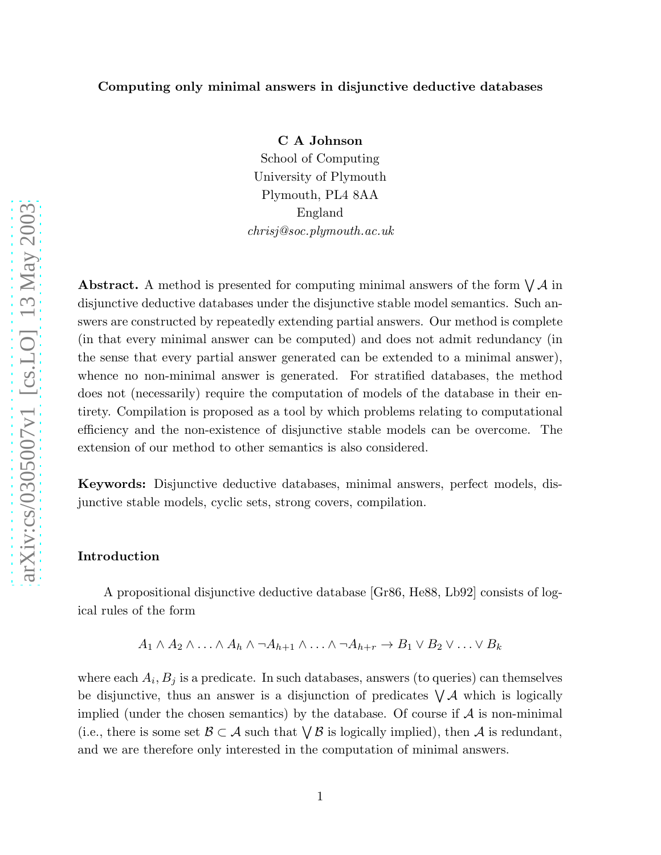### Computing only minimal answers in disjunctive deductive databases

C A Johnson

School of Computing University of Plymouth Plymouth, PL4 8AA England chrisj@soc.plymouth.ac.uk

Abstract. A method is presented for computing minimal answers of the form  $\bigvee \mathcal{A}$  in disjunctive deductive databases under the disjunctive stable model semantics. Such answers are constructed by repeatedly extending partial answers. Our method is complete (in that every minimal answer can be computed) and does not admit redundancy (in the sense that every partial answer generated can be extended to a minimal answer), whence no non-minimal answer is generated. For stratified databases, the method does not (necessarily) require the computation of models of the database in their entirety. Compilation is proposed as a tool by which problems relating to computational efficiency and the non-existence of disjunctive stable models can be overcome. The extension of our method to other semantics is also considered.

Keywords: Disjunctive deductive databases, minimal answers, perfect models, disjunctive stable models, cyclic sets, strong covers, compilation.

### Introduction

A propositional disjunctive deductive database [Gr86, He88, Lb92] consists of logical rules of the form

$$
A_1 \wedge A_2 \wedge \ldots \wedge A_h \wedge \neg A_{h+1} \wedge \ldots \wedge \neg A_{h+r} \rightarrow B_1 \vee B_2 \vee \ldots \vee B_k
$$

where each  $A_i, B_j$  is a predicate. In such databases, answers (to queries) can themselves be disjunctive, thus an answer is a disjunction of predicates  $\bigvee \mathcal{A}$  which is logically implied (under the chosen semantics) by the database. Of course if  $A$  is non-minimal (i.e., there is some set  $\mathcal{B} \subset \mathcal{A}$  such that  $\bigvee \mathcal{B}$  is logically implied), then  $\mathcal{A}$  is redundant, and we are therefore only interested in the computation of minimal answers.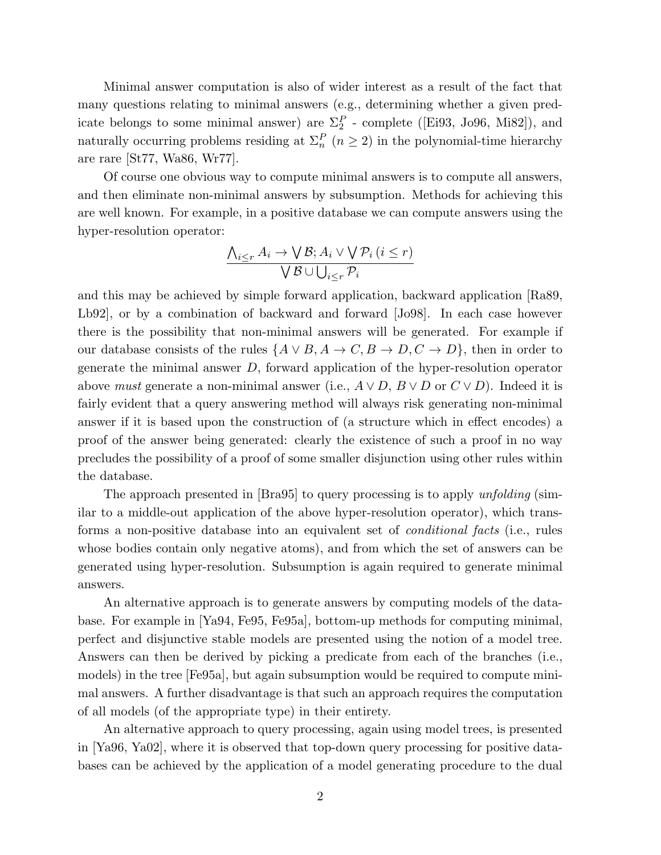Minimal answer computation is also of wider interest as a result of the fact that many questions relating to minimal answers (e.g., determining whether a given predicate belongs to some minimal answer) are  $\Sigma_2^P$  - complete ([Ei93, Jo96, Mi82]), and naturally occurring problems residing at  $\Sigma_n^P$   $(n \geq 2)$  in the polynomial-time hierarchy are rare [St77, Wa86, Wr77].

Of course one obvious way to compute minimal answers is to compute all answers, and then eliminate non-minimal answers by subsumption. Methods for achieving this are well known. For example, in a positive database we can compute answers using the hyper-resolution operator:

$$
\frac{\bigwedge_{i\leq r}A_i \to \bigvee \mathcal{B}; A_i \vee \bigvee \mathcal{P}_i \ (i\leq r)}{\bigvee \mathcal{B} \cup \bigcup_{i\leq r} \mathcal{P}_i}
$$

and this may be achieved by simple forward application, backward application [Ra89, Lb92], or by a combination of backward and forward [Jo98]. In each case however there is the possibility that non-minimal answers will be generated. For example if our database consists of the rules  $\{A \lor B, A \to C, B \to D, C \to D\}$ , then in order to generate the minimal answer  $D$ , forward application of the hyper-resolution operator above must generate a non-minimal answer (i.e.,  $A \vee D$ ,  $B \vee D$  or  $C \vee D$ ). Indeed it is fairly evident that a query answering method will always risk generating non-minimal answer if it is based upon the construction of (a structure which in effect encodes) a proof of the answer being generated: clearly the existence of such a proof in no way precludes the possibility of a proof of some smaller disjunction using other rules within the database.

The approach presented in [Bra95] to query processing is to apply *unfolding* (similar to a middle-out application of the above hyper-resolution operator), which transforms a non-positive database into an equivalent set of conditional facts (i.e., rules whose bodies contain only negative atoms), and from which the set of answers can be generated using hyper-resolution. Subsumption is again required to generate minimal answers.

An alternative approach is to generate answers by computing models of the database. For example in [Ya94, Fe95, Fe95a], bottom-up methods for computing minimal, perfect and disjunctive stable models are presented using the notion of a model tree. Answers can then be derived by picking a predicate from each of the branches (i.e., models) in the tree [Fe95a], but again subsumption would be required to compute minimal answers. A further disadvantage is that such an approach requires the computation of all models (of the appropriate type) in their entirety.

An alternative approach to query processing, again using model trees, is presented in [Ya96, Ya02], where it is observed that top-down query processing for positive databases can be achieved by the application of a model generating procedure to the dual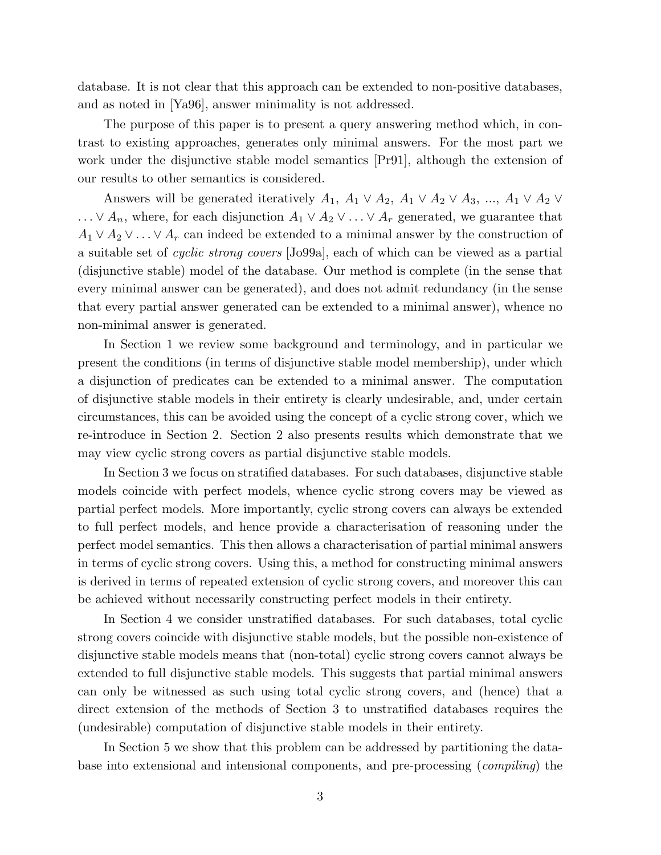database. It is not clear that this approach can be extended to non-positive databases, and as noted in [Ya96], answer minimality is not addressed.

The purpose of this paper is to present a query answering method which, in contrast to existing approaches, generates only minimal answers. For the most part we work under the disjunctive stable model semantics [Pr91], although the extension of our results to other semantics is considered.

Answers will be generated iteratively  $A_1, A_1 \vee A_2, A_1 \vee A_2 \vee A_3, ..., A_1 \vee A_2 \vee A_3$  $\ldots \vee A_n$ , where, for each disjunction  $A_1 \vee A_2 \vee \ldots \vee A_r$  generated, we guarantee that  $A_1 \vee A_2 \vee \ldots \vee A_r$  can indeed be extended to a minimal answer by the construction of a suitable set of cyclic strong covers [Jo99a], each of which can be viewed as a partial (disjunctive stable) model of the database. Our method is complete (in the sense that every minimal answer can be generated), and does not admit redundancy (in the sense that every partial answer generated can be extended to a minimal answer), whence no non-minimal answer is generated.

In Section 1 we review some background and terminology, and in particular we present the conditions (in terms of disjunctive stable model membership), under which a disjunction of predicates can be extended to a minimal answer. The computation of disjunctive stable models in their entirety is clearly undesirable, and, under certain circumstances, this can be avoided using the concept of a cyclic strong cover, which we re-introduce in Section 2. Section 2 also presents results which demonstrate that we may view cyclic strong covers as partial disjunctive stable models.

In Section 3 we focus on stratified databases. For such databases, disjunctive stable models coincide with perfect models, whence cyclic strong covers may be viewed as partial perfect models. More importantly, cyclic strong covers can always be extended to full perfect models, and hence provide a characterisation of reasoning under the perfect model semantics. This then allows a characterisation of partial minimal answers in terms of cyclic strong covers. Using this, a method for constructing minimal answers is derived in terms of repeated extension of cyclic strong covers, and moreover this can be achieved without necessarily constructing perfect models in their entirety.

In Section 4 we consider unstratified databases. For such databases, total cyclic strong covers coincide with disjunctive stable models, but the possible non-existence of disjunctive stable models means that (non-total) cyclic strong covers cannot always be extended to full disjunctive stable models. This suggests that partial minimal answers can only be witnessed as such using total cyclic strong covers, and (hence) that a direct extension of the methods of Section 3 to unstratified databases requires the (undesirable) computation of disjunctive stable models in their entirety.

In Section 5 we show that this problem can be addressed by partitioning the database into extensional and intensional components, and pre-processing (compiling) the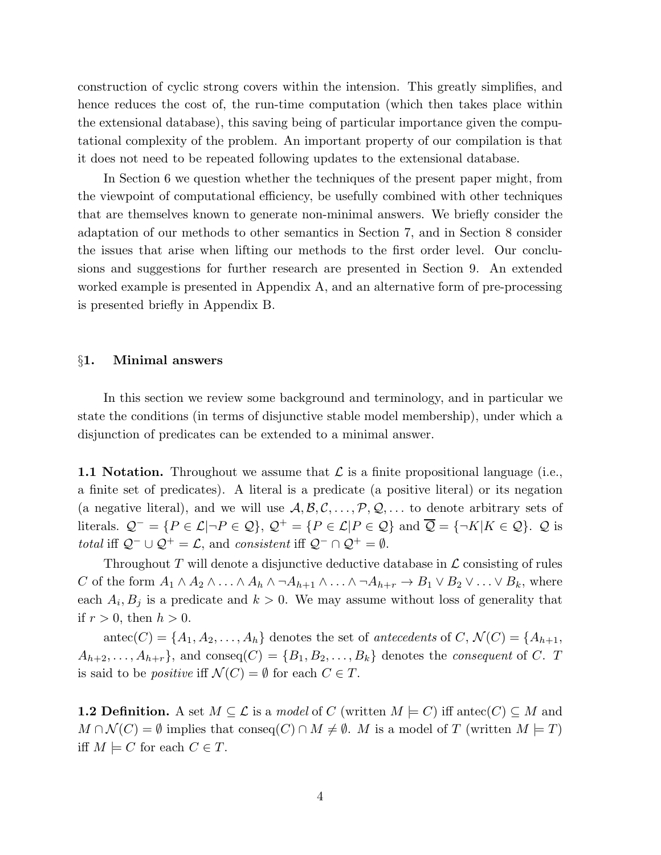construction of cyclic strong covers within the intension. This greatly simplifies, and hence reduces the cost of, the run-time computation (which then takes place within the extensional database), this saving being of particular importance given the computational complexity of the problem. An important property of our compilation is that it does not need to be repeated following updates to the extensional database.

In Section 6 we question whether the techniques of the present paper might, from the viewpoint of computational efficiency, be usefully combined with other techniques that are themselves known to generate non-minimal answers. We briefly consider the adaptation of our methods to other semantics in Section 7, and in Section 8 consider the issues that arise when lifting our methods to the first order level. Our conclusions and suggestions for further research are presented in Section 9. An extended worked example is presented in Appendix A, and an alternative form of pre-processing is presented briefly in Appendix B.

### §1. Minimal answers

In this section we review some background and terminology, and in particular we state the conditions (in terms of disjunctive stable model membership), under which a disjunction of predicates can be extended to a minimal answer.

**1.1 Notation.** Throughout we assume that  $\mathcal{L}$  is a finite propositional language (i.e., a finite set of predicates). A literal is a predicate (a positive literal) or its negation (a negative literal), and we will use  $A, B, C, \ldots, P, Q, \ldots$  to denote arbitrary sets of literals.  $\mathcal{Q}^- = \{P \in \mathcal{L} | \neg P \in \mathcal{Q}\}, \mathcal{Q}^+ = \{P \in \mathcal{L} | P \in \mathcal{Q}\}$  and  $\overline{\mathcal{Q}} = \{\neg K | K \in \mathcal{Q}\}.$   $\mathcal{Q}$  is total iff  $\mathcal{Q}^- \cup \mathcal{Q}^+ = \mathcal{L}$ , and consistent iff  $\mathcal{Q}^- \cap \mathcal{Q}^+ = \emptyset$ .

Throughout T will denote a disjunctive deductive database in  $\mathcal L$  consisting of rules C of the form  $A_1 \wedge A_2 \wedge \ldots \wedge A_h \wedge \neg A_{h+1} \wedge \ldots \wedge \neg A_{h+r} \rightarrow B_1 \vee B_2 \vee \ldots \vee B_k$ , where each  $A_i, B_j$  is a predicate and  $k > 0$ . We may assume without loss of generality that if  $r > 0$ , then  $h > 0$ .

antec(C) = { $A_1, A_2, \ldots, A_h$ } denotes the set of antecedents of C,  $\mathcal{N}(C) = \{A_{h+1}, A_{h+1}, A_{h}\}$  $A_{h+2}, \ldots, A_{h+r}$ , and conseq(C) = { $B_1, B_2, \ldots, B_k$ } denotes the *consequent* of C. T is said to be *positive* if  $\mathcal{N}(C) = \emptyset$  for each  $C \in T$ .

**1.2 Definition.** A set  $M \subseteq \mathcal{L}$  is a model of C (written  $M \models C$ ) iff antec(C)  $\subseteq M$  and  $M \cap \mathcal{N}(C) = \emptyset$  implies that conseq $(C) \cap M \neq \emptyset$ . M is a model of T (written  $M \models T$ ) iff  $M \models C$  for each  $C \in T$ .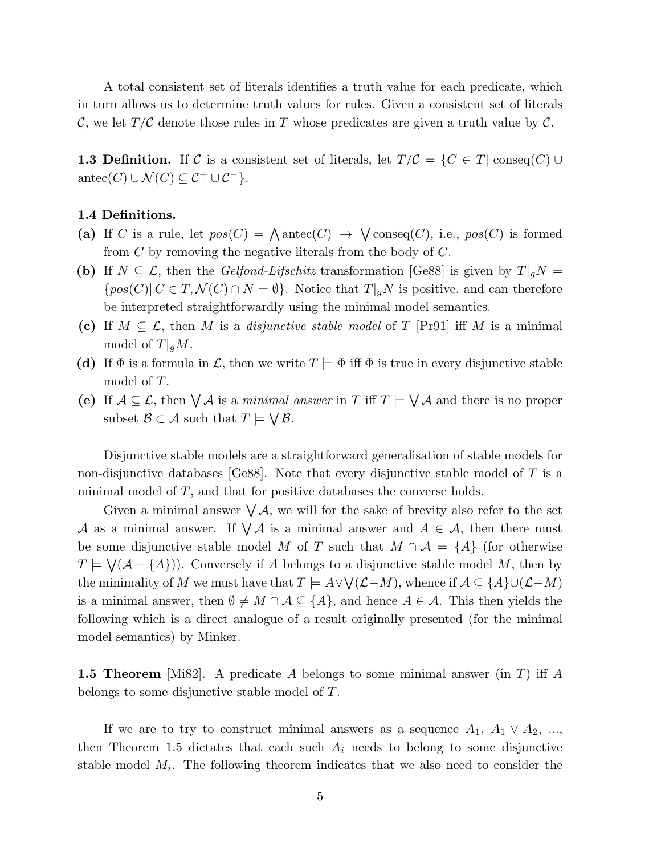A total consistent set of literals identifies a truth value for each predicate, which in turn allows us to determine truth values for rules. Given a consistent set of literals C, we let  $T/\mathcal{C}$  denote those rules in T whose predicates are given a truth value by  $\mathcal{C}$ .

**1.3 Definition.** If C is a consistent set of literals, let  $T/\mathcal{C} = \{C \in T | \text{conseq}(C) \cup \mathcal{C} \}$ antec(C)  $\cup \mathcal{N}(C) \subseteq \mathcal{C}^+ \cup \mathcal{C}^-$ .

#### 1.4 Definitions.

- (a) If C is a rule, let  $pos(C) = \bigwedge \text{antec}(C) \rightarrow \bigvee \text{conseq}(C)$ , i.e.,  $pos(C)$  is formed from C by removing the negative literals from the body of C.
- (b) If  $N \subseteq \mathcal{L}$ , then the Gelfond-Lifschitz transformation [Ge88] is given by  $T|_gN =$  ${pos(C)| C \in T, \mathcal{N}(C) \cap N = \emptyset}.$  Notice that  $T|_gN$  is positive, and can therefore be interpreted straightforwardly using the minimal model semantics.
- (c) If  $M \subseteq \mathcal{L}$ , then M is a *disjunctive stable model* of T [Pr91] iff M is a minimal model of  $T|_gM$ .
- (d) If  $\Phi$  is a formula in  $\mathcal{L}$ , then we write  $T \models \Phi$  iff  $\Phi$  is true in every disjunctive stable model of T.
- (e) If  $A \subseteq \mathcal{L}$ , then  $\bigvee A$  is a *minimal answer* in T iff  $T \models \bigvee A$  and there is no proper subset  $\mathcal{B} \subset \mathcal{A}$  such that  $T \models \bigvee \mathcal{B}$ .

Disjunctive stable models are a straightforward generalisation of stable models for non-disjunctive databases [Ge88]. Note that every disjunctive stable model of T is a minimal model of  $T$ , and that for positive databases the converse holds.

Given a minimal answer  $\bigvee \mathcal{A}$ , we will for the sake of brevity also refer to the set A as a minimal answer. If  $\bigvee A$  is a minimal answer and  $A \in \mathcal{A}$ , then there must be some disjunctive stable model M of T such that  $M \cap A = \{A\}$  (for otherwise  $T \models \bigvee_{\{A\}} (\mathcal{A} - \{A\})$ . Conversely if A belongs to a disjunctive stable model M, then by the minimality of M we must have that  $T \models A \lor \bigvee (\mathcal{L} - M)$ , whence if  $\mathcal{A} \subseteq \{A\} \cup (\mathcal{L} - M)$ is a minimal answer, then  $\emptyset \neq M \cap A \subseteq \{A\}$ , and hence  $A \in \mathcal{A}$ . This then yields the following which is a direct analogue of a result originally presented (for the minimal model semantics) by Minker.

**1.5 Theorem**  $[M82]$ . A predicate A belongs to some minimal answer (in T) iff A belongs to some disjunctive stable model of T.

If we are to try to construct minimal answers as a sequence  $A_1, A_1 \vee A_2, ...,$ then Theorem 1.5 dictates that each such  $A_i$  needs to belong to some disjunctive stable model  $M_i$ . The following theorem indicates that we also need to consider the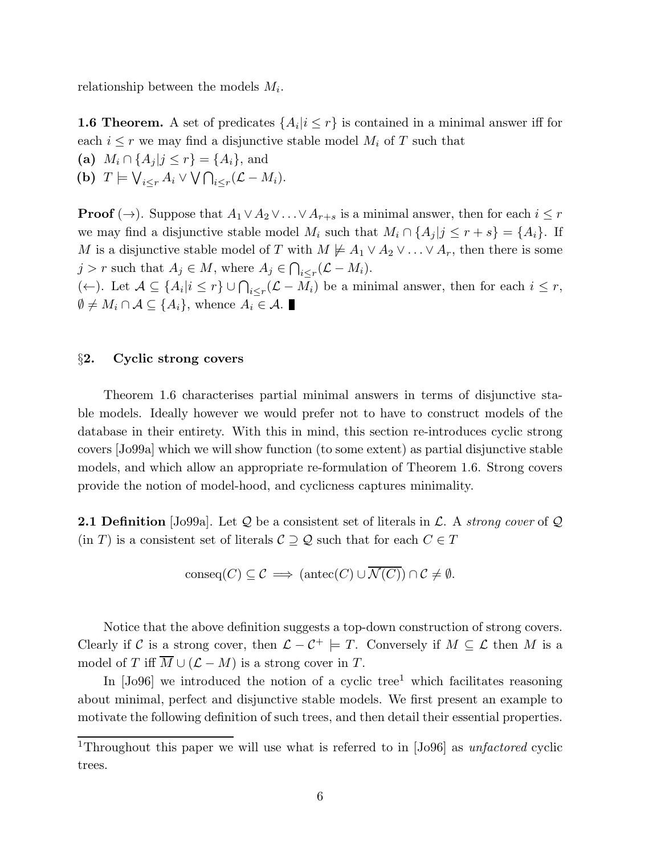relationship between the models  $M_i$ .

**1.6 Theorem.** A set of predicates  $\{A_i | i \leq r\}$  is contained in a minimal answer iff for each  $i \leq r$  we may find a disjunctive stable model  $M_i$  of T such that

- (a)  $M_i \cap \{A_j | j \leq r\} = \{A_i\}$ , and
- (b)  $T \models \bigvee_{i \leq r} A_i \vee \bigvee \bigcap_{i \leq r} (\mathcal{L} M_i).$

**Proof** (→). Suppose that  $A_1 \vee A_2 \vee \ldots \vee A_{r+s}$  is a minimal answer, then for each  $i \leq r$ we may find a disjunctive stable model  $M_i$  such that  $M_i \cap \{A_j | j \leq r + s\} = \{A_i\}.$  If M is a disjunctive stable model of T with  $M \not\models A_1 \vee A_2 \vee \ldots \vee A_r$ , then there is some  $j > r$  such that  $A_j \in M$ , where  $A_j \in \bigcap_{i \leq r} (\mathcal{L} - M_i)$ .

(←). Let  $\mathcal{A} \subseteq \{A_i | i \leq r\} \cup \bigcap_{i \leq r} (\mathcal{L} - M_i)$  be a minimal answer, then for each  $i \leq r$ ,  $\emptyset \neq M_i \cap A \subseteq \{A_i\}$ , whence  $A_i \in \mathcal{A}$ .

# §2. Cyclic strong covers

Theorem 1.6 characterises partial minimal answers in terms of disjunctive stable models. Ideally however we would prefer not to have to construct models of the database in their entirety. With this in mind, this section re-introduces cyclic strong covers [Jo99a] which we will show function (to some extent) as partial disjunctive stable models, and which allow an appropriate re-formulation of Theorem 1.6. Strong covers provide the notion of model-hood, and cyclicness captures minimality.

**2.1 Definition** [Jo99a]. Let Q be a consistent set of literals in  $\mathcal{L}$ . A *strong cover* of Q (in T) is a consistent set of literals  $C \supseteq Q$  such that for each  $C \in T$ 

$$
conseq(C) \subseteq \mathcal{C} \implies (antec(C) \cup \overline{\mathcal{N}(C)}) \cap \mathcal{C} \neq \emptyset.
$$

Notice that the above definition suggests a top-down construction of strong covers. Clearly if C is a strong cover, then  $\mathcal{L} - \mathcal{C}^+ \models T$ . Conversely if  $M \subseteq \mathcal{L}$  then M is a model of T iff  $\overline{M} \cup (\mathcal{L} - M)$  is a strong cover in T.

In  $[Jo96]$  we introduced the notion of a cyclic tree<sup>1</sup> which facilitates reasoning about minimal, perfect and disjunctive stable models. We first present an example to motivate the following definition of such trees, and then detail their essential properties.

<sup>&</sup>lt;sup>1</sup>Throughout this paper we will use what is referred to in [Jo96] as *unfactored* cyclic trees.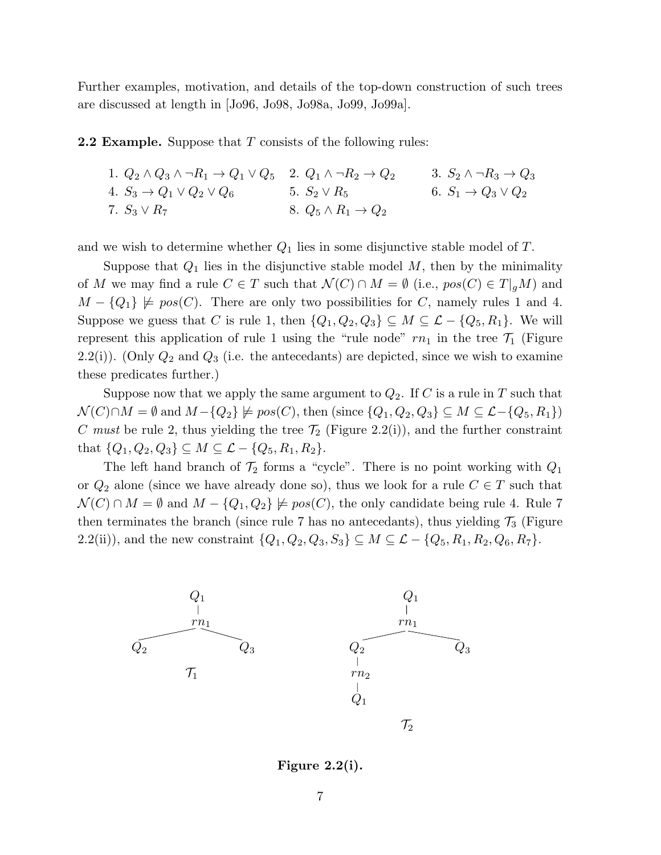Further examples, motivation, and details of the top-down construction of such trees are discussed at length in [Jo96, Jo98, Jo98a, Jo99, Jo99a].

**2.2 Example.** Suppose that  $T$  consists of the following rules:

1. 
$$
Q_2 \wedge Q_3 \wedge \neg R_1 \rightarrow Q_1 \vee Q_5
$$
  
\n2.  $Q_1 \wedge \neg R_2 \rightarrow Q_2$   
\n3.  $S_2 \wedge \neg R_3 \rightarrow Q_3$   
\n4.  $S_3 \rightarrow Q_1 \vee Q_2 \vee Q_6$   
\n5.  $S_2 \vee R_5$   
\n6.  $S_1 \rightarrow Q_3 \vee Q_2$   
\n7.  $S_3 \vee R_7$   
\n8.  $Q_5 \wedge R_1 \rightarrow Q_2$ 

and we wish to determine whether  $Q_1$  lies in some disjunctive stable model of T.

Suppose that  $Q_1$  lies in the disjunctive stable model  $M$ , then by the minimality of M we may find a rule  $C \in T$  such that  $\mathcal{N}(C) \cap M = \emptyset$  (i.e.,  $pos(C) \in T|_qM$ ) and  $M - \{Q_1\} \not\models pos(C)$ . There are only two possibilities for C, namely rules 1 and 4. Suppose we guess that C is rule 1, then  $\{Q_1, Q_2, Q_3\} \subseteq M \subseteq \mathcal{L} - \{Q_5, R_1\}$ . We will represent this application of rule 1 using the "rule node"  $rn_1$  in the tree  $\mathcal{T}_1$  (Figure 2.2(i)). (Only  $Q_2$  and  $Q_3$  (i.e. the antecedants) are depicted, since we wish to examine these predicates further.)

Suppose now that we apply the same argument to  $Q_2$ . If C is a rule in T such that  $\mathcal{N}(C)\cap M = \emptyset$  and  $M-\{Q_2\} \not\models pos(C)$ , then (since  $\{Q_1, Q_2, Q_3\} \subseteq M \subseteq \mathcal{L}-\{Q_5, R_1\}$ ) C must be rule 2, thus yielding the tree  $\mathcal{T}_2$  (Figure 2.2(i)), and the further constraint that  $\{Q_1, Q_2, Q_3\} \subseteq M \subseteq \mathcal{L} - \{Q_5, R_1, R_2\}.$ 

The left hand branch of  $\mathcal{T}_2$  forms a "cycle". There is no point working with  $Q_1$ or  $Q_2$  alone (since we have already done so), thus we look for a rule  $C \in T$  such that  $\mathcal{N}(C) \cap M = \emptyset$  and  $M - \{Q_1, Q_2\} \not\models pos(C)$ , the only candidate being rule 4. Rule 7 then terminates the branch (since rule 7 has no antecedants), thus yielding  $\mathcal{T}_3$  (Figure 2.2(ii)), and the new constraint  $\{Q_1, Q_2, Q_3, S_3\} \subseteq M \subseteq \mathcal{L} - \{Q_5, R_1, R_2, Q_6, R_7\}.$ 



Figure 2.2(i).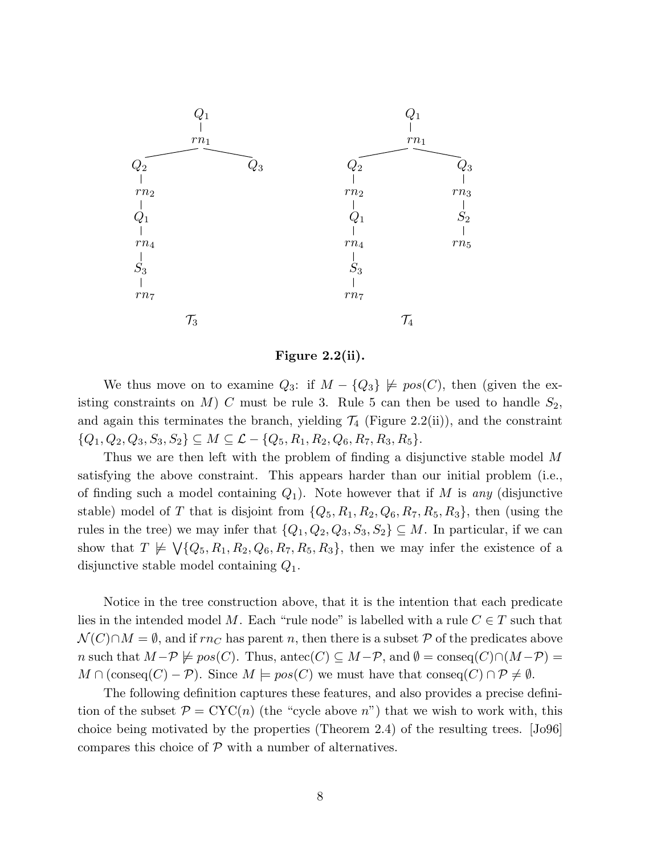

Figure 2.2(ii).

We thus move on to examine  $Q_3$ : if  $M - \{Q_3\} \not\models pos(C)$ , then (given the existing constraints on  $M$ ) C must be rule 3. Rule 5 can then be used to handle  $S_2$ , and again this terminates the branch, yielding  $\mathcal{T}_4$  (Figure 2.2(ii)), and the constraint  $\{Q_1, Q_2, Q_3, S_3, S_2\} \subseteq M \subseteq \mathcal{L} - \{Q_5, R_1, R_2, Q_6, R_7, R_3, R_5\}.$ 

Thus we are then left with the problem of finding a disjunctive stable model M satisfying the above constraint. This appears harder than our initial problem (i.e., of finding such a model containing  $Q_1$ ). Note however that if M is any (disjunctive stable) model of T that is disjoint from  $\{Q_5, R_1, R_2, Q_6, R_7, R_5, R_3\}$ , then (using the rules in the tree) we may infer that  $\{Q_1, Q_2, Q_3, S_3, S_2\} \subseteq M$ . In particular, if we can show that  $T \not\models \bigvee \{Q_5, R_1, R_2, Q_6, R_7, R_5, R_3\}$ , then we may infer the existence of a disjunctive stable model containing Q1.

Notice in the tree construction above, that it is the intention that each predicate lies in the intended model M. Each "rule node" is labelled with a rule  $C \in T$  such that  $\mathcal{N}(C) \cap M = \emptyset$ , and if  $rn_C$  has parent n, then there is a subset P of the predicates above n such that  $M-\mathcal{P} \not\models pos(C)$ . Thus, antec $(C) \subseteq M-\mathcal{P}$ , and  $\emptyset = \text{conseq}(C) \cap (M-\mathcal{P}) =$  $M \cap (\text{conseq}(C) - P)$ . Since  $M \models pos(C)$  we must have that  $\text{conseq}(C) \cap P \neq \emptyset$ .

The following definition captures these features, and also provides a precise definition of the subset  $\mathcal{P} = \text{CYC}(n)$  (the "cycle above n") that we wish to work with, this choice being motivated by the properties (Theorem 2.4) of the resulting trees. [Jo96] compares this choice of  $P$  with a number of alternatives.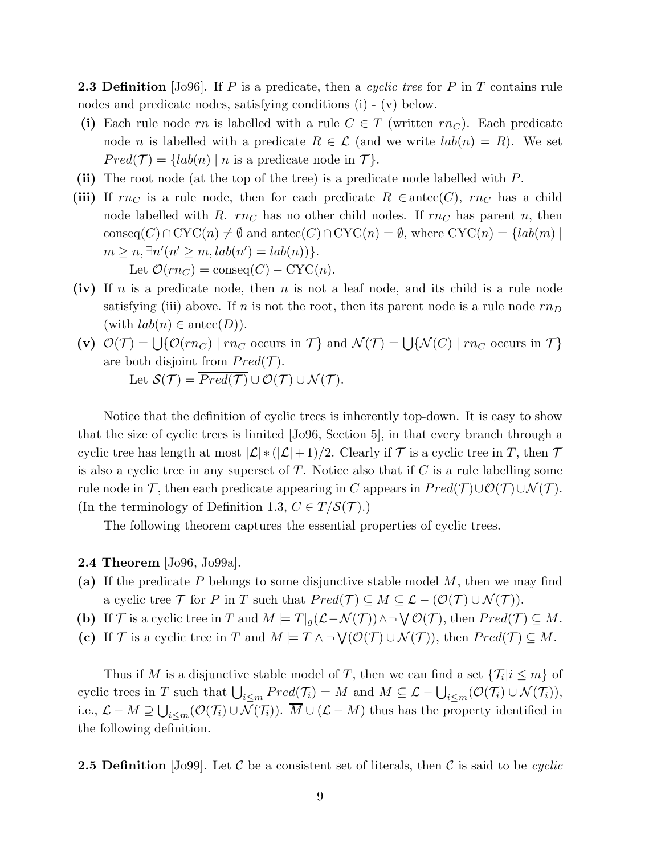**2.3 Definition** [Jo96]. If P is a predicate, then a cyclic tree for P in T contains rule nodes and predicate nodes, satisfying conditions (i) - (v) below.

- (i) Each rule node rn is labelled with a rule  $C \in T$  (written rn<sub>C</sub>). Each predicate node n is labelled with a predicate  $R \in \mathcal{L}$  (and we write  $lab(n) = R$ ). We set  $Pred(\mathcal{T}) = \{ lab(n) | n \text{ is a predicate node in } \mathcal{T} \}.$
- (ii) The root node (at the top of the tree) is a predicate node labelled with P.
- (iii) If  $rn_{C}$  is a rule node, then for each predicate  $R \in \text{antec}(C)$ ,  $rn_{C}$  has a child node labelled with R.  $rn_{\text{C}}$  has no other child nodes. If  $rn_{\text{C}}$  has parent n, then conseq(C)∩ CYC(n)  $\neq \emptyset$  and antec(C)∩ CYC(n) =  $\emptyset$ , where CYC(n) = {lab(m) |  $m \geq n, \exists n' (n' \geq m, lab(n') = lab(n))\}.$ Let  $\mathcal{O}(rn_C) = \text{conseq}(C) - \text{CYC}(n)$ .
- (iv) If n is a predicate node, then n is not a leaf node, and its child is a rule node satisfying (iii) above. If n is not the root, then its parent node is a rule node  $rn<sub>D</sub>$  $(\text{with } lab(n) \in \text{antec}(D)).$
- (v)  $\mathcal{O}(\mathcal{T}) = \bigcup \{ \mathcal{O}(rn_C) \mid rn_C \text{ occurs in } \mathcal{T} \}$  and  $\mathcal{N}(\mathcal{T}) = \bigcup \{ \mathcal{N}(C) \mid rn_C \text{ occurs in } \mathcal{T} \}$ are both disjoint from  $Pred(\mathcal{T})$ . Let  $\mathcal{S}(\mathcal{T}) = \overline{Pred(\mathcal{T})} \cup \mathcal{O}(\mathcal{T}) \cup \mathcal{N}(\mathcal{T}).$

Notice that the definition of cyclic trees is inherently top-down. It is easy to show that the size of cyclic trees is limited [Jo96, Section 5], in that every branch through a cyclic tree has length at most  $|\mathcal{L}| * (|\mathcal{L}| + 1)/2$ . Clearly if  $\mathcal T$  is a cyclic tree in T, then  $\mathcal T$ is also a cyclic tree in any superset of  $T$ . Notice also that if  $C$  is a rule labelling some rule node in T, then each predicate appearing in C appears in  $Pred(\mathcal{T}) \cup \mathcal{O}(\mathcal{T}) \cup \mathcal{N}(\mathcal{T})$ . (In the terminology of Definition 1.3,  $C \in T/\mathcal{S}(\mathcal{T})$ .)

The following theorem captures the essential properties of cyclic trees.

### 2.4 Theorem [Jo96, Jo99a].

- (a) If the predicate P belongs to some disjunctive stable model  $M$ , then we may find a cyclic tree T for P in T such that  $Pred(\mathcal{T}) \subseteq M \subseteq \mathcal{L} - (O(\mathcal{T}) \cup \mathcal{N}(\mathcal{T})).$
- (b) If T is a cyclic tree in T and  $M \models T|_g(\mathcal{L} \mathcal{N}(\mathcal{T})) \wedge \neg \bigvee \mathcal{O}(\mathcal{T})$ , then  $Pred(\mathcal{T}) \subseteq M$ .
- (c) If T is a cyclic tree in T and  $M \models T \land \neg \bigvee (\mathcal{O}(\mathcal{T}) \cup \mathcal{N}(\mathcal{T}))$ , then  $Pred(\mathcal{T}) \subseteq M$ .

Thus if M is a disjunctive stable model of T, then we can find a set  $\{\mathcal{T}_i | i \leq m\}$  of cyclic trees in T such that  $\bigcup_{i\leq m} Pred(\mathcal{T}_i) = M$  and  $M \subseteq \mathcal{L} - \bigcup_{i\leq m} (\mathcal{O}(\mathcal{T}_i) \cup \mathcal{N}(\mathcal{T}_i)),$ i.e.,  $\mathcal{L} - M \supseteq \bigcup_{i \leq m} (\mathcal{O}(\mathcal{T}_i) \cup \mathcal{N}(\mathcal{T}_i))$ .  $M \cup (\mathcal{L} - M)$  thus has the property identified in the following definition.

**2.5 Definition** [Jo99]. Let C be a consistent set of literals, then C is said to be cyclic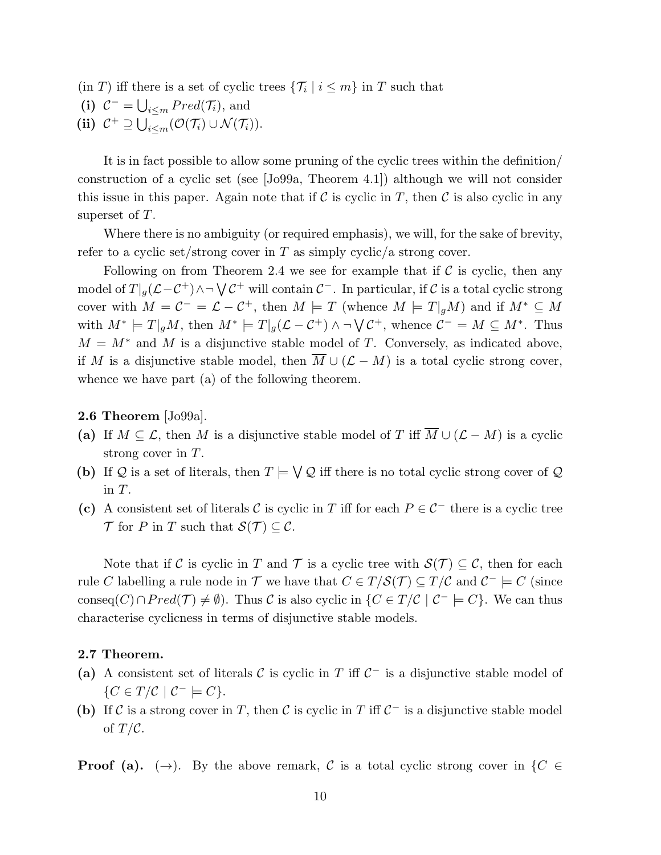$(in T)$  iff there is a set of cyclic trees  $\{\mathcal{T}_i \mid i \leq m\}$  in T such that (i)  $C^{-} = \bigcup_{i \leq m} Pred(\mathcal{T}_i)$ , and (ii)  $C^+ \supseteq \bigcup_{i \leq m} (\mathcal{O}(\mathcal{T}_i) \cup \mathcal{N}(\mathcal{T}_i)).$ 

It is in fact possible to allow some pruning of the cyclic trees within the definition/ construction of a cyclic set (see [Jo99a, Theorem 4.1]) although we will not consider this issue in this paper. Again note that if  $\mathcal C$  is cyclic in  $T$ , then  $\mathcal C$  is also cyclic in any superset of T.

Where there is no ambiguity (or required emphasis), we will, for the sake of brevity, refer to a cyclic set/strong cover in T as simply cyclic/a strong cover.

Following on from Theorem 2.4 we see for example that if  $\mathcal C$  is cyclic, then any model of  $T|_g(\mathcal{L}-\mathcal{C}^+) \wedge \neg \bigvee \mathcal{C}^+$  will contain  $\mathcal{C}^-$ . In particular, if  $\mathcal{C}$  is a total cyclic strong cover with  $M = C^{-} = \mathcal{L} - C^{+}$ , then  $M \models T$  (whence  $M \models T|_{g}M$ ) and if  $M^* \subseteq M$ with  $M^* \models T|_gM$ , then  $M^* \models T|_g(\mathcal{L} - \mathcal{C}^+) \land \neg \bigvee \mathcal{C}^+$ , whence  $\mathcal{C}^- = M \subseteq M^*$ . Thus  $M = M^*$  and M is a disjunctive stable model of T. Conversely, as indicated above, if M is a disjunctive stable model, then  $\overline{M} \cup (\mathcal{L} - M)$  is a total cyclic strong cover, whence we have part (a) of the following theorem.

#### 2.6 Theorem [Jo99a].

- (a) If  $M \subseteq \mathcal{L}$ , then M is a disjunctive stable model of T iff  $\overline{M} \cup (\mathcal{L} M)$  is a cyclic strong cover in T.
- (b) If Q is a set of literals, then  $T \models \bigvee Q$  iff there is no total cyclic strong cover of Q in T.
- (c) A consistent set of literals C is cyclic in T iff for each  $P \in C^-$  there is a cyclic tree  $\mathcal T$  for P in T such that  $\mathcal S(\mathcal T) \subseteq \mathcal C$ .

Note that if C is cyclic in T and T is a cyclic tree with  $\mathcal{S}(\mathcal{T}) \subseteq \mathcal{C}$ , then for each rule C labelling a rule node in T we have that  $C \in T/\mathcal{S}(\mathcal{T}) \subseteq T/\mathcal{C}$  and  $\mathcal{C}^- \models C$  (since conseq(C)∩Pred(T)  $\neq \emptyset$ ). Thus C is also cyclic in  $\{C \in T/C \mid C^- \models C\}$ . We can thus characterise cyclicness in terms of disjunctive stable models.

#### 2.7 Theorem.

- (a) A consistent set of literals C is cyclic in T iff  $C^-$  is a disjunctive stable model of  $\{C \in T / C \mid C^- \models C\}.$
- (b) If C is a strong cover in T, then C is cyclic in T iff  $C^-$  is a disjunctive stable model of  $T/{\cal C}$ .

**Proof (a).** (→). By the above remark, C is a total cyclic strong cover in  $\{C \in$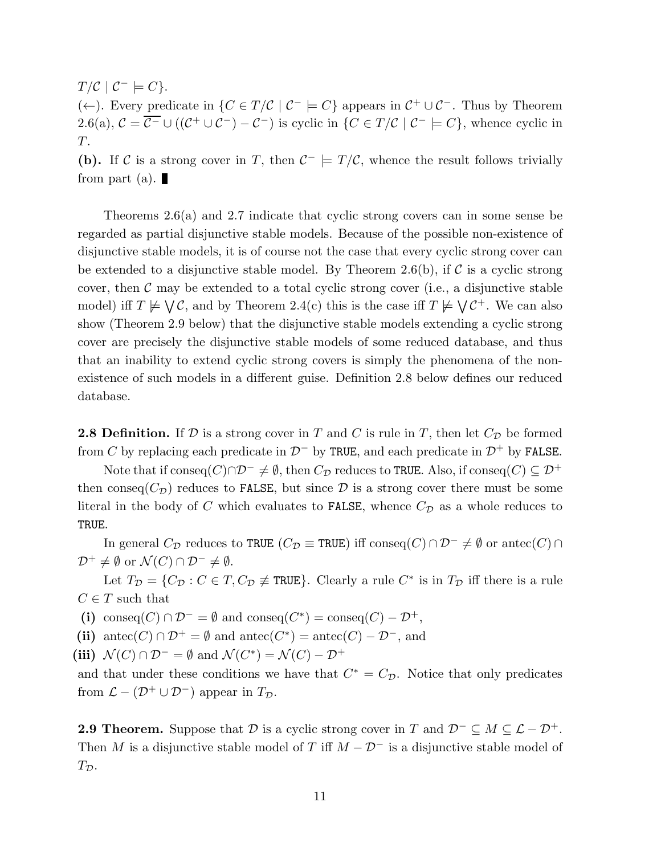$T/\mathcal{C} \mid \mathcal{C}^- \models C$ .

(←). Every predicate in  $\{C \in T/C \mid C^- \models C\}$  appears in  $C^+ \cup C^-$ . Thus by Theorem 2.6(a),  $C = \overline{C^-} \cup ((C^+ \cup C^-) - C^-)$  is cyclic in  $\{C \in T/C \mid C^- \models C\}$ , whence cyclic in  $\cal T.$ 

(b). If C is a strong cover in T, then  $\mathcal{C}^- \models T/\mathcal{C}$ , whence the result follows trivially from part  $(a)$ .

Theorems 2.6(a) and 2.7 indicate that cyclic strong covers can in some sense be regarded as partial disjunctive stable models. Because of the possible non-existence of disjunctive stable models, it is of course not the case that every cyclic strong cover can be extended to a disjunctive stable model. By Theorem 2.6(b), if  $\mathcal C$  is a cyclic strong cover, then  $\mathcal C$  may be extended to a total cyclic strong cover (i.e., a disjunctive stable model) iff  $T \not\models \bigvee \mathcal{C}$ , and by Theorem 2.4(c) this is the case iff  $T \not\models \bigvee \mathcal{C}^+$ . We can also show (Theorem 2.9 below) that the disjunctive stable models extending a cyclic strong cover are precisely the disjunctive stable models of some reduced database, and thus that an inability to extend cyclic strong covers is simply the phenomena of the nonexistence of such models in a different guise. Definition 2.8 below defines our reduced database.

**2.8 Definition.** If D is a strong cover in T and C is rule in T, then let  $C_{\mathcal{D}}$  be formed from C by replacing each predicate in  $\mathcal{D}^-$  by TRUE, and each predicate in  $\mathcal{D}^+$  by FALSE.

Note that if conseq $(C) \cap \mathcal{D}^- \neq \emptyset$ , then  $C_{\mathcal{D}}$  reduces to TRUE. Also, if conseq $(C) \subseteq \mathcal{D}^+$ then conseq( $C_{\mathcal{D}}$ ) reduces to FALSE, but since  $\mathcal D$  is a strong cover there must be some literal in the body of C which evaluates to FALSE, whence  $C_{\mathcal{D}}$  as a whole reduces to TRUE.

In general  $C_{\mathcal{D}}$  reduces to TRUE  $(C_{\mathcal{D}} \equiv \text{TRUE})$  iff  $\text{conseq}(C) \cap \mathcal{D}^- \neq \emptyset$  or  $\text{antec}(C) \cap \emptyset$  $\mathcal{D}^+ \neq \emptyset$  or  $\mathcal{N}(C) \cap \mathcal{D}^- \neq \emptyset$ .

Let  $T_{\mathcal{D}} = \{C_{\mathcal{D}} : C \in T, C_{\mathcal{D}} \neq \text{TRUE}\}\.$  Clearly a rule  $C^*$  is in  $T_{\mathcal{D}}$  iff there is a rule  $C \in T$  such that

(i) conseq(C)  $\cap \mathcal{D}^- = \emptyset$  and conseq(C<sup>\*</sup>) = conseq(C) -  $\mathcal{D}^+$ ,

(ii) antec(C)  $\cap \mathcal{D}^+ = \emptyset$  and antec(C<sup>\*</sup>) = antec(C)  $-\mathcal{D}^-$ , and

(iii)  $\mathcal{N}(C) \cap \mathcal{D}^- = \emptyset$  and  $\mathcal{N}(C^*) = \mathcal{N}(C) - \mathcal{D}^+$ 

and that under these conditions we have that  $C^* = C_{\mathcal{D}}$ . Notice that only predicates from  $\mathcal{L} - (\mathcal{D}^+ \cup \mathcal{D}^-)$  appear in  $T_{\mathcal{D}}$ .

**2.9 Theorem.** Suppose that  $D$  is a cyclic strong cover in T and  $D^{-} \subseteq M \subseteq L - D^{+}$ . Then M is a disjunctive stable model of T iff  $M - \mathcal{D}^-$  is a disjunctive stable model of  $T_{\mathcal{D}}$ .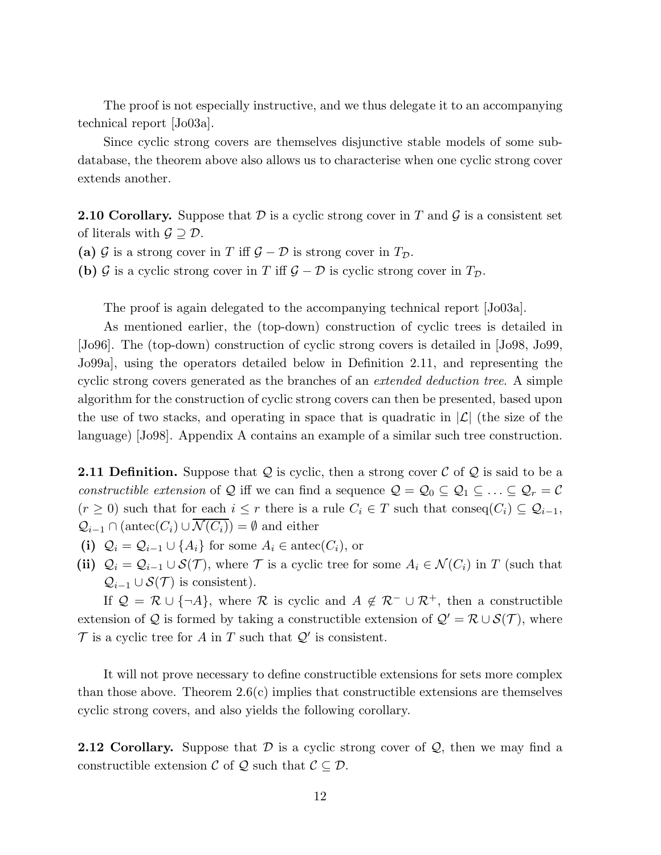The proof is not especially instructive, and we thus delegate it to an accompanying technical report [Jo03a].

Since cyclic strong covers are themselves disjunctive stable models of some subdatabase, the theorem above also allows us to characterise when one cyclic strong cover extends another.

**2.10 Corollary.** Suppose that  $\mathcal{D}$  is a cyclic strong cover in T and  $\mathcal{G}$  is a consistent set of literals with  $\mathcal{G} \supseteq \mathcal{D}$ .

- (a) G is a strong cover in T iff  $\mathcal{G} \mathcal{D}$  is strong cover in  $T_{\mathcal{D}}$ .
- (b) G is a cyclic strong cover in T iff  $\mathcal{G} \mathcal{D}$  is cyclic strong cover in  $T_{\mathcal{D}}$ .

The proof is again delegated to the accompanying technical report [Jo03a].

As mentioned earlier, the (top-down) construction of cyclic trees is detailed in [Jo96]. The (top-down) construction of cyclic strong covers is detailed in [Jo98, Jo99, Jo99a], using the operators detailed below in Definition 2.11, and representing the cyclic strong covers generated as the branches of an extended deduction tree. A simple algorithm for the construction of cyclic strong covers can then be presented, based upon the use of two stacks, and operating in space that is quadratic in  $|\mathcal{L}|$  (the size of the language) [Jo98]. Appendix A contains an example of a similar such tree construction.

**2.11 Definition.** Suppose that  $Q$  is cyclic, then a strong cover  $C$  of  $Q$  is said to be a constructible extension of Q iff we can find a sequence  $\mathcal{Q} = \mathcal{Q}_0 \subseteq \mathcal{Q}_1 \subseteq \ldots \subseteq \mathcal{Q}_r = \mathcal{C}$  $(r \geq 0)$  such that for each  $i \leq r$  there is a rule  $C_i \in T$  such that conseq $(C_i) \subseteq Q_{i-1}$ ,  $\mathcal{Q}_{i-1} \cap (\text{antec}(C_i) \cup \overline{\mathcal{N}(C_i)}) = \emptyset$  and either

- (i)  $\mathcal{Q}_i = \mathcal{Q}_{i-1} \cup \{A_i\}$  for some  $A_i \in \text{antec}(C_i)$ , or
- (ii)  $\mathcal{Q}_i = \mathcal{Q}_{i-1} \cup \mathcal{S}(\mathcal{T})$ , where  $\mathcal{T}$  is a cyclic tree for some  $A_i \in \mathcal{N}(C_i)$  in T (such that  $\mathcal{Q}_{i-1} \cup \mathcal{S}(\mathcal{T})$  is consistent).

If  $\mathcal{Q} = \mathcal{R} \cup \{\neg A\}$ , where  $\mathcal{R}$  is cyclic and  $A \notin \mathcal{R}^- \cup \mathcal{R}^+$ , then a constructible extension of Q is formed by taking a constructible extension of  $\mathcal{Q}' = \mathcal{R} \cup \mathcal{S}(\mathcal{T})$ , where  $\mathcal T$  is a cyclic tree for  $A$  in  $T$  such that  $\mathcal Q'$  is consistent.

It will not prove necessary to define constructible extensions for sets more complex than those above. Theorem  $2.6(c)$  implies that constructible extensions are themselves cyclic strong covers, and also yields the following corollary.

**2.12 Corollary.** Suppose that  $D$  is a cyclic strong cover of  $Q$ , then we may find a constructible extension  $\mathcal C$  of  $\mathcal Q$  such that  $\mathcal C \subseteq \mathcal D$ .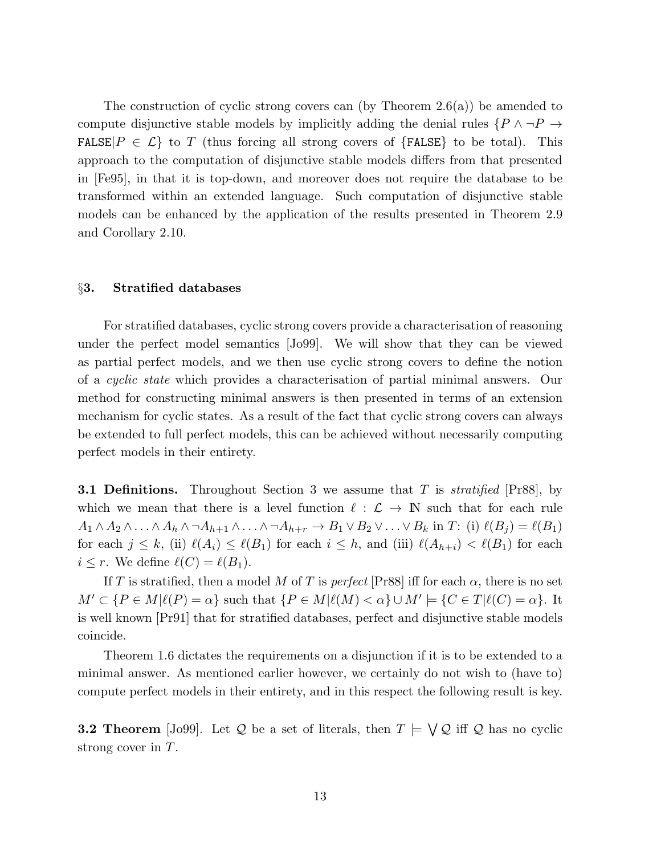The construction of cyclic strong covers can (by Theorem 2.6(a)) be amended to compute disjunctive stable models by implicitly adding the denial rules  $\{P \land \neg P \rightarrow$ FALSE $|P \in \mathcal{L}\}\$  to T (thus forcing all strong covers of {FALSE} to be total). This approach to the computation of disjunctive stable models differs from that presented in [Fe95], in that it is top-down, and moreover does not require the database to be transformed within an extended language. Such computation of disjunctive stable models can be enhanced by the application of the results presented in Theorem 2.9 and Corollary 2.10.

#### §3. Stratified databases

For stratified databases, cyclic strong covers provide a characterisation of reasoning under the perfect model semantics [Jo99]. We will show that they can be viewed as partial perfect models, and we then use cyclic strong covers to define the notion of a cyclic state which provides a characterisation of partial minimal answers. Our method for constructing minimal answers is then presented in terms of an extension mechanism for cyclic states. As a result of the fact that cyclic strong covers can always be extended to full perfect models, this can be achieved without necessarily computing perfect models in their entirety.

**3.1 Definitions.** Throughout Section 3 we assume that T is *stratified* [Pr88], by which we mean that there is a level function  $\ell : \mathcal{L} \to \mathbb{N}$  such that for each rule  $A_1 \wedge A_2 \wedge \ldots \wedge A_h \wedge \neg A_{h+1} \wedge \ldots \wedge \neg A_{h+r} \rightarrow B_1 \vee B_2 \vee \ldots \vee B_k$  in  $T:$  (i)  $\ell(B_j) = \ell(B_1)$ for each  $j \leq k$ , (ii)  $\ell(A_i) \leq \ell(B_1)$  for each  $i \leq h$ , and (iii)  $\ell(A_{h+i}) < \ell(B_1)$  for each  $i \leq r$ . We define  $\ell(C) = \ell(B_1)$ .

If T is stratified, then a model M of T is perfect [Pr88] iff for each  $\alpha$ , there is no set  $M' \subset \{P \in M | \ell(P) = \alpha\}$  such that  $\{P \in M | \ell(M) < \alpha\} \cup M' \models \{C \in T | \ell(C) = \alpha\}.$  It is well known [Pr91] that for stratified databases, perfect and disjunctive stable models coincide.

Theorem 1.6 dictates the requirements on a disjunction if it is to be extended to a minimal answer. As mentioned earlier however, we certainly do not wish to (have to) compute perfect models in their entirety, and in this respect the following result is key.

**3.2 Theorem** [Jo99]. Let Q be a set of literals, then  $T \models \bigvee Q$  iff Q has no cyclic strong cover in T.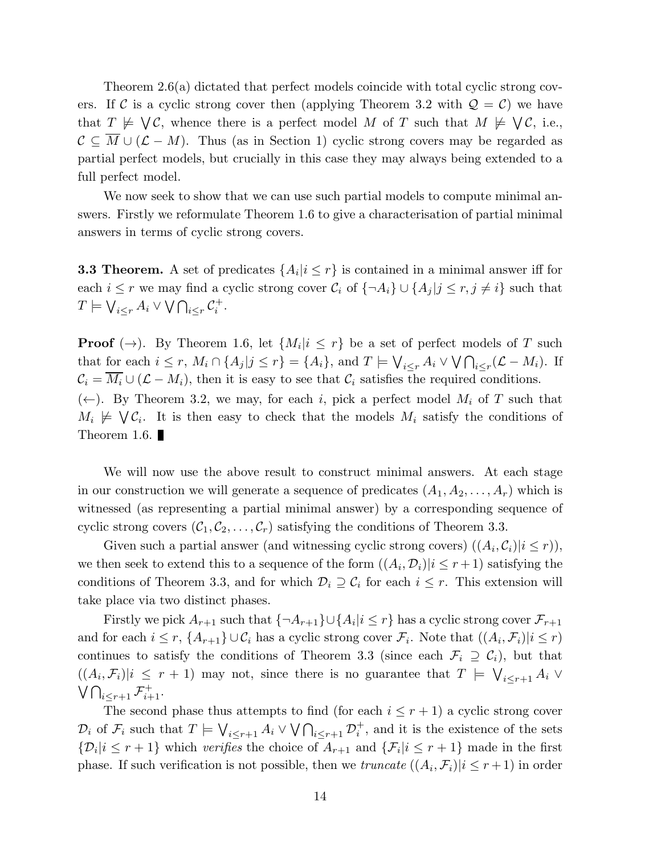Theorem 2.6(a) dictated that perfect models coincide with total cyclic strong covers. If C is a cyclic strong cover then (applying Theorem 3.2 with  $\mathcal{Q} = \mathcal{C}$ ) we have that  $T \not\models \bigvee \mathcal{C}$ , whence there is a perfect model M of T such that  $M \not\models \bigvee \mathcal{C}$ , i.e.,  $\mathcal{C} \subseteq \overline{M} \cup (\mathcal{L} - M)$ . Thus (as in Section 1) cyclic strong covers may be regarded as partial perfect models, but crucially in this case they may always being extended to a full perfect model.

We now seek to show that we can use such partial models to compute minimal answers. Firstly we reformulate Theorem 1.6 to give a characterisation of partial minimal answers in terms of cyclic strong covers.

**3.3 Theorem.** A set of predicates  $\{A_i | i \leq r\}$  is contained in a minimal answer iff for each  $i \leq r$  we may find a cyclic strong cover  $\mathcal{C}_i$  of  $\{\neg A_i\} \cup \{A_j | j \leq r, j \neq i\}$  such that  $T \models \bigvee_{i \leq r} A_i \vee \bigvee \bigcap_{i \leq r} C_i^+$  $\frac{+}{i}$  .

**Proof**  $(\rightarrow)$ . By Theorem 1.6, let  $\{M_i | i \leq r\}$  be a set of perfect models of T such that for each  $i \leq r$ ,  $M_i \cap \{A_j | j \leq r\} = \{A_i\}$ , and  $T \models \bigvee_{i \leq r} A_i \vee \bigvee \bigcap_{i \leq r} (\mathcal{L} - M_i)$ . If  $C_i = \overline{M_i} \cup (L - M_i)$ , then it is easy to see that  $C_i$  satisfies the required conditions.

 $(\leftarrow)$ . By Theorem 3.2, we may, for each i, pick a perfect model  $M_i$  of T such that  $M_i \not\models \bigvee \mathcal{C}_i$ . It is then easy to check that the models  $M_i$  satisfy the conditions of Theorem 1.6.

We will now use the above result to construct minimal answers. At each stage in our construction we will generate a sequence of predicates  $(A_1, A_2, \ldots, A_r)$  which is witnessed (as representing a partial minimal answer) by a corresponding sequence of cyclic strong covers  $(C_1, C_2, \ldots, C_r)$  satisfying the conditions of Theorem 3.3.

Given such a partial answer (and witnessing cyclic strong covers)  $((A_i, C_i)|i \leq r)$ ), we then seek to extend this to a sequence of the form  $((A_i, \mathcal{D}_i)|i \leq r+1)$  satisfying the conditions of Theorem 3.3, and for which  $\mathcal{D}_i \supseteq \mathcal{C}_i$  for each  $i \leq r$ . This extension will take place via two distinct phases.

Firstly we pick  $A_{r+1}$  such that  $\{\neg A_{r+1}\}\cup\{A_i|i\leq r\}$  has a cyclic strong cover  $\mathcal{F}_{r+1}$ and for each  $i \leq r$ ,  $\{A_{r+1}\}\cup C_i$  has a cyclic strong cover  $\mathcal{F}_i$ . Note that  $((A_i, \mathcal{F}_i)|i \leq r)$ continues to satisfy the conditions of Theorem 3.3 (since each  $\mathcal{F}_i \supseteq \mathcal{C}_i$ ), but that  $((A_i, \mathcal{F}_i)|i \leq r+1)$  may not, since there is no guarantee that  $T \models \bigvee_{i \leq r+1} A_i \vee$  $\bigvee \bigcap_{i \leq r+1} \mathcal{F}_{i+1}^+$ .

The second phase thus attempts to find (for each  $i \leq r + 1$ ) a cyclic strong cover  $\mathcal{D}_i$  of  $\mathcal{F}_i$  such that  $T \models \bigvee_{i \leq r+1} A_i \vee \bigvee \bigcap_{i \leq r+1} \mathcal{D}_i^+$  $i^{\dagger}$ , and it is the existence of the sets  $\{\mathcal{D}_i | i \leq r+1\}$  which verifies the choice of  $A_{r+1}$  and  $\{\mathcal{F}_i | i \leq r+1\}$  made in the first phase. If such verification is not possible, then we truncate  $((A_i, \mathcal{F}_i)|i \leq r+1)$  in order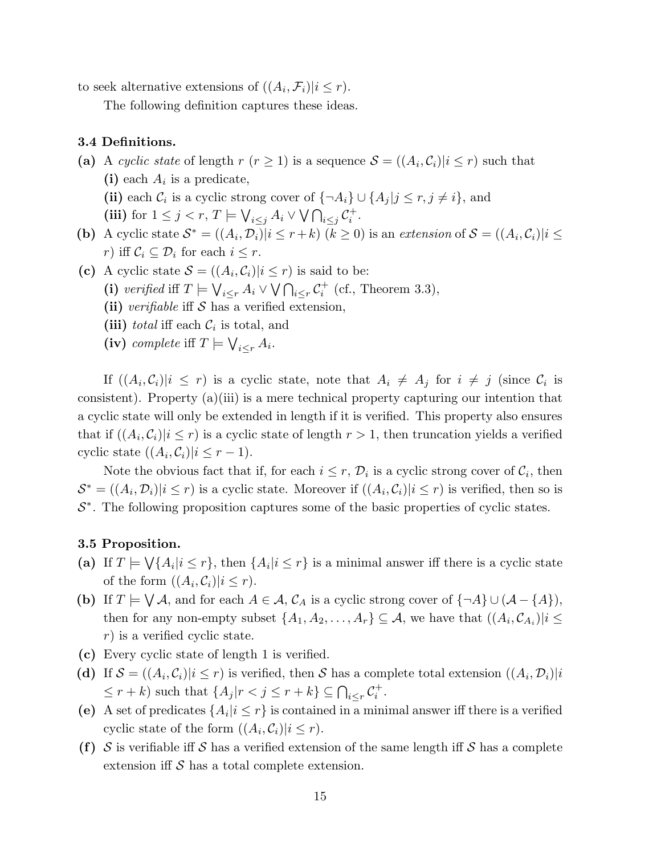to seek alternative extensions of  $((A_i, \mathcal{F}_i)|i \leq r)$ .

The following definition captures these ideas.

# 3.4 Definitions.

- (a) A cyclic state of length  $r (r \geq 1)$  is a sequence  $S = ((A_i, C_i)|i \leq r)$  such that (i) each  $A_i$  is a predicate, (ii) each  $\mathcal{C}_i$  is a cyclic strong cover of  $\{\neg A_i\} \cup \{A_j | j \leq r, j \neq i\}$ , and (iii) for  $1 \leq j < r$ ,  $T \models \bigvee_{i \leq j} A_i \vee \bigvee \bigcap_{i \leq j} C_i^+$  $\frac{+}{i}$  .
- (b) A cyclic state  $S^* = ((A_i, \mathcal{D}_i)|i \le r + k)$   $(k \ge 0)$  is an extension of  $S = ((A_i, \mathcal{C}_i)|i \le r + k)$ r) iff  $\mathcal{C}_i \subset \mathcal{D}_i$  for each  $i \leq r$ .
- (c) A cyclic state  $S = ((A_i, C_i)|i \leq r)$  is said to be:
	- (i) verified iff  $T \models \bigvee_{i \leq r} A_i \vee \bigvee \bigcap_{i \leq r} C_i^+$  $i<sup>+</sup>$  (cf., Theorem 3.3),
	- (ii) verifiable iff  $S$  has a verified extension,
	- (iii) total iff each  $\mathcal{C}_i$  is total, and
	- (iv) complete iff  $T \models \bigvee_{i \leq r} A_i$ .

If  $((A_i, \mathcal{C}_i)|i \leq r)$  is a cyclic state, note that  $A_i \neq A_j$  for  $i \neq j$  (since  $\mathcal{C}_i$  is consistent). Property (a)(iii) is a mere technical property capturing our intention that a cyclic state will only be extended in length if it is verified. This property also ensures that if  $((A_i, C_i)|i \leq r)$  is a cyclic state of length  $r > 1$ , then truncation yields a verified cyclic state  $((A_i, C_i)|i \leq r-1)$ .

Note the obvious fact that if, for each  $i \leq r$ ,  $\mathcal{D}_i$  is a cyclic strong cover of  $\mathcal{C}_i$ , then  $\mathcal{S}^* = ((A_i, \mathcal{D}_i)|i \leq r)$  is a cyclic state. Moreover if  $((A_i, \mathcal{C}_i)|i \leq r)$  is verified, then so is S<sup>∗</sup>. The following proposition captures some of the basic properties of cyclic states.

### 3.5 Proposition.

- (a) If  $T \models \bigvee \{A_i | i \leq r\}$ , then  $\{A_i | i \leq r\}$  is a minimal answer iff there is a cyclic state of the form  $((A_i, C_i)|i \leq r)$ .
- (b) If  $T \models \bigvee A$ , and for each  $A \in \mathcal{A}$ ,  $\mathcal{C}_A$  is a cyclic strong cover of  $\{\neg A\} \cup (\mathcal{A} \{A\})$ , then for any non-empty subset  $\{A_1, A_2, \ldots, A_r\} \subseteq \mathcal{A}$ , we have that  $((A_i, \mathcal{C}_{A_i}) | i \leq$ r) is a verified cyclic state.
- (c) Every cyclic state of length 1 is verified.
- (d) If  $S = ((A_i, C_i)|i \leq r)$  is verified, then S has a complete total extension  $((A_i, \mathcal{D}_i)|i$  $\leq r + k$ ) such that  $\{A_j | r < j \leq r + k\} \subseteq \bigcap_{i \leq r} C_i^+$  $\frac{+}{i}$ .
- (e) A set of predicates  $\{A_i | i \leq r\}$  is contained in a minimal answer iff there is a verified cyclic state of the form  $((A_i, C_i)|i \leq r)$ .
- (f) S is verifiable iff S has a verified extension of the same length iff S has a complete extension iff  $S$  has a total complete extension.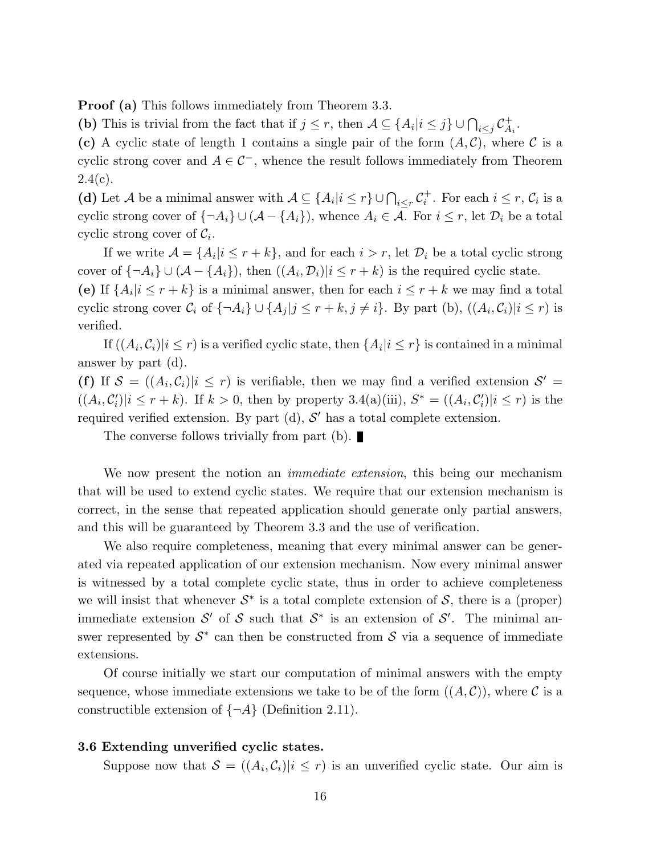**Proof (a)** This follows immediately from Theorem 3.3.

(b) This is trivial from the fact that if  $j \leq r$ , then  $\mathcal{A} \subseteq \{A_i | i \leq j\} \cup \bigcap_{i \leq j} C^+_A$  $A_i$  .

(c) A cyclic state of length 1 contains a single pair of the form  $(A, C)$ , where C is a cyclic strong cover and  $A \in \mathcal{C}^-$ , whence the result follows immediately from Theorem  $2.4(c).$ 

(d) Let A be a minimal answer with  $\mathcal{A} \subseteq \{A_i | i \leq r\} \cup \bigcap_{i \leq r} C_i^+$  $i_i^+$ . For each  $i \leq r$ ,  $\mathcal{C}_i$  is a cyclic strong cover of  $\{\neg A_i\} \cup (\mathcal{A} - \{A_i\})$ , whence  $A_i \in \mathcal{A}$ . For  $i \leq r$ , let  $\mathcal{D}_i$  be a total cyclic strong cover of  $\mathcal{C}_i$ .

If we write  $\mathcal{A} = \{A_i | i \le r + k\}$ , and for each  $i > r$ , let  $\mathcal{D}_i$  be a total cyclic strong cover of  $\{\neg A_i\} \cup (A - \{A_i\})$ , then  $((A_i, \mathcal{D}_i)|i \leq r + k)$  is the required cyclic state.

(e) If  $\{A_i | i \leq r + k\}$  is a minimal answer, then for each  $i \leq r + k$  we may find a total cyclic strong cover  $\mathcal{C}_i$  of  $\{\neg A_i\} \cup \{A_j | j \leq r + k, j \neq i\}$ . By part (b),  $((A_i, \mathcal{C}_i)|i \leq r)$  is verified.

If  $((A_i, \mathcal{C}_i)|i \leq r)$  is a verified cyclic state, then  $\{A_i|i \leq r\}$  is contained in a minimal answer by part (d).

(f) If  $S = ((A_i, C_i)|i \leq r)$  is verifiable, then we may find a verified extension  $S' =$  $((A_i, \mathcal{C}'_i)|i \leq r + k)$ . If  $k > 0$ , then by property 3.4(a)(iii),  $S^* = ((A_i, \mathcal{C}'_i)|i \leq r)$  is the required verified extension. By part  $(d)$ ,  $S'$  has a total complete extension.

The converse follows trivially from part (b).

We now present the notion an *immediate extension*, this being our mechanism that will be used to extend cyclic states. We require that our extension mechanism is correct, in the sense that repeated application should generate only partial answers, and this will be guaranteed by Theorem 3.3 and the use of verification.

We also require completeness, meaning that every minimal answer can be generated via repeated application of our extension mechanism. Now every minimal answer is witnessed by a total complete cyclic state, thus in order to achieve completeness we will insist that whenever  $S^*$  is a total complete extension of S, there is a (proper) immediate extension  $\mathcal{S}'$  of  $\mathcal{S}$  such that  $\mathcal{S}^*$  is an extension of  $\mathcal{S}'$ . The minimal answer represented by  $S^*$  can then be constructed from S via a sequence of immediate extensions.

Of course initially we start our computation of minimal answers with the empty sequence, whose immediate extensions we take to be of the form  $((A,\mathcal{C}))$ , where C is a constructible extension of  $\{\neg A\}$  (Definition 2.11).

#### 3.6 Extending unverified cyclic states.

Suppose now that  $S = ((A_i, C_i)|i \leq r)$  is an unverified cyclic state. Our aim is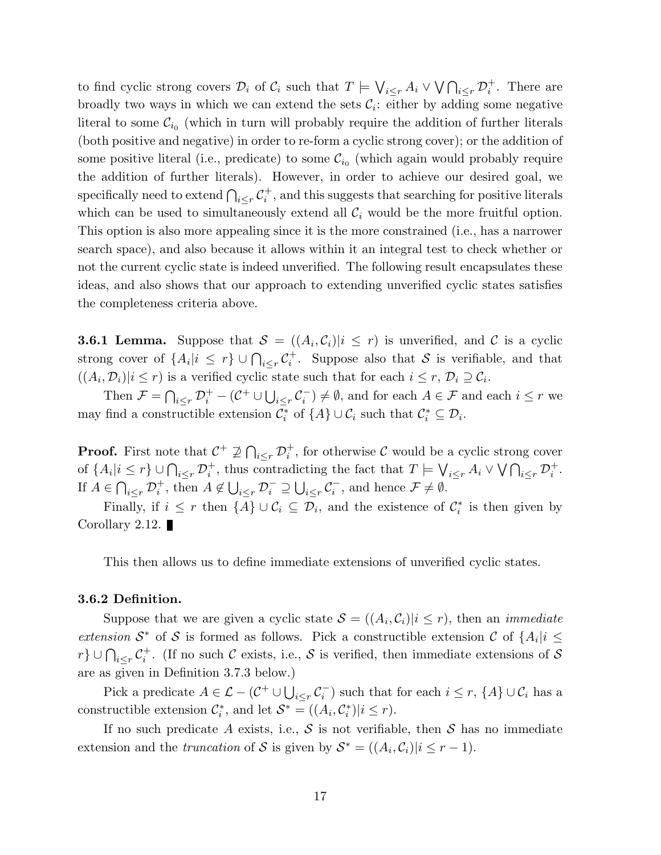to find cyclic strong covers  $\mathcal{D}_i$  of  $\mathcal{C}_i$  such that  $T \models \bigvee_{i \leq r} A_i \vee \bigvee \bigcap_{i \leq r} \mathcal{D}_i^+$  $i^{\dagger}$ . There are broadly two ways in which we can extend the sets  $\mathcal{C}_i$ : either by adding some negative literal to some  $\mathcal{C}_{i_0}$  (which in turn will probably require the addition of further literals (both positive and negative) in order to re-form a cyclic strong cover); or the addition of some positive literal (i.e., predicate) to some  $\mathcal{C}_{i_0}$  (which again would probably require the addition of further literals). However, in order to achieve our desired goal, we specifically need to extend  $\bigcap_{i\leq r} \mathcal{C}_i^+$  $i<sub>i</sub>$ , and this suggests that searching for positive literals which can be used to simultaneously extend all  $\mathcal{C}_i$  would be the more fruitful option. This option is also more appealing since it is the more constrained (i.e., has a narrower search space), and also because it allows within it an integral test to check whether or not the current cyclic state is indeed unverified. The following result encapsulates these ideas, and also shows that our approach to extending unverified cyclic states satisfies the completeness criteria above.

**3.6.1 Lemma.** Suppose that  $S = ((A_i, C_i)|i \leq r)$  is unverified, and C is a cyclic strong cover of  $\{A_i | i \leq r\} \cup \bigcap_{i \leq r} C_i^+$ <sup>+</sup>. Suppose also that S is verifiable, and that  $((A_i, \mathcal{D}_i)|i \leq r)$  is a verified cyclic state such that for each  $i \leq r$ ,  $\mathcal{D}_i \supseteq \mathcal{C}_i$ .

Then  $\mathcal{F} = \bigcap_{i \leq r} \mathcal{D}_i^+ - (\mathcal{C}^+ \cup \bigcup_{i \leq r} \mathcal{C}_i^$  $j_i^-(\ ) \neq \emptyset$ , and for each  $A \in \mathcal{F}$  and each  $i \leq r$  we may find a constructible extension  $\mathcal{C}_i^*$  of  $\{A\} \cup \mathcal{C}_i$  such that  $\mathcal{C}_i^* \subseteq \mathcal{D}_i$ .

**Proof.** First note that  $C^+ \not\supseteq \bigcap_{i \leq r} \mathcal{D}_i^+$  $i$ <sup>+</sup>, for otherwise  $\mathcal C$  would be a cyclic strong cover of  $\{A_i | i \leq r\} \cup \bigcap_{i \leq r} \mathcal{D}_i^+$ <sup>+</sup>, thus contradicting the fact that  $T \models \bigvee_{i \leq r} A_i \vee \bigvee \bigcap_{i \leq r} \mathcal{D}_i^+$  $\frac{+}{i}$  . If  $A \in \bigcap_{i \leq r} \mathcal{D}_i^+$ <sup>+</sup>, then  $A \notin \bigcup_{i \leq r} \mathcal{D}_i^- \supseteq \bigcup_{i \leq r} \mathcal{C}_i^ \overline{i}$ , and hence  $\mathcal{F} \neq \emptyset$ .

Finally, if  $i \leq r$  then  $\{A\} \cup C_i \subseteq \mathcal{D}_i$ , and the existence of  $C_i^*$  is then given by Corollary 2.12.

This then allows us to define immediate extensions of unverified cyclic states.

# 3.6.2 Definition.

Suppose that we are given a cyclic state  $S = ((A_i, C_i)|i \leq r)$ , then an *immediate* extension  $S^*$  of S is formed as follows. Pick a constructible extension C of  $\{A_i | i \leq j \}$  $r\} \cup \bigcap_{i \leq r} C_i^+$ <sup> $+$ </sup>. (If no such C exists, i.e., S is verified, then immediate extensions of S are as given in Definition 3.7.3 below.)

Pick a predicate  $A \in \mathcal{L} - (\mathcal{C}^+ \cup \bigcup_{i \leq r} \mathcal{C}_i^ \binom{r}{i}$  such that for each  $i \leq r$ ,  $\{A\} \cup C_i$  has a constructible extension  $\mathcal{C}_i^*$ , and let  $\mathcal{S}^* = ((A_i, \mathcal{C}_i^*) | i \leq r)$ .

If no such predicate A exists, i.e.,  $S$  is not verifiable, then  $S$  has no immediate extension and the *truncation* of S is given by  $S^* = ((A_i, C_i)|i \leq r-1)$ .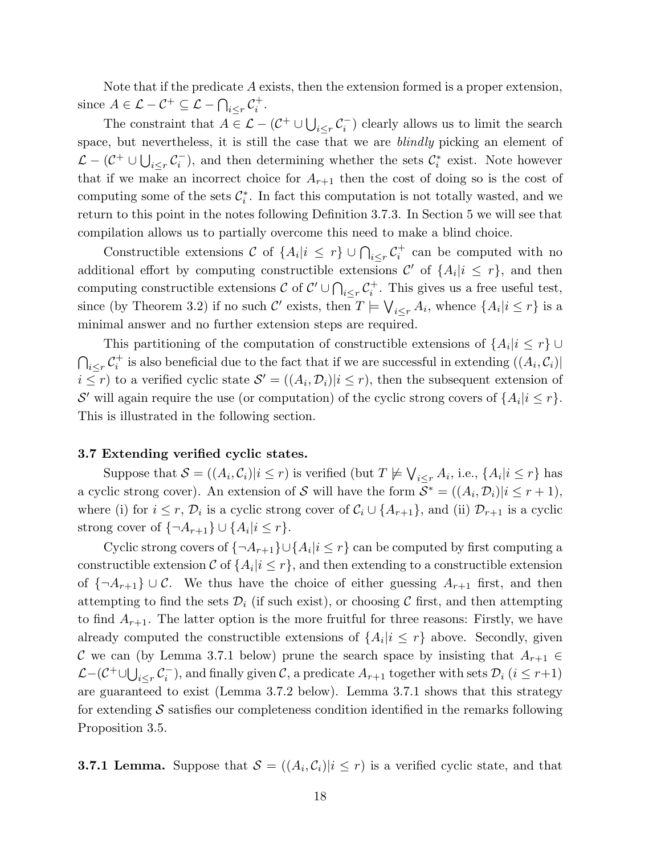Note that if the predicate  $A$  exists, then the extension formed is a proper extension, since  $A \in \mathcal{L} - \mathcal{C}^+ \subseteq \mathcal{L} - \bigcap_{i \leq r} \mathcal{C}_i^+$  $\frac{+}{i}$ .

The constraint that  $A \in \mathcal{L} - (\mathcal{C}^+ \cup \bigcup_{i \leq r} \mathcal{C}_i^ \binom{r}{i}$  clearly allows us to limit the search space, but nevertheless, it is still the case that we are *blindly* picking an element of  $\mathcal{L} - (\mathcal{C}^+ \cup \bigcup_{i \leq r} \mathcal{C}_i^-)$  $(i)$ , and then determining whether the sets  $\mathcal{C}_i^*$  exist. Note however that if we make an incorrect choice for  $A_{r+1}$  then the cost of doing so is the cost of computing some of the sets  $\mathcal{C}_i^*$ . In fact this computation is not totally wasted, and we return to this point in the notes following Definition 3.7.3. In Section 5 we will see that compilation allows us to partially overcome this need to make a blind choice.

Constructible extensions  $\mathcal C$  of  $\{A_i | i \leq r\} \cup \bigcap_{i \leq r} \mathcal C_i^+$  $i<sub>i</sub>$  can be computed with no additional effort by computing constructible extensions  $\mathcal{C}'$  of  $\{A_i | i \leq r\}$ , and then computing constructible extensions  $\mathcal{C}$  of  $\mathcal{C}' \cup \bigcap_{i \leq r} \mathcal{C}_i^+$  $i^+$ . This gives us a free useful test, since (by Theorem 3.2) if no such  $\mathcal{C}'$  exists, then  $T \models \bigvee_{i \leq r} A_i$ , whence  $\{A_i | i \leq r\}$  is a minimal answer and no further extension steps are required.

This partitioning of the computation of constructible extensions of  $\{A_i | i \leq r\}$  $\bigcap_{i\leq r}\mathcal{C}_i^+$ <sup> $+$ </sup> is also beneficial due to the fact that if we are successful in extending  $((A_i, C_i)$  $i \leq r$ ) to a verified cyclic state  $\mathcal{S}' = ((A_i, \mathcal{D}_i)|i \leq r)$ , then the subsequent extension of S' will again require the use (or computation) of the cyclic strong covers of  $\{A_i | i \leq r\}$ . This is illustrated in the following section.

### 3.7 Extending verified cyclic states.

Suppose that  $S = ((A_i, C_i)|i \leq r)$  is verified (but  $T \not\models \bigvee_{i \leq r} A_i$ , i.e.,  $\{A_i | i \leq r\}$  has a cyclic strong cover). An extension of S will have the form  $S^* = ((A_i, \mathcal{D}_i)|i \leq r+1)$ , where (i) for  $i \leq r$ ,  $\mathcal{D}_i$  is a cyclic strong cover of  $\mathcal{C}_i \cup \{A_{r+1}\}$ , and (ii)  $\mathcal{D}_{r+1}$  is a cyclic strong cover of  $\{\neg A_{r+1}\}\cup\{A_i|i\leq r\}.$ 

Cyclic strong covers of  $\{\neg A_{r+1}\}\cup\{A_i|i\leq r\}$  can be computed by first computing a constructible extension  $C$  of  $\{A_i | i \leq r\}$ , and then extending to a constructible extension of  $\{\neg A_{r+1}\}\cup\mathcal{C}$ . We thus have the choice of either guessing  $A_{r+1}$  first, and then attempting to find the sets  $\mathcal{D}_i$  (if such exist), or choosing C first, and then attempting to find  $A_{r+1}$ . The latter option is the more fruitful for three reasons: Firstly, we have already computed the constructible extensions of  $\{A_i | i \leq r\}$  above. Secondly, given C we can (by Lemma 3.7.1 below) prune the search space by insisting that  $A_{r+1} \in$  $\mathcal{L}$ - $(\mathcal{C}^+\cup\bigcup_{i\leq r}\mathcal{C}_i^-)$  $(i)$ , and finally given  $\mathcal{C}$ , a predicate  $A_{r+1}$  together with sets  $\mathcal{D}_i$   $(i \leq r+1)$ are guaranteed to exist (Lemma 3.7.2 below). Lemma 3.7.1 shows that this strategy for extending  $S$  satisfies our completeness condition identified in the remarks following Proposition 3.5.

**3.7.1 Lemma.** Suppose that  $S = ((A_i, C_i)|i \leq r)$  is a verified cyclic state, and that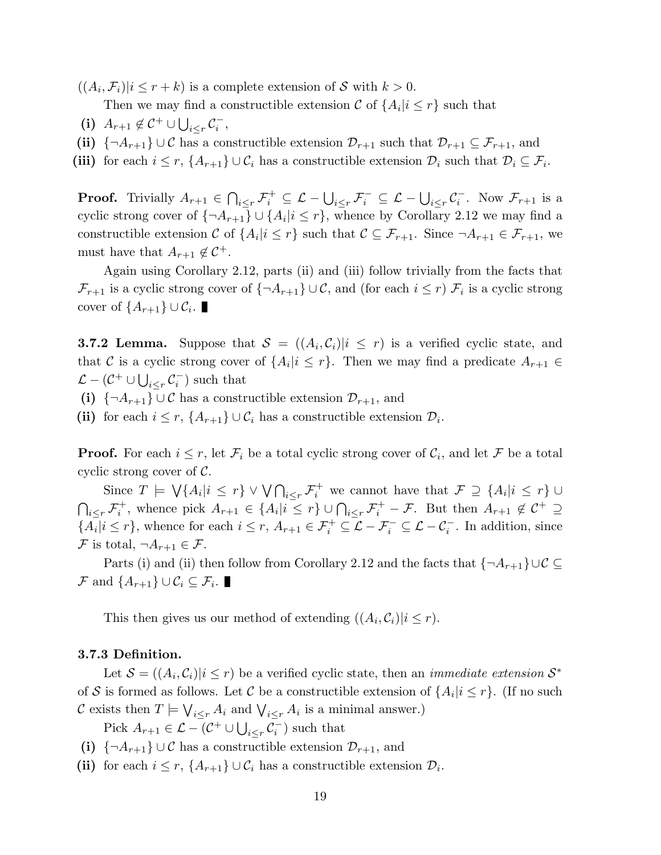$((A_i, \mathcal{F}_i)|i \leq r + k)$  is a complete extension of S with  $k > 0$ .

Then we may find a constructible extension  $\mathcal C$  of  $\{A_i | i \leq r\}$  such that

- (i)  $A_{r+1} \not\in C^+ \cup \bigcup_{i \leq r} C_i^ \frac{i}{i}$ ,
- (ii)  $\{\neg A_{r+1}\}\cup\mathcal{C}$  has a constructible extension  $\mathcal{D}_{r+1}$  such that  $\mathcal{D}_{r+1}\subseteq\mathcal{F}_{r+1}$ , and
- (iii) for each  $i \leq r$ ,  $\{A_{r+1}\}\cup C_i$  has a constructible extension  $\mathcal{D}_i$  such that  $\mathcal{D}_i \subseteq \mathcal{F}_i$ .

**Proof.** Trivially  $A_{r+1} \in \bigcap_{i \leq r} \mathcal{F}_i^+ \subseteq \mathcal{L} - \bigcup_{i \leq r} \mathcal{F}_i^- \subseteq \mathcal{L} - \bigcup_{i \leq r} \mathcal{C}_i^ \overline{i}$ . Now  $\mathcal{F}_{r+1}$  is a cyclic strong cover of  $\{\neg A_{r+1}\}\cup\{A_i|i\leq r\}$ , whence by Corollary 2.12 we may find a constructible extension C of  $\{A_i | i \leq r\}$  such that  $C \subseteq \mathcal{F}_{r+1}$ . Since  $\neg A_{r+1} \in \mathcal{F}_{r+1}$ , we must have that  $A_{r+1} \notin \mathcal{C}^+$ .

Again using Corollary 2.12, parts (ii) and (iii) follow trivially from the facts that  $\mathcal{F}_{r+1}$  is a cyclic strong cover of  $\{\neg A_{r+1}\}\cup\mathcal{C}$ , and (for each  $i\leq r$ )  $\mathcal{F}_i$  is a cyclic strong cover of  $\{A_{r+1}\}\cup C_i$ .

**3.7.2 Lemma.** Suppose that  $S = ((A_i, C_i)|i \leq r)$  is a verified cyclic state, and that C is a cyclic strong cover of  $\{A_i | i \leq r\}$ . Then we may find a predicate  $A_{r+1} \in$  $\mathcal{L} - (\mathcal{C}^+ \cup \bigcup_{i \leq r} \mathcal{C}_i^-)$  $\binom{1}{i}$  such that

(i)  $\{\neg A_{r+1}\}\cup\mathcal{C}$  has a constructible extension  $\mathcal{D}_{r+1}$ , and

(ii) for each  $i \leq r$ ,  $\{A_{r+1}\}\cup C_i$  has a constructible extension  $\mathcal{D}_i$ .

**Proof.** For each  $i \leq r$ , let  $\mathcal{F}_i$  be a total cyclic strong cover of  $\mathcal{C}_i$ , and let  $\mathcal{F}$  be a total cyclic strong cover of  $\mathcal{C}$ .

Since  $T \models \bigvee \{A_i | i \leq r\} \vee \bigvee \bigcap_{i \leq r} \mathcal{F}_i^+$  we cannot have that  $\mathcal{F} \supseteq \{A_i | i \leq r\} \cup$  $\bigcap_{i\leq r}\mathcal{F}^+_i$  $i^+$ , whence pick  $A_{r+1} \in \{A_i | i \leq r\} \cup \bigcap_{i \leq r} \mathcal{F}_i^+ - \mathcal{F}$ . But then  $A_{r+1} \notin \mathcal{C}^+ \supseteq \mathcal{C}^+$  $\{\overline{A_i} | i \leq r\}$ , whence for each  $i \leq r$ ,  $A_{r+1} \in \mathcal{F}_i^+ \subseteq \mathcal{L} - \mathcal{F}_i^- \subseteq \mathcal{L} - \mathcal{C}_i^-$ . In addition, since F is total,  $\neg A_{r+1} \in \mathcal{F}$ .

Parts (i) and (ii) then follow from Corollary 2.12 and the facts that  $\{\neg A_{r+1}\}\cup\mathcal{C}\subseteq$  $\mathcal F$  and  $\{A_{r+1}\}\cup C_i\subseteq \mathcal F_i$ .

This then gives us our method of extending  $((A_i, C_i)|i \leq r)$ .

### 3.7.3 Definition.

Let  $S = ((A_i, C_i)|i \leq r)$  be a verified cyclic state, then an *immediate extension*  $S^*$ of S is formed as follows. Let C be a constructible extension of  $\{A_i | i \leq r\}$ . (If no such C exists then  $T \models \bigvee_{i \leq r} A_i$  and  $\bigvee_{i \leq r} A_i$  is a minimal answer.)

Pick  $A_{r+1} \in \mathcal{L} - (\mathcal{C}^+ \cup \bigcup_{i \leq r} \mathcal{C}_i^-)$  $\binom{1}{i}$  such that

- (i)  $\{\neg A_{r+1}\}\cup\mathcal{C}$  has a constructible extension  $\mathcal{D}_{r+1}$ , and
- (ii) for each  $i \leq r$ ,  $\{A_{r+1}\}\cup C_i$  has a constructible extension  $\mathcal{D}_i$ .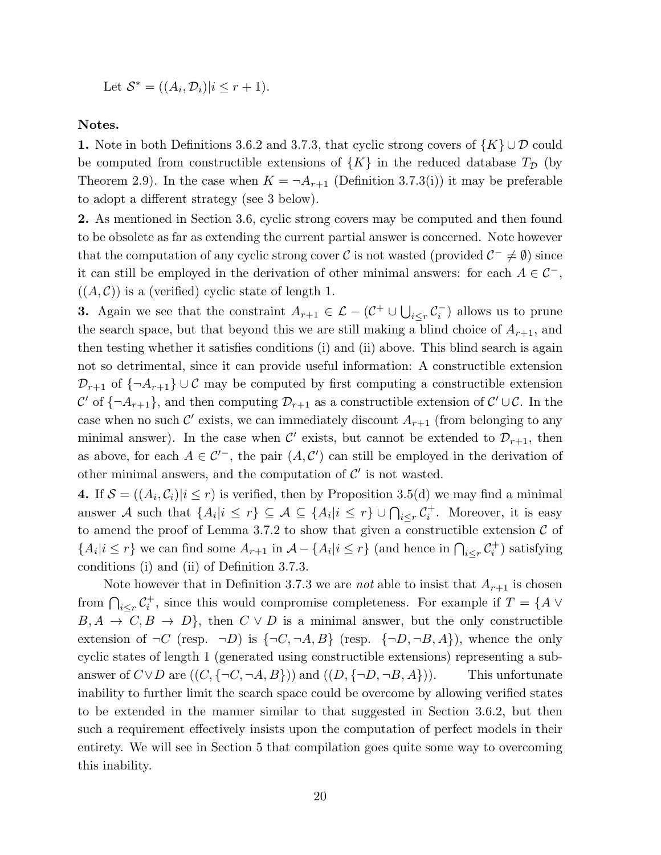Let 
$$
\mathcal{S}^* = ((A_i, \mathcal{D}_i)|i \leq r+1).
$$

# Notes.

1. Note in both Definitions 3.6.2 and 3.7.3, that cyclic strong covers of  $\{K\} \cup \mathcal{D}$  could be computed from constructible extensions of  $\{K\}$  in the reduced database  $T_{\mathcal{D}}$  (by Theorem 2.9). In the case when  $K = \neg A_{r+1}$  (Definition 3.7.3(i)) it may be preferable to adopt a different strategy (see 3 below).

2. As mentioned in Section 3.6, cyclic strong covers may be computed and then found to be obsolete as far as extending the current partial answer is concerned. Note however that the computation of any cyclic strong cover  $\mathcal C$  is not wasted (provided  $\mathcal C^- \neq \emptyset$ ) since it can still be employed in the derivation of other minimal answers: for each  $A \in \mathcal{C}^-$ ,  $((A, C))$  is a (verified) cyclic state of length 1.

**3.** Again we see that the constraint  $A_{r+1} \in \mathcal{L} - (\mathcal{C}^+ \cup \bigcup_{i \leq r} \mathcal{C}_i^ \binom{1}{i}$  allows us to prune the search space, but that beyond this we are still making a blind choice of  $A_{r+1}$ , and then testing whether it satisfies conditions (i) and (ii) above. This blind search is again not so detrimental, since it can provide useful information: A constructible extension  $\mathcal{D}_{r+1}$  of  $\{\neg A_{r+1}\}\cup\mathcal{C}$  may be computed by first computing a constructible extension  $\mathcal{C}'$  of  $\{\neg A_{r+1}\}$ , and then computing  $\mathcal{D}_{r+1}$  as a constructible extension of  $\mathcal{C}' \cup \mathcal{C}$ . In the case when no such  $\mathcal{C}'$  exists, we can immediately discount  $A_{r+1}$  (from belonging to any minimal answer). In the case when  $\mathcal{C}'$  exists, but cannot be extended to  $\mathcal{D}_{r+1}$ , then as above, for each  $A \in \mathcal{C}'^-$ , the pair  $(A, \mathcal{C}')$  can still be employed in the derivation of other minimal answers, and the computation of  $\mathcal{C}'$  is not wasted.

**4.** If  $\mathcal{S} = ((A_i, C_i)|i \leq r)$  is verified, then by Proposition 3.5(d) we may find a minimal answer A such that  $\{A_i | i \leq r\} \subseteq A \subseteq \{A_i | i \leq r\} \cup \bigcap_{i \leq r} C_i^+$  $i^+$ . Moreover, it is easy to amend the proof of Lemma 3.7.2 to show that given a constructible extension  $\mathcal C$  of  ${A_i | i \leq r}$  we can find some  $A_{r+1}$  in  $A - {A_i | i \leq r}$  (and hence in  $\bigcap_{i \leq r} C_i^+$  $i^{\dagger}$ ) satisfying conditions (i) and (ii) of Definition 3.7.3.

Note however that in Definition 3.7.3 we are *not* able to insist that  $A_{r+1}$  is chosen from  $\bigcap_{i \leq r} C_i^+$ <sup> $\tau$ </sup>, since this would compromise completeness. For example if  $T = \{A \vee \tau\}$  $B, A \rightarrow C, B \rightarrow D$ , then  $C \vee D$  is a minimal answer, but the only constructible extension of  $\neg C$  (resp.  $\neg D$ ) is  $\{\neg C, \neg A, B\}$  (resp.  $\{\neg D, \neg B, A\}$ ), whence the only cyclic states of length 1 (generated using constructible extensions) representing a subanswer of  $C \vee D$  are  $((C, \{\neg C, \neg A, B\}))$  and  $((D, \{\neg D, \neg B, A\}))$ . This unfortunate inability to further limit the search space could be overcome by allowing verified states to be extended in the manner similar to that suggested in Section 3.6.2, but then such a requirement effectively insists upon the computation of perfect models in their entirety. We will see in Section 5 that compilation goes quite some way to overcoming this inability.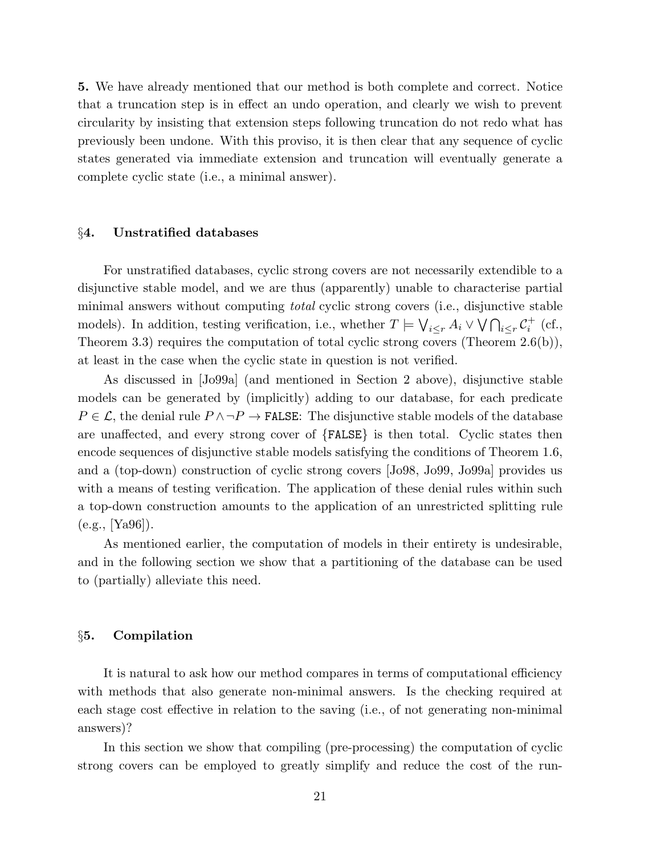5. We have already mentioned that our method is both complete and correct. Notice that a truncation step is in effect an undo operation, and clearly we wish to prevent circularity by insisting that extension steps following truncation do not redo what has previously been undone. With this proviso, it is then clear that any sequence of cyclic states generated via immediate extension and truncation will eventually generate a complete cyclic state (i.e., a minimal answer).

#### §4. Unstratified databases

For unstratified databases, cyclic strong covers are not necessarily extendible to a disjunctive stable model, and we are thus (apparently) unable to characterise partial minimal answers without computing *total* cyclic strong covers (i.e., disjunctive stable models). In addition, testing verification, i.e., whether  $T \models \bigvee_{i \leq r} A_i \vee \bigvee \bigcap_{i \leq r} C_i^+$  $i^+$  (cf., Theorem 3.3) requires the computation of total cyclic strong covers (Theorem 2.6(b)), at least in the case when the cyclic state in question is not verified.

As discussed in [Jo99a] (and mentioned in Section 2 above), disjunctive stable models can be generated by (implicitly) adding to our database, for each predicate  $P \in \mathcal{L}$ , the denial rule  $P \land \neg P \rightarrow$  FALSE: The disjunctive stable models of the database are unaffected, and every strong cover of {FALSE} is then total. Cyclic states then encode sequences of disjunctive stable models satisfying the conditions of Theorem 1.6, and a (top-down) construction of cyclic strong covers [Jo98, Jo99, Jo99a] provides us with a means of testing verification. The application of these denial rules within such a top-down construction amounts to the application of an unrestricted splitting rule  $(e.g., |Ya96|).$ 

As mentioned earlier, the computation of models in their entirety is undesirable, and in the following section we show that a partitioning of the database can be used to (partially) alleviate this need.

#### §5. Compilation

It is natural to ask how our method compares in terms of computational efficiency with methods that also generate non-minimal answers. Is the checking required at each stage cost effective in relation to the saving (i.e., of not generating non-minimal answers)?

In this section we show that compiling (pre-processing) the computation of cyclic strong covers can be employed to greatly simplify and reduce the cost of the run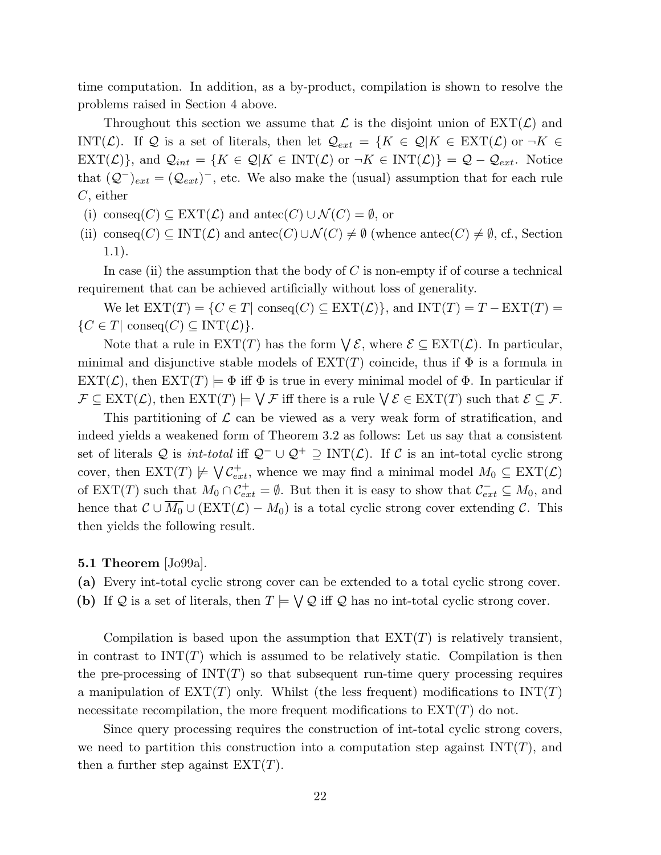time computation. In addition, as a by-product, compilation is shown to resolve the problems raised in Section 4 above.

Throughout this section we assume that  $\mathcal L$  is the disjoint union of  $\text{EXT}(\mathcal L)$  and INT( $\mathcal{L}$ ). If  $\mathcal{Q}$  is a set of literals, then let  $\mathcal{Q}_{ext} = \{K \in \mathcal{Q} | K \in \text{EXT}(\mathcal{L}) \text{ or } \neg K \in$  $\text{EXT}(\mathcal{L})\},$  and  $\mathcal{Q}_{int} = \{K \in \mathcal{Q} | K \in \text{INT}(\mathcal{L})\}$  or  $\neg K \in \text{INT}(\mathcal{L})\} = \mathcal{Q} - \mathcal{Q}_{ext}$ . Notice that  $(Q<sup>-</sup>)<sub>ext</sub> = (Q<sub>ext</sub>)<sup>-</sup>$ , etc. We also make the (usual) assumption that for each rule C, either

- (i) conseq(C)  $\subseteq \text{EXT}(\mathcal{L})$  and antec(C)  $\cup \mathcal{N}(C) = \emptyset$ , or
- (ii) conseq(C)  $\subseteq \text{INT}(\mathcal{L})$  and antec(C) $\cup \mathcal{N}(C) \neq \emptyset$  (whence antec(C)  $\neq \emptyset$ , cf., Section 1.1).

In case (ii) the assumption that the body of  $C$  is non-empty if of course a technical requirement that can be achieved artificially without loss of generality.

We let  $EXT(T) = \{C \in T \mid \text{conseq}(C) \subseteq EXT(\mathcal{L})\}\$ , and  $INT(T) = T - EXT(T) = T$  $\{C \in T | \text{conseq}(C) \subseteq \text{INT}(\mathcal{L})\}.$ 

Note that a rule in  $\text{EXT}(T)$  has the form  $\bigvee \mathcal{E}$ , where  $\mathcal{E} \subseteq \text{EXT}(\mathcal{L})$ . In particular, minimal and disjunctive stable models of  $\operatorname{EXT}(T)$  coincide, thus if  $\Phi$  is a formula in  $\text{EXT}(\mathcal{L})$ , then  $\text{EXT}(T) \models \Phi$  iff  $\Phi$  is true in every minimal model of  $\Phi$ . In particular if  $\mathcal{F} \subseteq \text{EXT}(\mathcal{L}),$  then  $\text{EXT}(T) \models \bigvee \mathcal{F}$  iff there is a rule  $\bigvee \mathcal{E} \in \text{EXT}(T)$  such that  $\mathcal{E} \subseteq \mathcal{F}.$ 

This partitioning of  $\mathcal L$  can be viewed as a very weak form of stratification, and indeed yields a weakened form of Theorem 3.2 as follows: Let us say that a consistent set of literals Q is int-total iff  $Q^- \cup Q^+ \supseteq \text{INT}(\mathcal{L})$ . If C is an int-total cyclic strong cover, then  $\mathrm{EXT}(T)\not\models\bigvee\mathcal{C}_{ext}^+$ , whence we may find a minimal model  $M_0\subseteq\mathrm{EXT}(\mathcal{L})$ of EXT(T) such that  $M_0 \cap C_{ext}^+ = \emptyset$ . But then it is easy to show that  $C_{ext}^- \subseteq M_0$ , and hence that  $\mathcal{C} \cup \overline{M_0} \cup (\text{EXT}(\mathcal{L}) - M_0)$  is a total cyclic strong cover extending  $\mathcal{C}$ . This then yields the following result.

### 5.1 Theorem [Jo99a].

- (a) Every int-total cyclic strong cover can be extended to a total cyclic strong cover.
- (b) If Q is a set of literals, then  $T \models \bigvee Q$  iff Q has no int-total cyclic strong cover.

Compilation is based upon the assumption that  $\operatorname{EXT}(T)$  is relatively transient, in contrast to  $INT(T)$  which is assumed to be relatively static. Compilation is then the pre-processing of  $INT(T)$  so that subsequent run-time query processing requires a manipulation of  $\operatorname{EXT}(T)$  only. Whilst (the less frequent) modifications to  $\operatorname{INT}(T)$ necessitate recompilation, the more frequent modifications to  $\operatorname{EXT}(T)$  do not.

Since query processing requires the construction of int-total cyclic strong covers, we need to partition this construction into a computation step against  $INT(T)$ , and then a further step against  $\operatorname{EXT}(T)$ .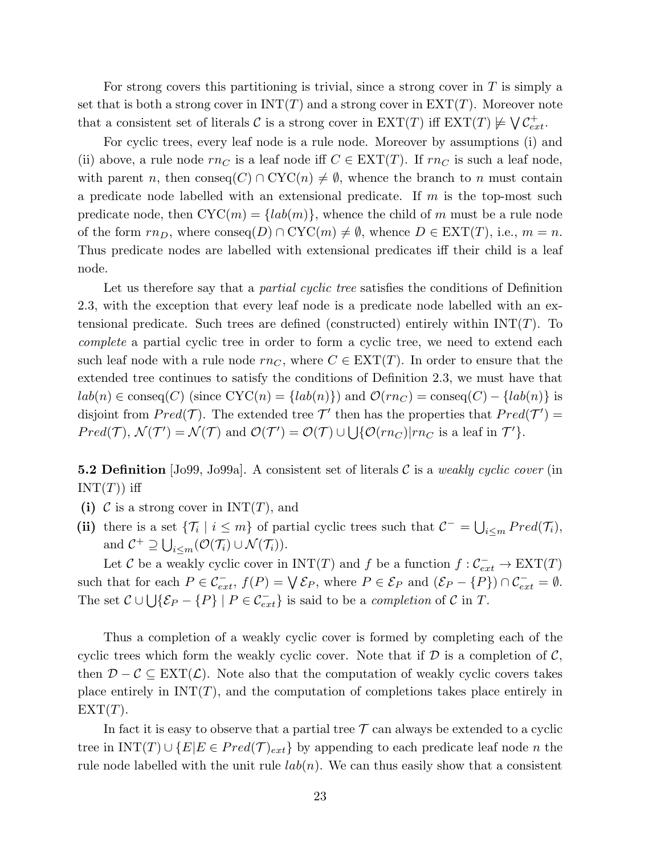For strong covers this partitioning is trivial, since a strong cover in  $T$  is simply a set that is both a strong cover in  $INT(T)$  and a strong cover in  $EXT(T)$ . Moreover note that a consistent set of literals  $\mathcal C$  is a strong cover in  $\operatorname{EXT}(T)$  iff  $\operatorname{EXT}(T) \not\models \bigvee \mathcal C_{ext}^+$ .

For cyclic trees, every leaf node is a rule node. Moreover by assumptions (i) and (ii) above, a rule node  $rn_C$  is a leaf node iff  $C \in \text{EXT}(T)$ . If  $rn_C$  is such a leaf node, with parent n, then conseq(C) ∩ CYC(n)  $\neq \emptyset$ , whence the branch to n must contain a predicate node labelled with an extensional predicate. If  $m$  is the top-most such predicate node, then  $CYC(m) = \{lab(m)\}\text{, whence the child of } m \text{ must be a rule node}\$ of the form  $rn_D$ , where  $\text{conseq}(D) \cap \text{CYC}(m) \neq \emptyset$ , whence  $D \in \text{EXT}(T)$ , i.e.,  $m = n$ . Thus predicate nodes are labelled with extensional predicates iff their child is a leaf node.

Let us therefore say that a *partial cyclic tree* satisfies the conditions of Definition 2.3, with the exception that every leaf node is a predicate node labelled with an extensional predicate. Such trees are defined (constructed) entirely within  $INT(T)$ . To complete a partial cyclic tree in order to form a cyclic tree, we need to extend each such leaf node with a rule node  $rn<sub>C</sub>$ , where  $C \in \text{EXT}(T)$ . In order to ensure that the extended tree continues to satisfy the conditions of Definition 2.3, we must have that  $lab(n) \in \text{conseq}(C)$  (since  $\text{CYC}(n) = \{lab(n)\}\$ ) and  $\mathcal{O}(rn_C) = \text{conseq}(C) - \{lab(n)\}\$ is disjoint from  $Pred(\mathcal{T})$ . The extended tree  $\mathcal{T}'$  then has the properties that  $Pred(\mathcal{T}') =$  $Pred(\mathcal{T}), \mathcal{N}(\mathcal{T}') = \mathcal{N}(\mathcal{T})$  and  $\mathcal{O}(\mathcal{T}') = \mathcal{O}(\mathcal{T}) \cup \bigcup \{ \mathcal{O}(rn_C) | rn_C \text{ is a leaf in } \mathcal{T}' \}.$ 

**5.2 Definition** [Jo99, Jo99a]. A consistent set of literals C is a weakly cyclic cover (in  $INT(T)$  iff

- (i) C is a strong cover in  $INT(T)$ , and
- (ii) there is a set  $\{\mathcal{T}_i \mid i \leq m\}$  of partial cyclic trees such that  $\mathcal{C}^- = \bigcup_{i \leq m} Pred(\mathcal{T}_i)$ , and  $C^+ \supseteq \bigcup_{i \leq m} (\mathcal{O}(\mathcal{T}_i) \cup \mathcal{N}(\mathcal{T}_i)).$

Let C be a weakly cyclic cover in  $INT(T)$  and f be a function  $f : C_{ext}^- \to \text{EXT}(T)$ such that for each  $P \in \mathcal{C}_{ext}^-$ ,  $f(P) = \bigvee \mathcal{E}_P$ , where  $P \in \mathcal{E}_P$  and  $(\mathcal{E}_P - \{P\}) \cap \mathcal{C}_{ext}^- = \emptyset$ . The set  $\mathcal{C} \cup \bigcup {\mathcal{E}_P} - \{P\} \mid P \in \mathcal{C}_{ext}^-$  is said to be a *completion* of  $\mathcal{C}$  in  $T$ .

Thus a completion of a weakly cyclic cover is formed by completing each of the cyclic trees which form the weakly cyclic cover. Note that if  $D$  is a completion of  $C$ , then  $\mathcal{D} - \mathcal{C} \subseteq \text{EXT}(\mathcal{L})$ . Note also that the computation of weakly cyclic covers takes place entirely in  $INT(T)$ , and the computation of completions takes place entirely in  $EXT(T).$ 

In fact it is easy to observe that a partial tree  $\mathcal T$  can always be extended to a cyclic tree in  $INT(T) \cup \{E | E \in Pred(\mathcal{T})_{ext}\}\$  by appending to each predicate leaf node n the rule node labelled with the unit rule  $lab(n)$ . We can thus easily show that a consistent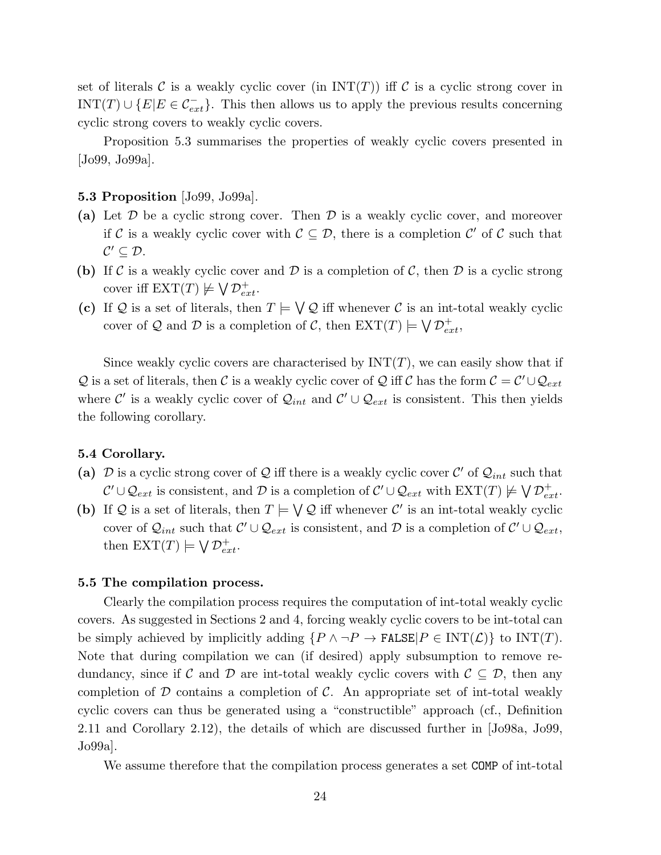set of literals C is a weakly cyclic cover (in  $INT(T)$ ) iff C is a cyclic strong cover in INT(T)  $\cup$  {E|E  $\in \mathcal{C}_{ext}^-$ }. This then allows us to apply the previous results concerning cyclic strong covers to weakly cyclic covers.

Proposition 5.3 summarises the properties of weakly cyclic covers presented in [Jo99, Jo99a].

### 5.3 Proposition [Jo99, Jo99a].

- (a) Let  $\mathcal D$  be a cyclic strong cover. Then  $\mathcal D$  is a weakly cyclic cover, and moreover if C is a weakly cyclic cover with  $\mathcal{C} \subseteq \mathcal{D}$ , there is a completion C' of C such that  $\mathcal{C}' \subseteq \mathcal{D}$ .
- (b) If C is a weakly cyclic cover and D is a completion of C, then D is a cyclic strong cover iff  $\operatorname{EXT}(T)\not\models\bigvee\mathcal{D}_{ext}^+$ .
- (c) If Q is a set of literals, then  $T \models \bigvee Q$  iff whenever C is an int-total weakly cyclic cover of Q and D is a completion of C, then  $\operatorname{EXT}(T) \models \bigvee \mathcal{D}^+_{ext}$ ,

Since weakly cyclic covers are characterised by  $INT(T)$ , we can easily show that if Q is a set of literals, then C is a weakly cyclic cover of Q iff C has the form  $C = C' \cup Q_{ext}$ where C' is a weakly cyclic cover of  $\mathcal{Q}_{int}$  and  $\mathcal{C}' \cup \mathcal{Q}_{ext}$  is consistent. This then yields the following corollary.

#### 5.4 Corollary.

- (a)  $D$  is a cyclic strong cover of  $Q$  iff there is a weakly cyclic cover  $C'$  of  $Q_{int}$  such that  $\mathcal{C}' \cup \mathcal{Q}_{ext}$  is consistent, and  $\mathcal{D}$  is a completion of  $\mathcal{C}' \cup \mathcal{Q}_{ext}$  with  $\operatorname{EXT}(T) \not\models \bigvee \mathcal{D}_{ext}^+$ .
- (b) If Q is a set of literals, then  $T \models \bigvee Q$  iff whenever C' is an int-total weakly cyclic cover of  $Q_{int}$  such that  $C' \cup Q_{ext}$  is consistent, and  $D$  is a completion of  $C' \cup Q_{ext}$ , then  $\operatorname{EXT}(T) \models \bigvee \mathcal{D}_{ext}^+$ .

#### 5.5 The compilation process.

Clearly the compilation process requires the computation of int-total weakly cyclic covers. As suggested in Sections 2 and 4, forcing weakly cyclic covers to be int-total can be simply achieved by implicitly adding  $\{P \land \neg P \rightarrow \texttt{FALSE}| P \in \text{INT}(\mathcal{L})\}$  to  $\text{INT}(T)$ . Note that during compilation we can (if desired) apply subsumption to remove redundancy, since if C and D are int-total weakly cyclic covers with  $\mathcal{C} \subseteq \mathcal{D}$ , then any completion of  $D$  contains a completion of  $C$ . An appropriate set of int-total weakly cyclic covers can thus be generated using a "constructible" approach (cf., Definition 2.11 and Corollary 2.12), the details of which are discussed further in [Jo98a, Jo99, Jo99a].

We assume therefore that the compilation process generates a set COMP of int-total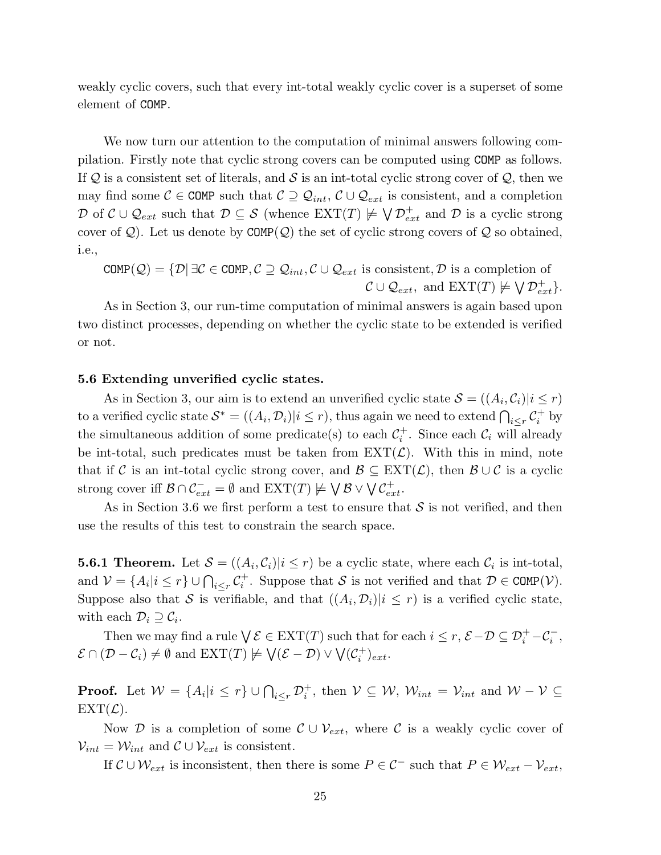weakly cyclic covers, such that every int-total weakly cyclic cover is a superset of some element of COMP.

We now turn our attention to the computation of minimal answers following compilation. Firstly note that cyclic strong covers can be computed using COMP as follows. If  $Q$  is a consistent set of literals, and  $S$  is an int-total cyclic strong cover of  $Q$ , then we may find some  $C \in \text{COMP}$  such that  $C \supseteq Q_{int}$ ,  $C \cup Q_{ext}$  is consistent, and a completion D of  $\mathcal{C} \cup \mathcal{Q}_{ext}$  such that  $\mathcal{D} \subseteq \mathcal{S}$  (whence  $\operatorname{EXT}(T) \not\models \bigvee \mathcal{D}_{ext}^+$  and D is a cyclic strong cover of Q). Let us denote by  $\text{COMP}(\mathcal{Q})$  the set of cyclic strong covers of Q so obtained, i.e.,

COMP(Q) = { $\mathcal{D}$   $\exists \mathcal{C} \in \text{COMP}, \mathcal{C} \supseteq \mathcal{Q}_{int}, \mathcal{C} \cup \mathcal{Q}_{ext}$  is consistent,  $\mathcal{D}$  is a completion of  $\mathcal{C} \cup \mathcal{Q}_{ext}$ , and  $\operatorname{EXT}(T) \not\models \bigvee \mathcal{D}_{ext}^{\perp}$ .

As in Section 3, our run-time computation of minimal answers is again based upon two distinct processes, depending on whether the cyclic state to be extended is verified or not.

## 5.6 Extending unverified cyclic states.

As in Section 3, our aim is to extend an unverified cyclic state  $\mathcal{S} = ((A_i, C_i)|i \leq r)$ to a verified cyclic state  $S^* = ((A_i, \mathcal{D}_i)|i \leq r)$ , thus again we need to extend  $\bigcap_{i \leq r} C_i^+$  $i^+$  by the simultaneous addition of some predicate(s) to each  $\mathcal{C}_i^+$  $i^{\dagger}$ . Since each  $\mathcal{C}_i$  will already be int-total, such predicates must be taken from  $\text{EXT}(\mathcal{L})$ . With this in mind, note that if C is an int-total cyclic strong cover, and  $\mathcal{B} \subseteq \text{EXT}(\mathcal{L})$ , then  $\mathcal{B} \cup \mathcal{C}$  is a cyclic strong cover iff  $\mathcal{B} \cap \mathcal{C}_{ext}^- = \emptyset$  and  $\operatorname{EXT}(T) \not\models \bigvee \mathcal{B} \vee \bigvee \mathcal{C}_{ext}^+$ .

As in Section 3.6 we first perform a test to ensure that  $S$  is not verified, and then use the results of this test to constrain the search space.

**5.6.1 Theorem.** Let  $\mathcal{S} = ((A_i, C_i)|i \leq r)$  be a cyclic state, where each  $C_i$  is int-total, and  $\mathcal{V} = \{A_i | i \leq r\} \cup \bigcap_{i \leq r} C_i^+$ <sup>+</sup>. Suppose that S is not verified and that  $\mathcal{D} \in \text{COMP}(\mathcal{V})$ . Suppose also that S is verifiable, and that  $((A_i, \mathcal{D}_i)|i \leq r)$  is a verified cyclic state, with each  $\mathcal{D}_i \supseteq \mathcal{C}_i$ .

Then we may find a rule  $\bigvee \mathcal{E} \in \text{EXT}(T)$  such that for each  $i \leq r, \mathcal{E} - \mathcal{D} \subseteq \mathcal{D}_i^+ - \mathcal{C}_i^-$ ,  $\mathcal{E} \cap (\mathcal{D} - \mathcal{C}_i) \neq \emptyset$  and  $\operatorname{EXT}(T) \not\models \bigvee (\mathcal{E} - \mathcal{D}) \vee \bigvee (\mathcal{C}_i^+$  $\binom{+}{i}$ ext.

**Proof.** Let  $\mathcal{W} = \{A_i | i \leq r\} \cup \bigcap_{i \leq r} \mathcal{D}_i^+$  $i$ <sup>+</sup>, then  $V ⊆ W$ ,  $W_{int} = V_{int}$  and  $W - V ⊆$  $\text{EXT}(\mathcal{L}).$ 

Now D is a completion of some  $\mathcal{C} \cup \mathcal{V}_{ext}$ , where C is a weakly cyclic cover of  $V_{int} = W_{int}$  and  $C \cup V_{ext}$  is consistent.

If  $\mathcal{C} \cup \mathcal{W}_{ext}$  is inconsistent, then there is some  $P \in \mathcal{C}^-$  such that  $P \in \mathcal{W}_{ext} - \mathcal{V}_{ext}$ ,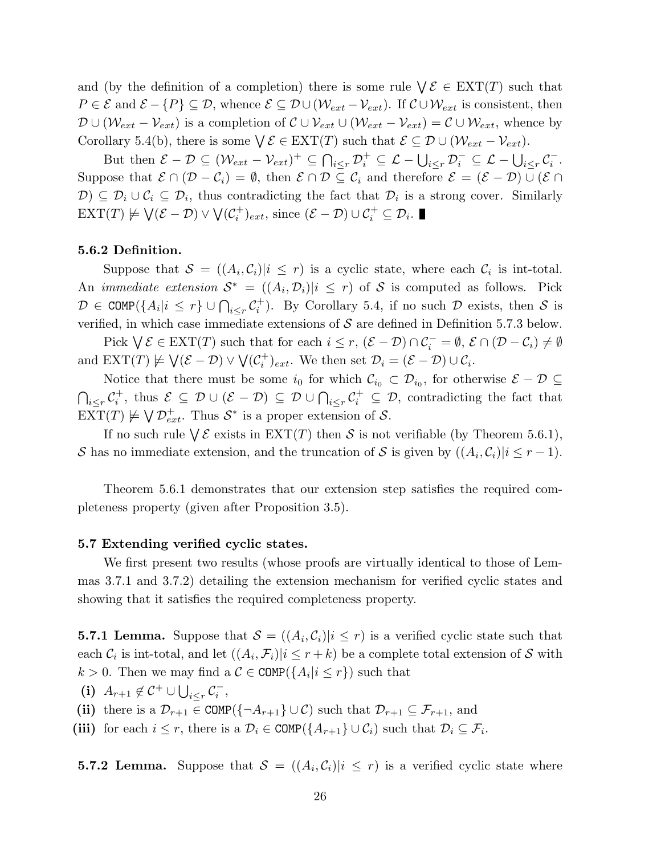and (by the definition of a completion) there is some rule  $\forall \mathcal{E} \in \text{EXT}(T)$  such that  $P \in \mathcal{E}$  and  $\mathcal{E} - \{P\} \subseteq \mathcal{D}$ , whence  $\mathcal{E} \subseteq \mathcal{D} \cup (\mathcal{W}_{ext} - \mathcal{V}_{ext})$ . If  $\mathcal{C} \cup \mathcal{W}_{ext}$  is consistent, then  $\mathcal{D} \cup (\mathcal{W}_{ext} - \mathcal{V}_{ext})$  is a completion of  $\mathcal{C} \cup \mathcal{V}_{ext} \cup (\mathcal{W}_{ext} - \mathcal{V}_{ext}) = \mathcal{C} \cup \mathcal{W}_{ext}$ , whence by Corollary 5.4(b), there is some  $\forall \mathcal{E} \in \mathrm{EXT}(T)$  such that  $\mathcal{E} \subseteq \mathcal{D} \cup (\mathcal{W}_{ext} - \mathcal{V}_{ext})$ .

But then  $\mathcal{E} - \mathcal{D} \subseteq (\mathcal{W}_{ext} - \mathcal{V}_{ext})^+ \subseteq \bigcap_{i \leq r} \mathcal{D}_i^+ \subseteq \mathcal{L} - \bigcup_{i \leq r} \mathcal{D}_i^- \subseteq \mathcal{L} - \bigcup_{i \leq r} \mathcal{C}_i^ \frac{i}{i}$ . Suppose that  $\mathcal{E} \cap (\mathcal{D} - \mathcal{C}_i) = \emptyset$ , then  $\mathcal{E} \cap \mathcal{D} \subseteq \mathcal{C}_i$  and therefore  $\mathcal{E} = (\mathcal{E} - \mathcal{D}) \cup (\mathcal{E} \cap \mathcal{D})$  $(D) \subseteq D_i \cup C_i \subseteq D_i$ , thus contradicting the fact that  $D_i$  is a strong cover. Similarly  $\operatorname{EXT}(T)\not\models\bigvee(\mathcal{E}-\mathcal{D})\vee\bigvee(\mathcal{C}_i^+$  $i^+_{i}$ <sub>ext</sub>, since  $(\mathcal{E} - \mathcal{D}) \cup \mathcal{C}_i^+ \subseteq \mathcal{D}_i$ .

### 5.6.2 Definition.

Suppose that  $S = ((A_i, C_i)|i \leq r)$  is a cyclic state, where each  $C_i$  is int-total. An *immediate extension*  $S^* = ((A_i, \mathcal{D}_i)|i \leq r)$  of S is computed as follows. Pick  $\mathcal{D} \in \mathtt{COMP}(\{A_i|i\leq r\}\cup\bigcap_{i\leq r}\mathcal{C}_i^+$ <sup>+</sup>). By Corollary 5.4, if no such  $D$  exists, then  $S$  is verified, in which case immediate extensions of  $S$  are defined in Definition 5.7.3 below.

Pick  $\bigvee \mathcal{E} \in \text{EXT}(T)$  such that for each  $i \leq r$ ,  $(\mathcal{E} - \mathcal{D}) \cap \mathcal{C}_i^- = \emptyset$ ,  $\mathcal{E} \cap (\mathcal{D} - \mathcal{C}_i) \neq \emptyset$ and  $\operatorname{EXT}(T) \not\models \bigvee (\mathcal{E} - \mathcal{D}) \vee \bigvee (\mathcal{C}_i^+$ <sup>+</sup> $\bigcup_{i=1}^{n}$  We then set  $\mathcal{D}_i = (\mathcal{E} - \mathcal{D}) \cup \mathcal{C}_i$ .

Notice that there must be some  $i_0$  for which  $\mathcal{C}_{i_0} \subset \mathcal{D}_{i_0}$ , for otherwise  $\mathcal{E} - \mathcal{D} \subseteq$  $\bigcap_{i\leq r}\mathcal{C}_i^+$  $i^+$ , thus  $\mathcal{E}$  ⊆ D ∪ ( $\mathcal{E}$  – D) ⊆ D ∪  $\bigcap_{i\leq r}$  C<sub>i</sub><sup>+</sup> ⊆ D, contradicting the fact that  $\overline{\mathrm{EXT}}(T) \not\models \bigvee \mathcal{D}_{ext}^+$ . Thus  $\mathcal{S}^*$  is a proper extension of  $\mathcal{S}$ .

If no such rule  $\forall \mathcal{E}$  exists in EXT(T) then S is not verifiable (by Theorem 5.6.1), S has no immediate extension, and the truncation of S is given by  $((A_i, C_i)|i \leq r-1)$ .

Theorem 5.6.1 demonstrates that our extension step satisfies the required completeness property (given after Proposition 3.5).

### 5.7 Extending verified cyclic states.

We first present two results (whose proofs are virtually identical to those of Lemmas 3.7.1 and 3.7.2) detailing the extension mechanism for verified cyclic states and showing that it satisfies the required completeness property.

**5.7.1 Lemma.** Suppose that  $S = ((A_i, C_i)|i \leq r)$  is a verified cyclic state such that each  $\mathcal{C}_i$  is int-total, and let  $((A_i, \mathcal{F}_i)|i \leq r + k)$  be a complete total extension of S with  $k > 0$ . Then we may find a  $\mathcal{C} \in \text{COMP}(\{A_i | i \leq r\})$  such that

(i)  $A_{r+1} \not\in C^+ \cup \bigcup_{i \leq r} C_i^ \frac{i}{i}$ ,

(ii) there is a  $\mathcal{D}_{r+1} \in \text{COMP}(\{\neg A_{r+1}\} \cup \mathcal{C})$  such that  $\mathcal{D}_{r+1} \subseteq \mathcal{F}_{r+1}$ , and

(iii) for each  $i \leq r$ , there is a  $\mathcal{D}_i \in \text{COMP}(\{A_{r+1}\} \cup \mathcal{C}_i)$  such that  $\mathcal{D}_i \subseteq \mathcal{F}_i$ .

**5.7.2 Lemma.** Suppose that  $S = ((A_i, C_i)|i \leq r)$  is a verified cyclic state where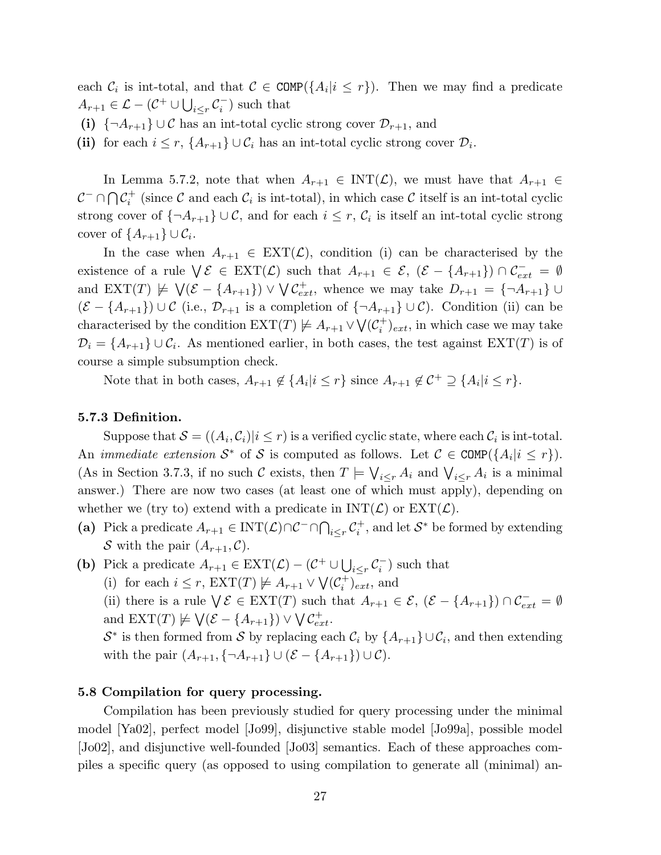each  $\mathcal{C}_i$  is int-total, and that  $\mathcal{C} \in \text{COMP}(\{A_i | i \leq r\})$ . Then we may find a predicate  $A_{r+1} \in \mathcal{L} - (\mathcal{C}^+ \cup \bigcup_{i \leq r} \mathcal{C}_i^-)$  $\binom{(-)}{i}$  such that

(i)  $\{\neg A_{r+1}\}\cup\mathcal{C}$  has an int-total cyclic strong cover  $\mathcal{D}_{r+1}$ , and

(ii) for each  $i \leq r$ ,  $\{A_{r+1}\}\cup C_i$  has an int-total cyclic strong cover  $\mathcal{D}_i$ .

In Lemma 5.7.2, note that when  $A_{r+1} \in \text{INT}(\mathcal{L})$ , we must have that  $A_{r+1} \in$  $\mathcal{C}^- \cap \bigcap \mathcal{C}_i^+$ <sup> $+$ </sup> (since C and each  $C_i$  is int-total), in which case C itself is an int-total cyclic strong cover of  $\{\neg A_{r+1}\}\cup \mathcal{C}$ , and for each  $i\leq r, \mathcal{C}_i$  is itself an int-total cyclic strong cover of  $\{A_{r+1}\}\cup C_i$ .

In the case when  $A_{r+1} \in \text{EXT}(\mathcal{L})$ , condition (i) can be characterised by the existence of a rule  $\bigvee \mathcal{E} \in \text{EXT}(\mathcal{L})$  such that  $A_{r+1} \in \mathcal{E}, (\mathcal{E} - \{A_{r+1}\}) \cap \mathcal{C}_{ext} = \emptyset$ and  $EXT(T) \not\models \bigvee (\mathcal{E} - \{A_{r+1}\}) \vee \bigvee \mathcal{C}_{ext}^+$ , whence we may take  $D_{r+1} = \{\neg A_{r+1}\} \cup \{A_r\}$  $(\mathcal{E} - \{A_{r+1}\}) \cup \mathcal{C}$  (i.e.,  $\mathcal{D}_{r+1}$  is a completion of  $\{\neg A_{r+1}\} \cup \mathcal{C}$ ). Condition (ii) can be characterised by the condition  $\operatorname{EXT}(T) \not\models A_{r+1} \vee \bigvee (\mathcal{C}_i^+$  $\binom{+}{i}$ <sub>ext</sub>, in which case we may take  $\mathcal{D}_i = \{A_{r+1}\} \cup \mathcal{C}_i$ . As mentioned earlier, in both cases, the test against  $\text{EXT}(T)$  is of course a simple subsumption check.

Note that in both cases,  $A_{r+1} \notin \{A_i | i \leq r\}$  since  $A_{r+1} \notin \mathcal{C}^+ \supseteq \{A_i | i \leq r\}.$ 

#### 5.7.3 Definition.

Suppose that  $\mathcal{S} = ((A_i, C_i)|i \leq r)$  is a verified cyclic state, where each  $C_i$  is int-total. An *immediate extension*  $S^*$  of S is computed as follows. Let  $C \in \text{COMP}(\lbrace A_i | i \leq r \rbrace)$ . (As in Section 3.7.3, if no such C exists, then  $T \models \bigvee_{i \leq r} A_i$  and  $\bigvee_{i \leq r} A_i$  is a minimal answer.) There are now two cases (at least one of which must apply), depending on whether we (try to) extend with a predicate in  $INT(\mathcal{L})$  or  $EXT(\mathcal{L})$ .

- (a) Pick a predicate  $A_{r+1} \in \text{INT}(\mathcal{L}) \cap \mathcal{C}^- \cap \bigcap_{i \leq r} \mathcal{C}_i^+$  $i$ <sup>+</sup>, and let  $S^*$  be formed by extending S with the pair  $(A_{r+1}, \mathcal{C})$ .
- (b) Pick a predicate  $A_{r+1} \in \text{EXT}(\mathcal{L}) (\mathcal{C}^+ \cup \bigcup_{i \leq r} \mathcal{C}_i^ \binom{(-)}{i}$  such that
	- (i) for each  $i \leq r$ ,  $\operatorname{EXT}(T) \not\models A_{r+1} \vee \bigvee (\mathcal{C}_i^+$  $i^{\dagger})_{ext}$ , and

(ii) there is a rule  $\forall \mathcal{E} \in \text{EXT}(T)$  such that  $A_{r+1} \in \mathcal{E}, (\mathcal{E} - \{A_{r+1}\}) \cap \mathcal{C}_{ext} = \emptyset$ and  $\text{EXT}(T) \not\models \bigvee (\mathcal{E} - \{A_{r+1}\}) \vee \bigvee \mathcal{C}_{ext}^+$ .

 $\mathcal{S}^*$  is then formed from  $\mathcal S$  by replacing each  $\mathcal{C}_i$  by  $\{A_{r+1}\}\cup\mathcal{C}_i$ , and then extending with the pair  $(A_{r+1}, \{\neg A_{r+1}\} \cup (\mathcal{E} - \{A_{r+1}\}) \cup \mathcal{C})$ .

### 5.8 Compilation for query processing.

Compilation has been previously studied for query processing under the minimal model [Ya02], perfect model [Jo99], disjunctive stable model [Jo99a], possible model [Jo02], and disjunctive well-founded [Jo03] semantics. Each of these approaches compiles a specific query (as opposed to using compilation to generate all (minimal) an-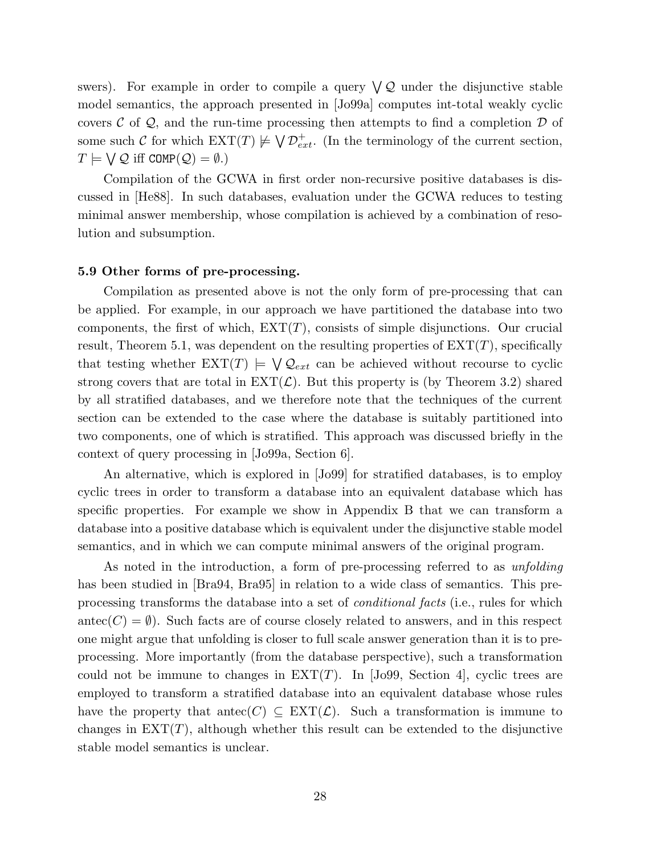swers). For example in order to compile a query  $\bigvee Q$  under the disjunctive stable model semantics, the approach presented in [Jo99a] computes int-total weakly cyclic covers  $\mathcal C$  of  $\mathcal Q$ , and the run-time processing then attempts to find a completion  $\mathcal D$  of some such C for which  $\operatorname{EXT}(T)\not\models\bigvee\mathcal{D}_{ext}^+$ . (In the terminology of the current section,  $T \models \bigvee Q$  iff  $COMP(Q) = \emptyset.$ 

Compilation of the GCWA in first order non-recursive positive databases is discussed in [He88]. In such databases, evaluation under the GCWA reduces to testing minimal answer membership, whose compilation is achieved by a combination of resolution and subsumption.

### 5.9 Other forms of pre-processing.

Compilation as presented above is not the only form of pre-processing that can be applied. For example, in our approach we have partitioned the database into two components, the first of which,  $\operatorname{EXT}(T)$ , consists of simple disjunctions. Our crucial result, Theorem 5.1, was dependent on the resulting properties of  $\operatorname{EXT}(T)$ , specifically that testing whether  $\text{EXT}(T) \models \bigvee \mathcal{Q}_{ext}$  can be achieved without recourse to cyclic strong covers that are total in  $\text{EXT}(\mathcal{L})$ . But this property is (by Theorem 3.2) shared by all stratified databases, and we therefore note that the techniques of the current section can be extended to the case where the database is suitably partitioned into two components, one of which is stratified. This approach was discussed briefly in the context of query processing in [Jo99a, Section 6].

An alternative, which is explored in [Jo99] for stratified databases, is to employ cyclic trees in order to transform a database into an equivalent database which has specific properties. For example we show in Appendix B that we can transform a database into a positive database which is equivalent under the disjunctive stable model semantics, and in which we can compute minimal answers of the original program.

As noted in the introduction, a form of pre-processing referred to as *unfolding* has been studied in [Bra94, Bra95] in relation to a wide class of semantics. This preprocessing transforms the database into a set of conditional facts (i.e., rules for which antec( $C = \emptyset$ ). Such facts are of course closely related to answers, and in this respect one might argue that unfolding is closer to full scale answer generation than it is to preprocessing. More importantly (from the database perspective), such a transformation could not be immune to changes in  $\text{EXT}(T)$ . In [Jo99, Section 4], cyclic trees are employed to transform a stratified database into an equivalent database whose rules have the property that antec(C)  $\subseteq \text{EXT}(\mathcal{L})$ . Such a transformation is immune to changes in  $\text{EXT}(T)$ , although whether this result can be extended to the disjunctive stable model semantics is unclear.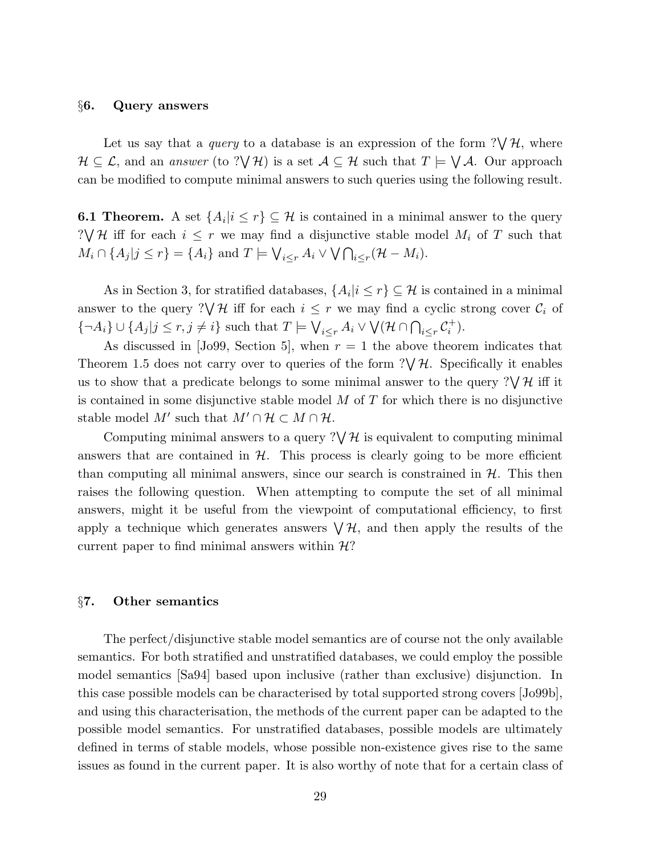#### §6. Query answers

Let us say that a *query* to a database is an expression of the form  $\gamma \vee \mathcal{H}$ , where  $\mathcal{H} \subseteq \mathcal{L}$ , and an *answer* (to ? $\forall \mathcal{H}$ ) is a set  $\mathcal{A} \subseteq \mathcal{H}$  such that  $T \models \bigvee \mathcal{A}$ . Our approach can be modified to compute minimal answers to such queries using the following result.

**6.1 Theorem.** A set  $\{A_i | i \leq r\} \subseteq \mathcal{H}$  is contained in a minimal answer to the query ? $\forall$  H iff for each  $i \leq r$  we may find a disjunctive stable model  $M_i$  of T such that  $M_i \cap \{A_j | j \leq r\} = \{A_i\}$  and  $T \models \bigvee_{i \leq r} A_i \vee \bigvee \bigcap_{i \leq r} (\mathcal{H} - M_i).$ 

As in Section 3, for stratified databases,  $\{A_i | i \leq r\} \subseteq \mathcal{H}$  is contained in a minimal answer to the query ? $\bigvee \mathcal{H}$  iff for each  $i \leq r$  we may find a cyclic strong cover  $\mathcal{C}_i$  of  $\{\neg A_i\} \cup \{A_j | j \leq r, j \neq i\}$  such that  $T \models \bigvee_{i \leq r} A_i \vee \bigvee (\mathcal{H} \cap \bigcap_{i \leq r} C_i^+$  $\binom{+}{i}$ .

As discussed in [Jo99, Section 5], when  $r = 1$  the above theorem indicates that Theorem 1.5 does not carry over to queries of the form  $\sqrt[2]{\mathcal{H}}$ . Specifically it enables us to show that a predicate belongs to some minimal answer to the query  $\gamma \mathcal{U} \mathcal{H}$  iff it is contained in some disjunctive stable model  $M$  of  $T$  for which there is no disjunctive stable model M' such that  $M' \cap \mathcal{H} \subset M \cap \mathcal{H}$ .

Computing minimal answers to a query  $\gamma \vee \mathcal{H}$  is equivalent to computing minimal answers that are contained in  $H$ . This process is clearly going to be more efficient than computing all minimal answers, since our search is constrained in  $H$ . This then raises the following question. When attempting to compute the set of all minimal answers, might it be useful from the viewpoint of computational efficiency, to first apply a technique which generates answers  $\bigvee \mathcal{H}$ , and then apply the results of the current paper to find minimal answers within  $\mathcal{H}$ ?

#### §7. Other semantics

The perfect/disjunctive stable model semantics are of course not the only available semantics. For both stratified and unstratified databases, we could employ the possible model semantics [Sa94] based upon inclusive (rather than exclusive) disjunction. In this case possible models can be characterised by total supported strong covers [Jo99b], and using this characterisation, the methods of the current paper can be adapted to the possible model semantics. For unstratified databases, possible models are ultimately defined in terms of stable models, whose possible non-existence gives rise to the same issues as found in the current paper. It is also worthy of note that for a certain class of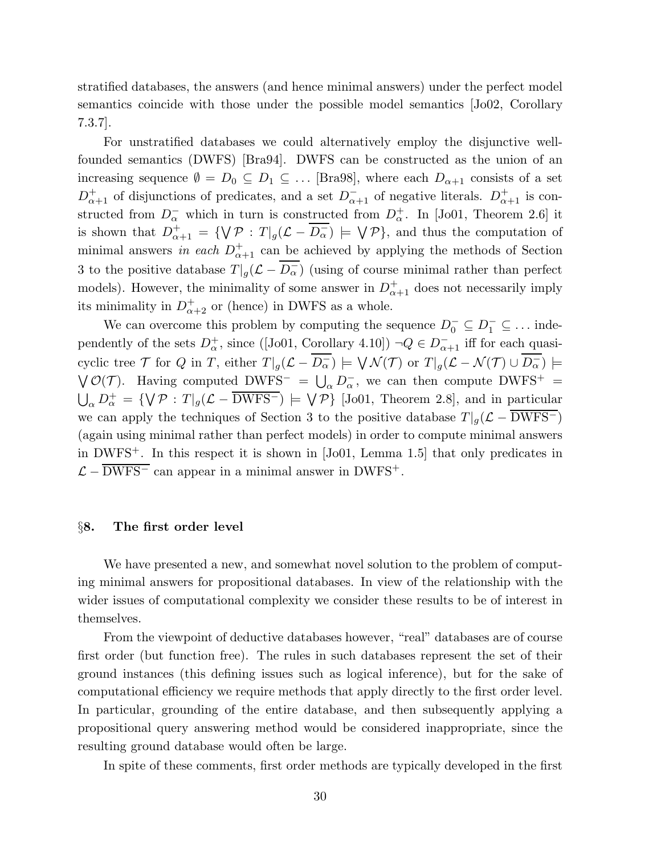stratified databases, the answers (and hence minimal answers) under the perfect model semantics coincide with those under the possible model semantics [Jo02, Corollary 7.3.7].

For unstratified databases we could alternatively employ the disjunctive wellfounded semantics (DWFS) [Bra94]. DWFS can be constructed as the union of an increasing sequence  $\emptyset = D_0 \subseteq D_1 \subseteq \ldots$  [Bra98], where each  $D_{\alpha+1}$  consists of a set  $D_{\alpha+1}^+$  of disjunctions of predicates, and a set  $D_{\alpha+1}^-$  of negative literals.  $D_{\alpha+1}^+$  is constructed from  $D_{\alpha}^-$  which in turn is constructed from  $D_{\alpha}^+$ . In [Jo01, Theorem 2.6] it is shown that  $D_{\alpha+1}^+ = \{ \nabla \mathcal{P} : T|_g(\mathcal{L} - \overline{D_{\alpha}^-}) \models \nabla \mathcal{P} \}$ , and thus the computation of minimal answers in each  $D_{\alpha+1}^+$  can be achieved by applying the methods of Section 3 to the positive database  $T|_g(\mathcal{L} - \overline{D_{\alpha}})$  (using of course minimal rather than perfect models). However, the minimality of some answer in  $D_{\alpha+1}^+$  does not necessarily imply its minimality in  $D_{\alpha+2}^+$  or (hence) in DWFS as a whole.

We can overcome this problem by computing the sequence  $D_0^- \subseteq D_1^- \subseteq \ldots$  independently of the sets  $D_{\alpha}^+$ , since ([Jo01, Corollary 4.10])  $\neg Q \in D_{\alpha+1}^-$  iff for each quasicyclic tree T for Q in T, either  $T|_g(\mathcal{L} - \overline{D_{\alpha}})$   $\models \bigvee \mathcal{N}(\mathcal{T})$  or  $T|_g(\mathcal{L} - \mathcal{N}(\mathcal{T}) \cup \overline{D_{\alpha}})$   $\models$  $\bigvee \mathcal{O}(\mathcal{T})$ . Having computed DWFS<sup>-</sup> =  $\bigcup_{\alpha} D_{\alpha}^-$ , we can then compute DWFS<sup>+</sup> =  $\bigcup_{\alpha} D_{\alpha}^{+} = \{ \nabla \mathcal{P} : T|_{g}(\mathcal{L} - \overline{\text{DWFS}^{-}}) \models \nabla \mathcal{P} \}$  [Jo01, Theorem 2.8], and in particular we can apply the techniques of Section 3 to the positive database  $T|g(\mathcal{L} - \overline{DWFS^{-}})$ (again using minimal rather than perfect models) in order to compute minimal answers in DWFS<sup>+</sup>. In this respect it is shown in [Jo01, Lemma 1.5] that only predicates in  $\mathcal{L} - \overline{\text{DWFS}^-}$  can appear in a minimal answer in DWFS<sup>+</sup>.

### §8. The first order level

We have presented a new, and somewhat novel solution to the problem of computing minimal answers for propositional databases. In view of the relationship with the wider issues of computational complexity we consider these results to be of interest in themselves.

From the viewpoint of deductive databases however, "real" databases are of course first order (but function free). The rules in such databases represent the set of their ground instances (this defining issues such as logical inference), but for the sake of computational efficiency we require methods that apply directly to the first order level. In particular, grounding of the entire database, and then subsequently applying a propositional query answering method would be considered inappropriate, since the resulting ground database would often be large.

In spite of these comments, first order methods are typically developed in the first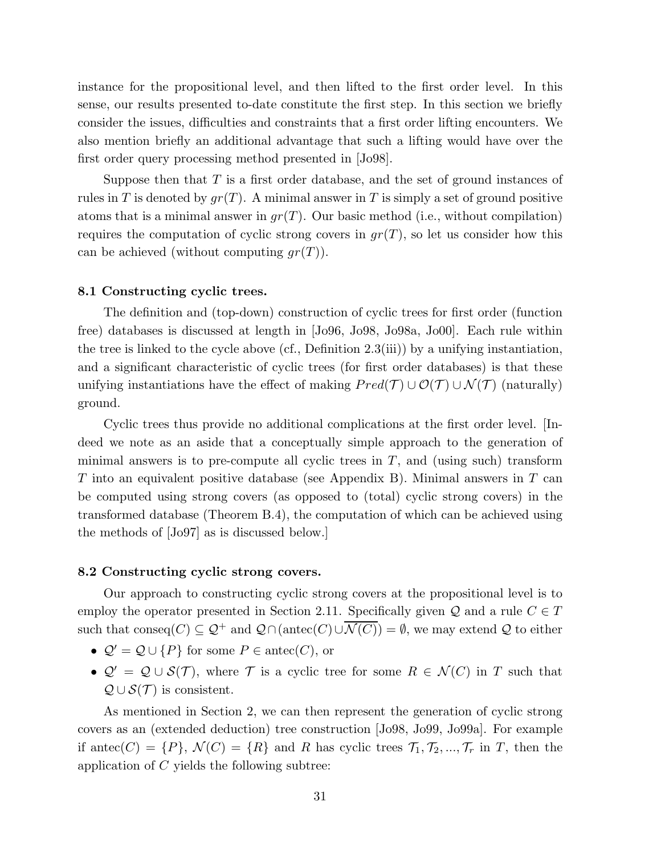instance for the propositional level, and then lifted to the first order level. In this sense, our results presented to-date constitute the first step. In this section we briefly consider the issues, difficulties and constraints that a first order lifting encounters. We also mention briefly an additional advantage that such a lifting would have over the first order query processing method presented in [Jo98].

Suppose then that  $T$  is a first order database, and the set of ground instances of rules in T is denoted by  $gr(T)$ . A minimal answer in T is simply a set of ground positive atoms that is a minimal answer in  $gr(T)$ . Our basic method (i.e., without compilation) requires the computation of cyclic strong covers in  $qr(T)$ , so let us consider how this can be achieved (without computing  $gr(T)$ ).

#### 8.1 Constructing cyclic trees.

The definition and (top-down) construction of cyclic trees for first order (function free) databases is discussed at length in [Jo96, Jo98, Jo98a, Jo00]. Each rule within the tree is linked to the cycle above (cf., Definition 2.3(iii)) by a unifying instantiation, and a significant characteristic of cyclic trees (for first order databases) is that these unifying instantiations have the effect of making  $Pred(\mathcal{T}) \cup O(\mathcal{T}) \cup \mathcal{N}(\mathcal{T})$  (naturally) ground.

Cyclic trees thus provide no additional complications at the first order level. [Indeed we note as an aside that a conceptually simple approach to the generation of minimal answers is to pre-compute all cyclic trees in  $T$ , and (using such) transform T into an equivalent positive database (see Appendix B). Minimal answers in  $T$  can be computed using strong covers (as opposed to (total) cyclic strong covers) in the transformed database (Theorem B.4), the computation of which can be achieved using the methods of [Jo97] as is discussed below.]

#### 8.2 Constructing cyclic strong covers.

Our approach to constructing cyclic strong covers at the propositional level is to employ the operator presented in Section 2.11. Specifically given  $\mathcal Q$  and a rule  $C \in \mathcal T$ such that conseq(C)  $\subseteq Q^+$  and  $Q \cap (\text{antec}(C) \cup \overline{\mathcal{N}(C)}) = \emptyset$ , we may extend Q to either

- $\mathcal{Q}' = \mathcal{Q} \cup \{P\}$  for some  $P \in \text{antec}(C)$ , or
- $\mathcal{Q}' = \mathcal{Q} \cup \mathcal{S}(\mathcal{T})$ , where T is a cyclic tree for some  $R \in \mathcal{N}(C)$  in T such that  $\mathcal{Q} \cup \mathcal{S}(\mathcal{T})$  is consistent.

As mentioned in Section 2, we can then represent the generation of cyclic strong covers as an (extended deduction) tree construction [Jo98, Jo99, Jo99a]. For example if antec(C) =  $\{P\}$ ,  $\mathcal{N}(C) = \{R\}$  and R has cyclic trees  $\mathcal{T}_1, \mathcal{T}_2, ..., \mathcal{T}_r$  in T, then the application of C yields the following subtree: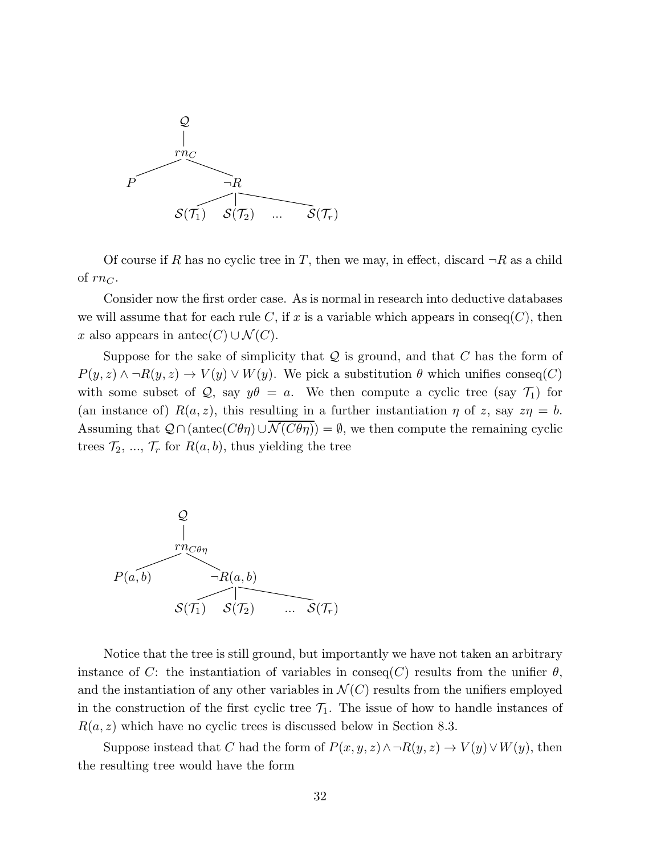

Of course if R has no cyclic tree in T, then we may, in effect, discard  $\neg R$  as a child of  $rn<sub>C</sub>$ .

Consider now the first order case. As is normal in research into deductive databases we will assume that for each rule C, if x is a variable which appears in conseq(C), then x also appears in antec(C)  $\cup \mathcal{N}(C)$ .

Suppose for the sake of simplicity that  $Q$  is ground, and that  $C$  has the form of  $P(y, z) \wedge \neg R(y, z) \rightarrow V(y) \vee W(y)$ . We pick a substitution  $\theta$  which unifies conseq(C) with some subset of Q, say  $y\theta = a$ . We then compute a cyclic tree (say  $\mathcal{T}_1$ ) for (an instance of)  $R(a, z)$ , this resulting in a further instantiation  $\eta$  of z, say  $z\eta = b$ . Assuming that  $\mathcal{Q} \cap (\text{antec}(C\theta \eta) \cup \mathcal{N}(C\theta \eta)) = \emptyset$ , we then compute the remaining cyclic trees  $\mathcal{T}_2$ , ...,  $\mathcal{T}_r$  for  $R(a, b)$ , thus yielding the tree



Notice that the tree is still ground, but importantly we have not taken an arbitrary instance of C: the instantiation of variables in conseq(C) results from the unifier  $\theta$ , and the instantiation of any other variables in  $\mathcal{N}(C)$  results from the unifiers employed in the construction of the first cyclic tree  $\mathcal{T}_1$ . The issue of how to handle instances of  $R(a, z)$  which have no cyclic trees is discussed below in Section 8.3.

Suppose instead that C had the form of  $P(x, y, z) \land \neg R(y, z) \rightarrow V(y) \lor W(y)$ , then the resulting tree would have the form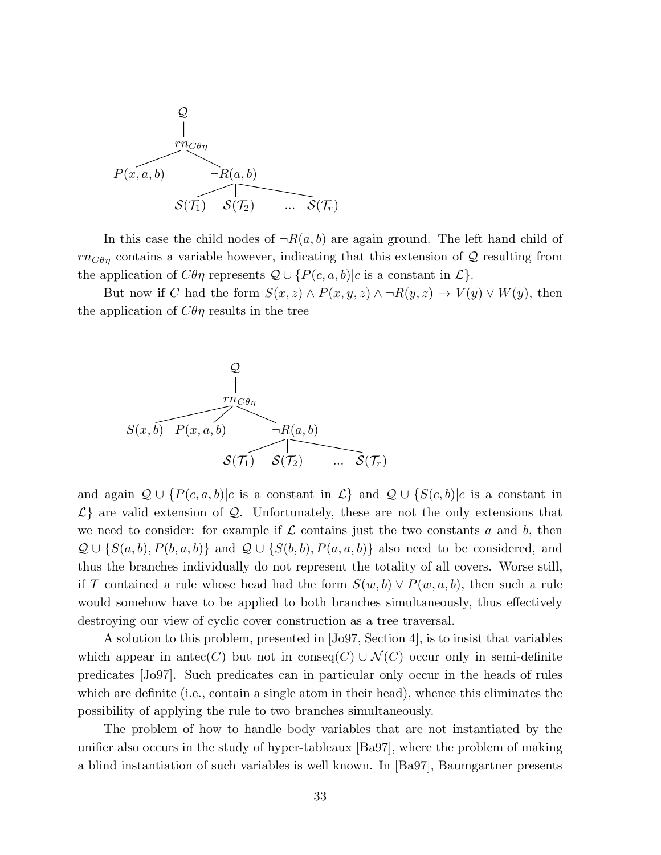

In this case the child nodes of  $\neg R(a, b)$  are again ground. The left hand child of  $rn_{C\theta\eta}$  contains a variable however, indicating that this extension of Q resulting from the application of  $C\theta\eta$  represents  $\mathcal{Q} \cup \{P(c, a, b)|c \text{ is a constant in } \mathcal{L}\}.$ 

But now if C had the form  $S(x, z) \wedge P(x, y, z) \wedge \neg R(y, z) \rightarrow V(y) \vee W(y)$ , then the application of  $C\theta\eta$  results in the tree



and again  $\mathcal{Q} \cup \{P(c, a, b)|c \text{ is a constant in } \mathcal{L}\}\$ and  $\mathcal{Q} \cup \{S(c, b)|c \text{ is a constant in } \mathcal{L}\}\$  $\mathcal{L}$  are valid extension of Q. Unfortunately, these are not the only extensions that we need to consider: for example if  $\mathcal L$  contains just the two constants a and b, then  $\mathcal{Q} \cup \{S(a, b), P(b, a, b)\}\$ and  $\mathcal{Q} \cup \{S(b, b), P(a, a, b)\}\$ also need to be considered, and thus the branches individually do not represent the totality of all covers. Worse still, if T contained a rule whose head had the form  $S(w, b) \vee P(w, a, b)$ , then such a rule would somehow have to be applied to both branches simultaneously, thus effectively destroying our view of cyclic cover construction as a tree traversal.

A solution to this problem, presented in [Jo97, Section 4], is to insist that variables which appear in antec(C) but not in conseq(C)  $\cup \mathcal{N}(C)$  occur only in semi-definite predicates [Jo97]. Such predicates can in particular only occur in the heads of rules which are definite (i.e., contain a single atom in their head), whence this eliminates the possibility of applying the rule to two branches simultaneously.

The problem of how to handle body variables that are not instantiated by the unifier also occurs in the study of hyper-tableaux [Ba97], where the problem of making a blind instantiation of such variables is well known. In [Ba97], Baumgartner presents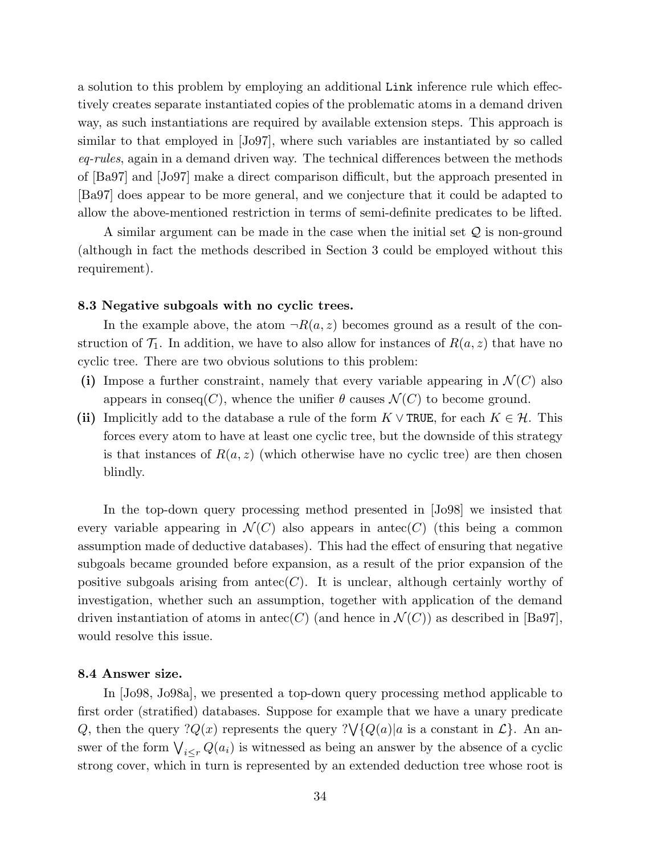a solution to this problem by employing an additional Link inference rule which effectively creates separate instantiated copies of the problematic atoms in a demand driven way, as such instantiations are required by available extension steps. This approach is similar to that employed in [Jo97], where such variables are instantiated by so called eq-rules, again in a demand driven way. The technical differences between the methods of [Ba97] and [Jo97] make a direct comparison difficult, but the approach presented in [Ba97] does appear to be more general, and we conjecture that it could be adapted to allow the above-mentioned restriction in terms of semi-definite predicates to be lifted.

A similar argument can be made in the case when the initial set Q is non-ground (although in fact the methods described in Section 3 could be employed without this requirement).

#### 8.3 Negative subgoals with no cyclic trees.

In the example above, the atom  $\neg R(a, z)$  becomes ground as a result of the construction of  $\mathcal{T}_1$ . In addition, we have to also allow for instances of  $R(a, z)$  that have no cyclic tree. There are two obvious solutions to this problem:

- (i) Impose a further constraint, namely that every variable appearing in  $\mathcal{N}(C)$  also appears in conseq(C), whence the unifier  $\theta$  causes  $\mathcal{N}(C)$  to become ground.
- (ii) Implicitly add to the database a rule of the form  $K \vee TRIUE$ , for each  $K \in \mathcal{H}$ . This forces every atom to have at least one cyclic tree, but the downside of this strategy is that instances of  $R(a, z)$  (which otherwise have no cyclic tree) are then chosen blindly.

In the top-down query processing method presented in [Jo98] we insisted that every variable appearing in  $\mathcal{N}(C)$  also appears in antec(C) (this being a common assumption made of deductive databases). This had the effect of ensuring that negative subgoals became grounded before expansion, as a result of the prior expansion of the positive subgoals arising from antec(C). It is unclear, although certainly worthy of investigation, whether such an assumption, together with application of the demand driven instantiation of atoms in antec(C) (and hence in  $\mathcal{N}(C)$ ) as described in [Ba97], would resolve this issue.

### 8.4 Answer size.

In [Jo98, Jo98a], we presented a top-down query processing method applicable to first order (stratified) databases. Suppose for example that we have a unary predicate Q, then the query ? $Q(x)$  represents the query ? $\sqrt{\{Q(a)|a\}}$  is a constant in  $\mathcal{L}\}$ . An answer of the form  $\bigvee_{i \leq r} Q(a_i)$  is witnessed as being an answer by the absence of a cyclic strong cover, which in turn is represented by an extended deduction tree whose root is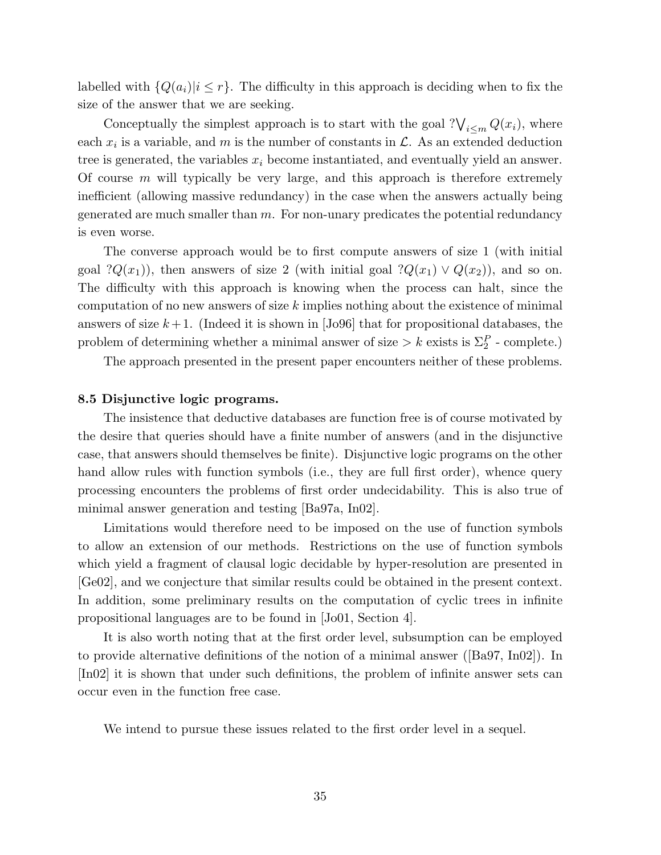labelled with  ${Q(a_i)|i \leq r}$ . The difficulty in this approach is deciding when to fix the size of the answer that we are seeking.

Conceptually the simplest approach is to start with the goal  $\mathcal{W}_{i \leq m} Q(x_i)$ , where each  $x_i$  is a variable, and m is the number of constants in  $\mathcal{L}$ . As an extended deduction tree is generated, the variables  $x_i$  become instantiated, and eventually yield an answer. Of course  $m$  will typically be very large, and this approach is therefore extremely inefficient (allowing massive redundancy) in the case when the answers actually being generated are much smaller than  $m$ . For non-unary predicates the potential redundancy is even worse.

The converse approach would be to first compute answers of size 1 (with initial goal ? $Q(x_1)$ , then answers of size 2 (with initial goal ? $Q(x_1) \vee Q(x_2)$ ), and so on. The difficulty with this approach is knowing when the process can halt, since the computation of no new answers of size  $k$  implies nothing about the existence of minimal answers of size  $k+1$ . (Indeed it is shown in [Jo96] that for propositional databases, the problem of determining whether a minimal answer of size  $\gt k$  exists is  $\Sigma_2^P$  - complete.)

The approach presented in the present paper encounters neither of these problems.

## 8.5 Disjunctive logic programs.

The insistence that deductive databases are function free is of course motivated by the desire that queries should have a finite number of answers (and in the disjunctive case, that answers should themselves be finite). Disjunctive logic programs on the other hand allow rules with function symbols (i.e., they are full first order), whence query processing encounters the problems of first order undecidability. This is also true of minimal answer generation and testing [Ba97a, In02].

Limitations would therefore need to be imposed on the use of function symbols to allow an extension of our methods. Restrictions on the use of function symbols which yield a fragment of clausal logic decidable by hyper-resolution are presented in [Ge02], and we conjecture that similar results could be obtained in the present context. In addition, some preliminary results on the computation of cyclic trees in infinite propositional languages are to be found in [Jo01, Section 4].

It is also worth noting that at the first order level, subsumption can be employed to provide alternative definitions of the notion of a minimal answer ([Ba97, In02]). In [In02] it is shown that under such definitions, the problem of infinite answer sets can occur even in the function free case.

We intend to pursue these issues related to the first order level in a sequel.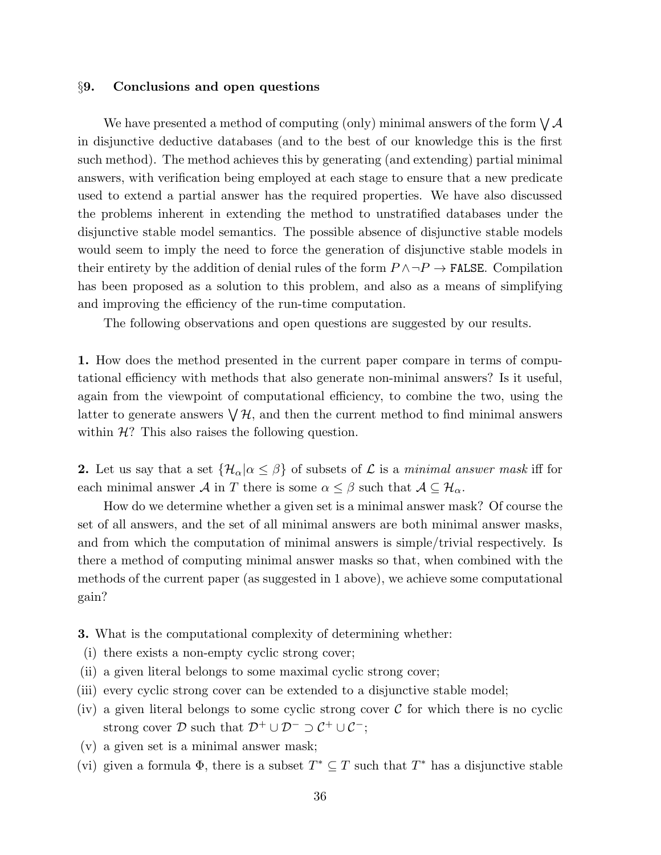#### §9. Conclusions and open questions

We have presented a method of computing (only) minimal answers of the form  $\bigvee \mathcal{A}$ in disjunctive deductive databases (and to the best of our knowledge this is the first such method). The method achieves this by generating (and extending) partial minimal answers, with verification being employed at each stage to ensure that a new predicate used to extend a partial answer has the required properties. We have also discussed the problems inherent in extending the method to unstratified databases under the disjunctive stable model semantics. The possible absence of disjunctive stable models would seem to imply the need to force the generation of disjunctive stable models in their entirety by the addition of denial rules of the form  $P \land \neg P \rightarrow$  FALSE. Compilation has been proposed as a solution to this problem, and also as a means of simplifying and improving the efficiency of the run-time computation.

The following observations and open questions are suggested by our results.

1. How does the method presented in the current paper compare in terms of computational efficiency with methods that also generate non-minimal answers? Is it useful, again from the viewpoint of computational efficiency, to combine the two, using the latter to generate answers  $\bigvee \mathcal{H}$ , and then the current method to find minimal answers within  $\mathcal{H}$ ? This also raises the following question.

2. Let us say that a set  $\{\mathcal{H}_{\alpha} | \alpha \leq \beta\}$  of subsets of  $\mathcal L$  is a minimal answer mask iff for each minimal answer A in T there is some  $\alpha \leq \beta$  such that  $\mathcal{A} \subseteq \mathcal{H}_{\alpha}$ .

How do we determine whether a given set is a minimal answer mask? Of course the set of all answers, and the set of all minimal answers are both minimal answer masks, and from which the computation of minimal answers is simple/trivial respectively. Is there a method of computing minimal answer masks so that, when combined with the methods of the current paper (as suggested in 1 above), we achieve some computational gain?

3. What is the computational complexity of determining whether:

- (i) there exists a non-empty cyclic strong cover;
- (ii) a given literal belongs to some maximal cyclic strong cover;
- (iii) every cyclic strong cover can be extended to a disjunctive stable model;
- (iv) a given literal belongs to some cyclic strong cover  $\mathcal C$  for which there is no cyclic strong cover  $\mathcal D$  such that  $\mathcal D^+ \cup \mathcal D^- \supset \mathcal C^+ \cup \mathcal C^-$ ;
- (v) a given set is a minimal answer mask;
- (vi) given a formula  $\Phi$ , there is a subset  $T^* \subseteq T$  such that  $T^*$  has a disjunctive stable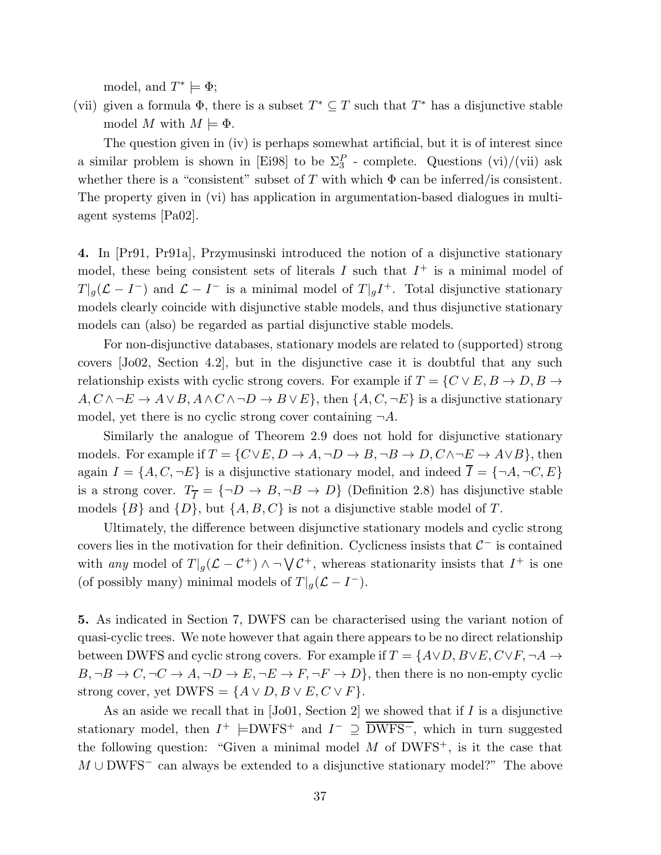model, and  $T^* \models \Phi$ ;

(vii) given a formula  $\Phi$ , there is a subset  $T^* \subseteq T$  such that  $T^*$  has a disjunctive stable model M with  $M \models \Phi$ .

The question given in (iv) is perhaps somewhat artificial, but it is of interest since a similar problem is shown in [Ei98] to be  $\Sigma_3^P$  - complete. Questions (vi)/(vii) ask whether there is a "consistent" subset of T with which  $\Phi$  can be inferred/is consistent. The property given in (vi) has application in argumentation-based dialogues in multiagent systems [Pa02].

4. In [Pr91, Pr91a], Przymusinski introduced the notion of a disjunctive stationary model, these being consistent sets of literals  $I$  such that  $I^+$  is a minimal model of  $T|_{g}(\mathcal{L} - I^{-})$  and  $\mathcal{L} - I^{-}$  is a minimal model of  $T|_{g}I^{+}$ . Total disjunctive stationary models clearly coincide with disjunctive stable models, and thus disjunctive stationary models can (also) be regarded as partial disjunctive stable models.

For non-disjunctive databases, stationary models are related to (supported) strong covers [Jo02, Section 4.2], but in the disjunctive case it is doubtful that any such relationship exists with cyclic strong covers. For example if  $T = \{C \vee E, B \rightarrow D, B \rightarrow D\}$  $A, C \land \neg E \to A \lor B, A \land C \land \neg D \to B \lor E$ , then  $\{A, C, \neg E\}$  is a disjunctive stationary model, yet there is no cyclic strong cover containing  $\neg A$ .

Similarly the analogue of Theorem 2.9 does not hold for disjunctive stationary models. For example if  $T = \{C \lor E, D \to A, \neg D \to B, \neg B \to D, C \land \neg E \to A \lor B\}$ , then again  $I = \{A, C, \neg E\}$  is a disjunctive stationary model, and indeed  $\overline{I} = \{\neg A, \neg C, E\}$ is a strong cover.  $T_{\overline{I}} = {\neg D \to B, \neg B \to D}$  (Definition 2.8) has disjunctive stable models  $\{B\}$  and  $\{D\}$ , but  $\{A, B, C\}$  is not a disjunctive stable model of T.

Ultimately, the difference between disjunctive stationary models and cyclic strong covers lies in the motivation for their definition. Cyclicness insists that  $\mathcal{C}^-$  is contained with any model of  $T|_{g}(\mathcal{L} - \mathcal{C}^+) \wedge \neg \bigvee \mathcal{C}^+$ , whereas stationarity insists that  $I^+$  is one (of possibly many) minimal models of  $T|_g(\mathcal{L} - I^-)$ .

5. As indicated in Section 7, DWFS can be characterised using the variant notion of quasi-cyclic trees. We note however that again there appears to be no direct relationship between DWFS and cyclic strong covers. For example if  $T = \{A \lor D, B \lor E, C \lor F, \neg A \rightarrow$  $B, \neg B \to C, \neg C \to A, \neg D \to E, \neg E \to F, \neg F \to D$ , then there is no non-empty cyclic strong cover, yet  $DWFS = \{A \lor D, B \lor E, C \lor F\}.$ 

As an aside we recall that in  $[Jo01, Section 2]$  we showed that if  $I$  is a disjunctive stationary model, then  $I^+$   $\models$ DWFS<sup>+</sup> and  $I^- \supseteq \overline{DWFS}^-$ , which in turn suggested the following question: "Given a minimal model  $M$  of DWFS<sup>+</sup>, is it the case that  $M \cup DWFS^-$  can always be extended to a disjunctive stationary model?" The above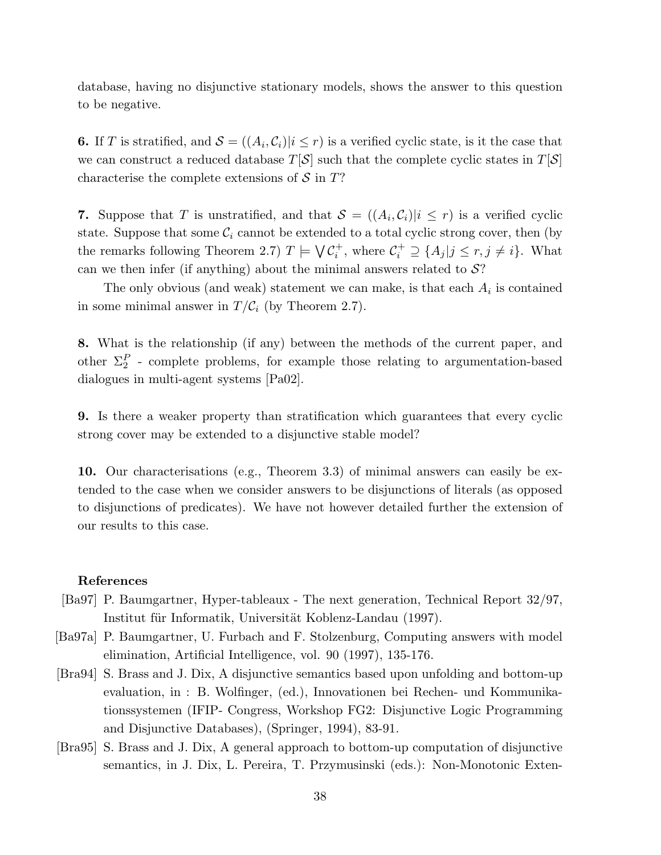database, having no disjunctive stationary models, shows the answer to this question to be negative.

**6.** If T is stratified, and  $\mathcal{S} = ((A_i, C_i)|i \leq r)$  is a verified cyclic state, is it the case that we can construct a reduced database  $T[S]$  such that the complete cyclic states in  $T[S]$ characterise the complete extensions of  $S$  in  $T$ ?

7. Suppose that T is unstratified, and that  $S = ((A_i, C_i)|i \leq r)$  is a verified cyclic state. Suppose that some  $\mathcal{C}_i$  cannot be extended to a total cyclic strong cover, then (by the remarks following Theorem 2.7)  $T \models \bigvee \mathcal{C}_i^+$ <sup>+</sup>, where  $C_i^+ \supseteq \{A_j | j \leq r, j \neq i\}$ . What can we then infer (if anything) about the minimal answers related to  $\mathcal{S}$ ?

The only obvious (and weak) statement we can make, is that each  $A_i$  is contained in some minimal answer in  $T/{\mathcal{C}_i}$  (by Theorem 2.7).

8. What is the relationship (if any) between the methods of the current paper, and other  $\Sigma_2^P$  - complete problems, for example those relating to argumentation-based dialogues in multi-agent systems [Pa02].

9. Is there a weaker property than stratification which guarantees that every cyclic strong cover may be extended to a disjunctive stable model?

10. Our characterisations (e.g., Theorem 3.3) of minimal answers can easily be extended to the case when we consider answers to be disjunctions of literals (as opposed to disjunctions of predicates). We have not however detailed further the extension of our results to this case.

#### References

- [Ba97] P. Baumgartner, Hyper-tableaux The next generation, Technical Report 32/97, Institut für Informatik, Universität Koblenz-Landau (1997).
- [Ba97a] P. Baumgartner, U. Furbach and F. Stolzenburg, Computing answers with model elimination, Artificial Intelligence, vol. 90 (1997), 135-176.
- [Bra94] S. Brass and J. Dix, A disjunctive semantics based upon unfolding and bottom-up evaluation, in : B. Wolfinger, (ed.), Innovationen bei Rechen- und Kommunikationssystemen (IFIP- Congress, Workshop FG2: Disjunctive Logic Programming and Disjunctive Databases), (Springer, 1994), 83-91.
- [Bra95] S. Brass and J. Dix, A general approach to bottom-up computation of disjunctive semantics, in J. Dix, L. Pereira, T. Przymusinski (eds.): Non-Monotonic Exten-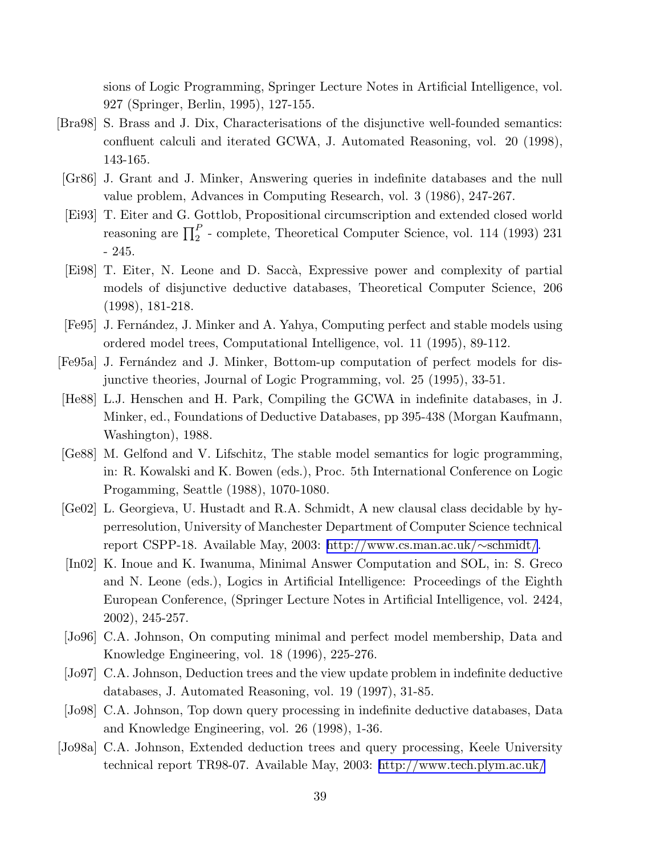sions of Logic Programming, Springer Lecture Notes in Artificial Intelligence, vol. 927 (Springer, Berlin, 1995), 127-155.

- [Bra98] S. Brass and J. Dix, Characterisations of the disjunctive well-founded semantics: confluent calculi and iterated GCWA, J. Automated Reasoning, vol. 20 (1998), 143-165.
- [Gr86] J. Grant and J. Minker, Answering queries in indefinite databases and the null value problem, Advances in Computing Research, vol. 3 (1986), 247-267.
- [Ei93] T. Eiter and G. Gottlob, Propositional circumscription and extended closed world reasoning are  $\prod_{2}^{P}$  - complete, Theoretical Computer Science, vol. 114 (1993) 231 - 245.
- [Ei98] T. Eiter, N. Leone and D. Saccà, Expressive power and complexity of partial models of disjunctive deductive databases, Theoretical Computer Science, 206 (1998), 181-218.
- [Fe95] J. Fern´andez, J. Minker and A. Yahya, Computing perfect and stable models using ordered model trees, Computational Intelligence, vol. 11 (1995), 89-112.
- [Fe95a] J. Fernández and J. Minker, Bottom-up computation of perfect models for disjunctive theories, Journal of Logic Programming, vol. 25 (1995), 33-51.
- [He88] L.J. Henschen and H. Park, Compiling the GCWA in indefinite databases, in J. Minker, ed., Foundations of Deductive Databases, pp 395-438 (Morgan Kaufmann, Washington), 1988.
- [Ge88] M. Gelfond and V. Lifschitz, The stable model semantics for logic programming, in: R. Kowalski and K. Bowen (eds.), Proc. 5th International Conference on Logic Progamming, Seattle (1988), 1070-1080.
- [Ge02] L. Georgieva, U. Hustadt and R.A. Schmidt, A new clausal class decidable by hyperresolution, University of Manchester Department of Computer Science technical report CSPP-18. Available May, 2003: [http://www.cs.man.ac.uk/](http://www.cs.man.ac.uk/~schmidt/)∼schmidt/.
- [In02] K. Inoue and K. Iwanuma, Minimal Answer Computation and SOL, in: S. Greco and N. Leone (eds.), Logics in Artificial Intelligence: Proceedings of the Eighth European Conference, (Springer Lecture Notes in Artificial Intelligence, vol. 2424, 2002), 245-257.
- [Jo96] C.A. Johnson, On computing minimal and perfect model membership, Data and Knowledge Engineering, vol. 18 (1996), 225-276.
- [Jo97] C.A. Johnson, Deduction trees and the view update problem in indefinite deductive databases, J. Automated Reasoning, vol. 19 (1997), 31-85.
- [Jo98] C.A. Johnson, Top down query processing in indefinite deductive databases, Data and Knowledge Engineering, vol. 26 (1998), 1-36.
- [Jo98a] C.A. Johnson, Extended deduction trees and query processing, Keele University technical report TR98-07. Available May, 2003: [http://www.tech.plym.ac.uk/](http://www.tech.plym.ac.uk/\relax%20\hbox%20{}\hfil%20\penalty%20-\@M%20)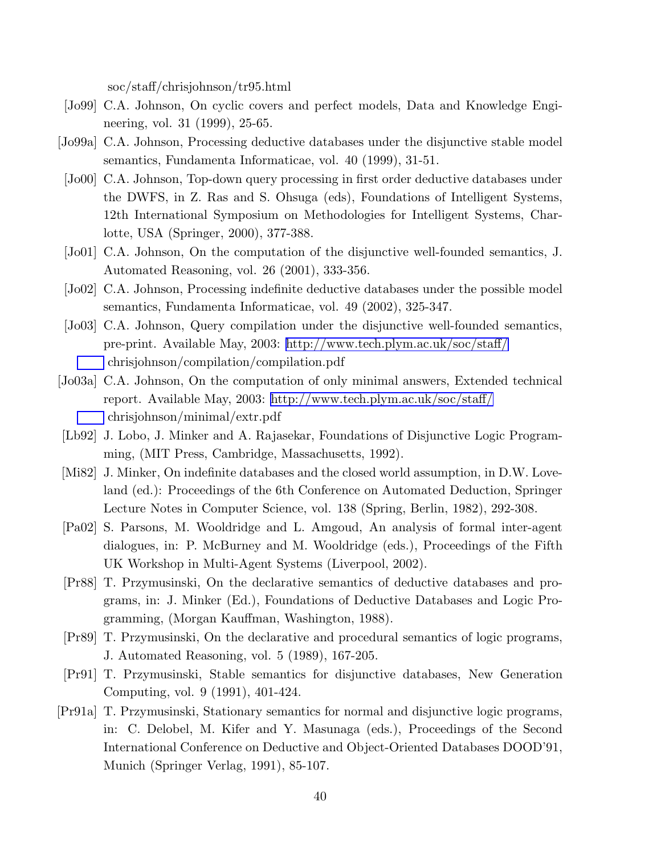soc/staff/chrisjohnson/tr95.html

- [Jo99] C.A. Johnson, On cyclic covers and perfect models, Data and Knowledge Engineering, vol. 31 (1999), 25-65.
- [Jo99a] C.A. Johnson, Processing deductive databases under the disjunctive stable model semantics, Fundamenta Informaticae, vol. 40 (1999), 31-51.
- [Jo00] C.A. Johnson, Top-down query processing in first order deductive databases under the DWFS, in Z. Ras and S. Ohsuga (eds), Foundations of Intelligent Systems, 12th International Symposium on Methodologies for Intelligent Systems, Charlotte, USA (Springer, 2000), 377-388.
- [Jo01] C.A. Johnson, On the computation of the disjunctive well-founded semantics, J. Automated Reasoning, vol. 26 (2001), 333-356.
- [Jo02] C.A. Johnson, Processing indefinite deductive databases under the possible model semantics, Fundamenta Informaticae, vol. 49 (2002), 325-347.
- [Jo03] C.A. Johnson, Query compilation under the disjunctive well-founded semantics, pre-print. Available May, 2003: [http://www.tech.plym.ac.uk/soc/staff/](http://www.tech.plym.ac.uk/soc/staff/\relax%20\hbox%20{}\hfil%20\penalty%20-\@M%20) chrisjohnson/compilation/compilation.pdf
- [Jo03a] C.A. Johnson, On the computation of only minimal answers, Extended technical report. Available May, 2003: [http://www.tech.plym.ac.uk/soc/staff/](http://www.tech.plym.ac.uk/soc/staff/\relax%20\hbox%20{}\hfil%20\penalty%20-\@M%20) chrisjohnson/minimal/extr.pdf
- [Lb92] J. Lobo, J. Minker and A. Rajasekar, Foundations of Disjunctive Logic Programming, (MIT Press, Cambridge, Massachusetts, 1992).
- [Mi82] J. Minker, On indefinite databases and the closed world assumption, in D.W. Loveland (ed.): Proceedings of the 6th Conference on Automated Deduction, Springer Lecture Notes in Computer Science, vol. 138 (Spring, Berlin, 1982), 292-308.
- [Pa02] S. Parsons, M. Wooldridge and L. Amgoud, An analysis of formal inter-agent dialogues, in: P. McBurney and M. Wooldridge (eds.), Proceedings of the Fifth UK Workshop in Multi-Agent Systems (Liverpool, 2002).
- [Pr88] T. Przymusinski, On the declarative semantics of deductive databases and programs, in: J. Minker (Ed.), Foundations of Deductive Databases and Logic Programming, (Morgan Kauffman, Washington, 1988).
- [Pr89] T. Przymusinski, On the declarative and procedural semantics of logic programs, J. Automated Reasoning, vol. 5 (1989), 167-205.
- [Pr91] T. Przymusinski, Stable semantics for disjunctive databases, New Generation Computing, vol. 9 (1991), 401-424.
- [Pr91a] T. Przymusinski, Stationary semantics for normal and disjunctive logic programs, in: C. Delobel, M. Kifer and Y. Masunaga (eds.), Proceedings of the Second International Conference on Deductive and Object-Oriented Databases DOOD'91, Munich (Springer Verlag, 1991), 85-107.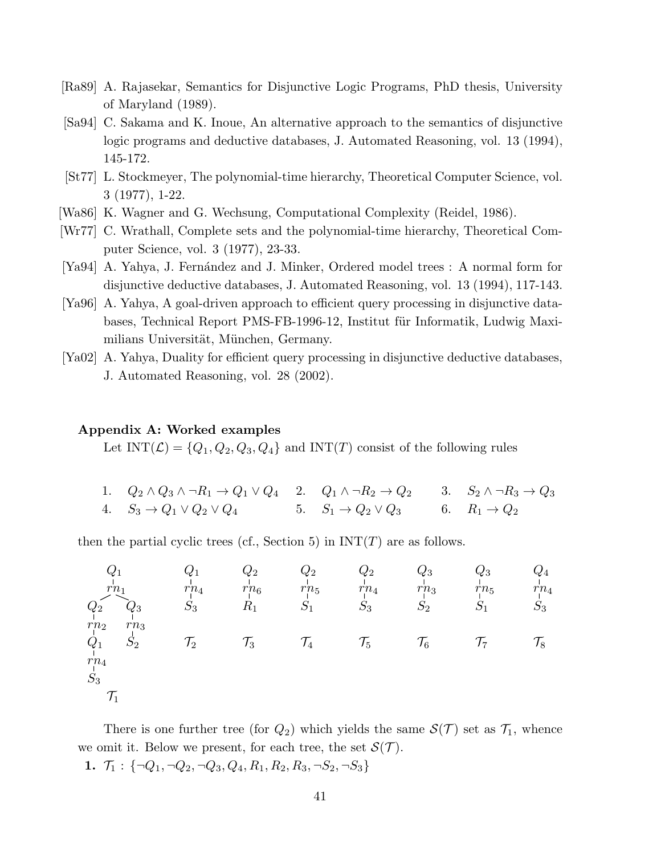- [Ra89] A. Rajasekar, Semantics for Disjunctive Logic Programs, PhD thesis, University of Maryland (1989).
- [Sa94] C. Sakama and K. Inoue, An alternative approach to the semantics of disjunctive logic programs and deductive databases, J. Automated Reasoning, vol. 13 (1994), 145-172.
- [St77] L. Stockmeyer, The polynomial-time hierarchy, Theoretical Computer Science, vol. 3 (1977), 1-22.
- [Wa86] K. Wagner and G. Wechsung, Computational Complexity (Reidel, 1986).
- [Wr77] C. Wrathall, Complete sets and the polynomial-time hierarchy, Theoretical Computer Science, vol. 3 (1977), 23-33.
- [Ya94] A. Yahya, J. Fernández and J. Minker, Ordered model trees : A normal form for disjunctive deductive databases, J. Automated Reasoning, vol. 13 (1994), 117-143.
- [Ya96] A. Yahya, A goal-driven approach to efficient query processing in disjunctive databases, Technical Report PMS-FB-1996-12, Institut für Informatik, Ludwig Maximilians Universität, München, Germany.
- [Ya02] A. Yahya, Duality for efficient query processing in disjunctive deductive databases, J. Automated Reasoning, vol. 28 (2002).

# Appendix A: Worked examples

Let  $INT(\mathcal{L}) = \{Q_1, Q_2, Q_3, Q_4\}$  and  $INT(T)$  consist of the following rules

1.  $Q_2 \wedge Q_3 \wedge \neg R_1 \rightarrow Q_1 \vee Q_4$  2.  $Q_1 \wedge \neg R_2 \rightarrow Q_2$  3.  $S_2 \wedge \neg R_3 \rightarrow Q_3$ 4.  $S_3 \to Q_1 \lor Q_2 \lor Q_4$  5.  $S_1 \to Q_2 \lor Q_3$  6.  $R_1 \to Q_2$ 

then the partial cyclic trees (cf., Section 5) in  $INT(T)$  are as follows.

Q<sup>1</sup> Q<sup>1</sup> Q<sup>2</sup> Q<sup>2</sup> Q<sup>2</sup> Q<sup>3</sup> Q<sup>3</sup> Q<sup>4</sup> rn<sup>1</sup> rn<sup>4</sup> rn<sup>6</sup> rn<sup>5</sup> rn<sup>4</sup> rn<sup>3</sup> rn<sup>5</sup> rn<sup>4</sup> Q<sup>2</sup> Q<sup>3</sup> S<sup>3</sup> R<sup>1</sup> S<sup>1</sup> S<sup>3</sup> S<sup>2</sup> S<sup>1</sup> S<sup>3</sup> rn<sup>2</sup> rn<sup>3</sup> Q<sup>1</sup> S<sup>2</sup> T<sup>2</sup> T<sup>3</sup> T<sup>4</sup> T<sup>5</sup> T<sup>6</sup> T<sup>7</sup> T<sup>8</sup> rn<sup>4</sup> S<sup>3</sup> T1

There is one further tree (for  $Q_2$ ) which yields the same  $\mathcal{S}(\mathcal{T})$  set as  $\mathcal{T}_1$ , whence we omit it. Below we present, for each tree, the set  $\mathcal{S}(\mathcal{T})$ . 1.  $\mathcal{T}_1$  :  $\{\neg Q_1, \neg Q_2, \neg Q_3, Q_4, R_1, R_2, R_3, \neg S_2, \neg S_3\}$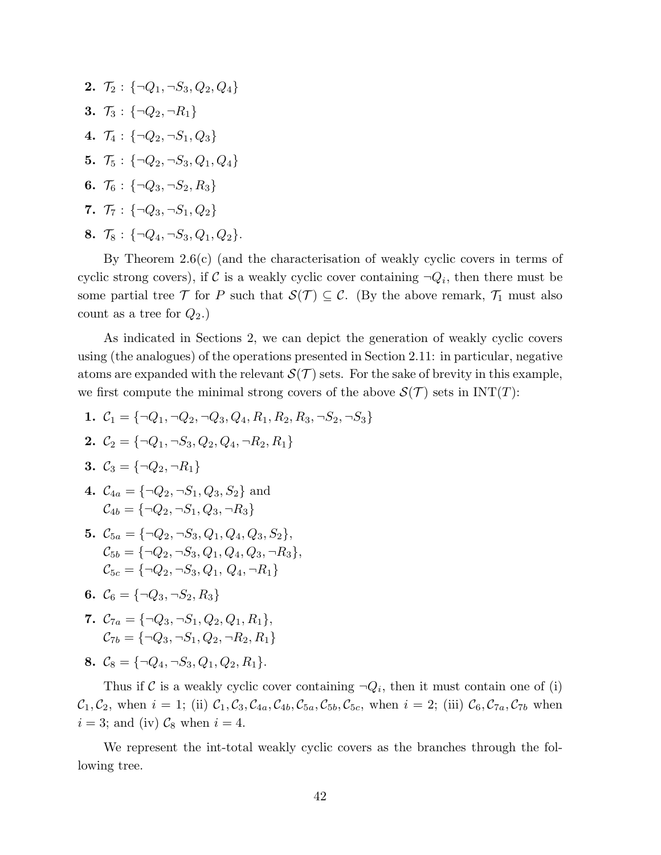- 2.  $\mathcal{T}_2$ : { $\neg Q_1$ ,  $\neg S_3$ ,  $Q_2$ ,  $Q_4$ } 3.  $\mathcal{T}_3$ : { $\neg Q_2$ ,  $\neg R_1$ } 4.  $\mathcal{T}_4$ : { $\neg Q_2$ ,  $\neg S_1$ ,  $Q_3$ } 5.  $\mathcal{T}_5$ : { $\neg Q_2$ ,  $\neg S_3$ ,  $Q_1$ ,  $Q_4$ } 6.  $\mathcal{T}_6$ : { $\neg Q_3$ ,  $\neg S_2$ ,  $R_3$ } 7.  $\mathcal{T}_7$ : { $\neg Q_3$ ,  $\neg S_1$ ,  $Q_2$ }
- 8.  $\mathcal{T}_8$ : { $\neg Q_4$ ,  $\neg S_3$ ,  $Q_1$ ,  $Q_2$ }.

By Theorem 2.6(c) (and the characterisation of weakly cyclic covers in terms of cyclic strong covers), if C is a weakly cyclic cover containing  $\neg Q_i$ , then there must be some partial tree T for P such that  $\mathcal{S}(\mathcal{T}) \subseteq \mathcal{C}$ . (By the above remark,  $\mathcal{T}_1$  must also count as a tree for  $Q_2$ .)

As indicated in Sections 2, we can depict the generation of weakly cyclic covers using (the analogues) of the operations presented in Section 2.11: in particular, negative atoms are expanded with the relevant  $\mathcal{S}(\mathcal{T})$  sets. For the sake of brevity in this example, we first compute the minimal strong covers of the above  $\mathcal{S}(\mathcal{T})$  sets in  $\text{INT}(T)$ :

- 1.  $C_1 = \{\neg Q_1, \neg Q_2, \neg Q_3, Q_4, R_1, R_2, R_3, \neg S_2, \neg S_3\}$ 2.  $C_2 = \{\neg Q_1, \neg S_3, Q_2, Q_4, \neg R_2, R_1\}$ 3.  $C_3 = \{\neg Q_2, \neg R_1\}$ 4.  $C_{4a} = \{\neg Q_2, \neg S_1, Q_3, S_2\}$  and  $C_{4b} = \{\neg Q_2, \neg S_1, Q_3, \neg R_3\}$ 5.  $C_{5a} = \{\neg Q_2, \neg S_3, Q_1, Q_4, Q_3, S_2\},\$  $C_{5b} = \{\neg Q_2, \neg S_3, Q_1, Q_4, Q_3, \neg R_3\},\$  $\mathcal{C}_{5c} = \{\neg Q_2, \neg S_3, Q_1, Q_4, \neg R_1\}$ 6.  $C_6 = \{\neg Q_3, \neg S_2, R_3\}$
- 7.  $C_{7a} = \{\neg Q_3, \neg S_1, Q_2, Q_1, R_1\},\$  $C_{7b} = \{\neg Q_3, \neg S_1, Q_2, \neg R_2, R_1\}$
- 8.  $C_8 = \{\neg Q_4, \neg S_3, Q_1, Q_2, R_1\}.$

Thus if C is a weakly cyclic cover containing  $\neg Q_i$ , then it must contain one of (i)  $C_1, C_2$ , when  $i = 1$ ; (ii)  $C_1, C_3, C_{4a}, C_{4b}, C_{5a}, C_{5b}, C_{5c}$ , when  $i = 2$ ; (iii)  $C_6, C_{7a}, C_{7b}$  when  $i = 3$ ; and (iv)  $\mathcal{C}_8$  when  $i = 4$ .

We represent the int-total weakly cyclic covers as the branches through the following tree.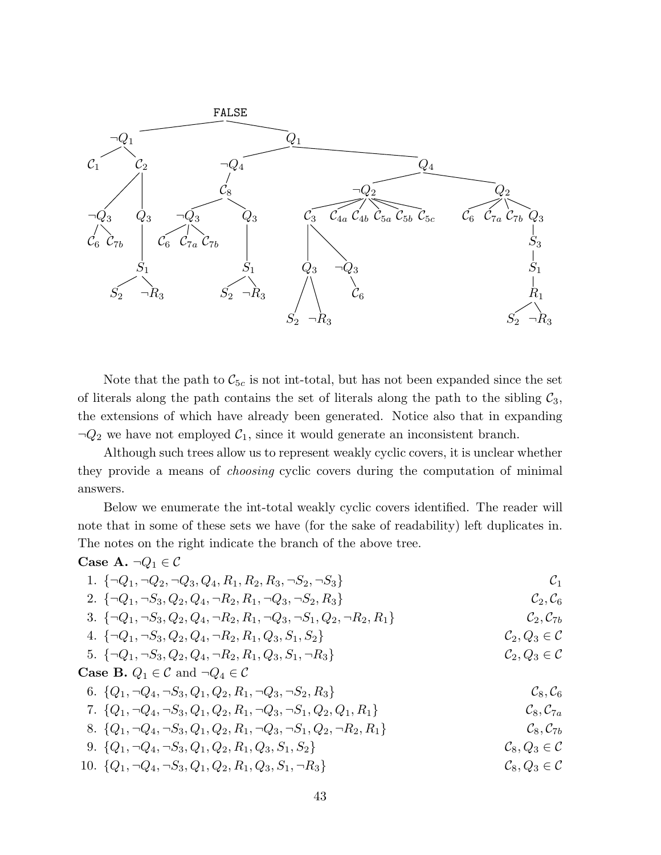

Note that the path to  $\mathcal{C}_{5c}$  is not int-total, but has not been expanded since the set of literals along the path contains the set of literals along the path to the sibling  $C_3$ , the extensions of which have already been generated. Notice also that in expanding  $\neg Q_2$  we have not employed  $C_1$ , since it would generate an inconsistent branch.

Although such trees allow us to represent weakly cyclic covers, it is unclear whether they provide a means of choosing cyclic covers during the computation of minimal answers.

Below we enumerate the int-total weakly cyclic covers identified. The reader will note that in some of these sets we have (for the sake of readability) left duplicates in. The notes on the right indicate the branch of the above tree.

Case A. 
$$
\neg Q_1 \in C
$$
  
\n1. { $\neg Q_1$ ,  $\neg Q_2$ ,  $\neg Q_3$ ,  $Q_4$ ,  $R_1$ ,  $R_2$ ,  $R_3$ ,  $\neg S_2$ ,  $\neg S_3$ }  
\n2. { $\neg Q_1$ ,  $\neg S_3$ ,  $Q_2$ ,  $Q_4$ ,  $\neg R_2$ ,  $R_1$ ,  $\neg Q_3$ ,  $\neg S_2$ ,  $R_3$ }  
\n3. { $\neg Q_1$ ,  $\neg S_3$ ,  $Q_2$ ,  $Q_4$ ,  $\neg R_2$ ,  $R_1$ ,  $\neg Q_3$ ,  $\neg S_1$ ,  $Q_2$ ,  $\neg R_2$ ,  $R_1$ }  
\n4. { $\neg Q_1$ ,  $\neg S_3$ ,  $Q_2$ ,  $Q_4$ ,  $\neg R_2$ ,  $R_1$ ,  $Q_3$ ,  $S_1$ ,  $S_2$ }  
\n5. { $\neg Q_1$ ,  $\neg S_3$ ,  $Q_2$ ,  $Q_4$ ,  $\neg R_2$ ,  $R_1$ ,  $Q_3$ ,  $S_1$ ,  $\neg R_3$ }  
\n6. { $Q_1$ ,  $\neg S_3$ ,  $Q_2$ ,  $Q_4$ ,  $\neg R_2$ ,  $R_1$ ,  $Q_3$ ,  $S_1$ ,  $\neg R_3$ }  
\n7. { $Q_1$ ,  $\neg Q_4$ ,  $\neg S_3$ ,  $Q_1$ ,  $Q_2$ ,  $R_1$ ,  $\neg Q_3$ ,  $\neg S_1$ ,  $Q_2$ ,  $Q_1$ ,  $R_1$ }  
\n8. { $Q_1$ ,  $\neg Q_4$ ,  $\neg S_3$ ,  $Q_1$ ,  $Q_2$ ,  $R_1$ ,  $\neg Q_3$ ,  $\neg S_1$ ,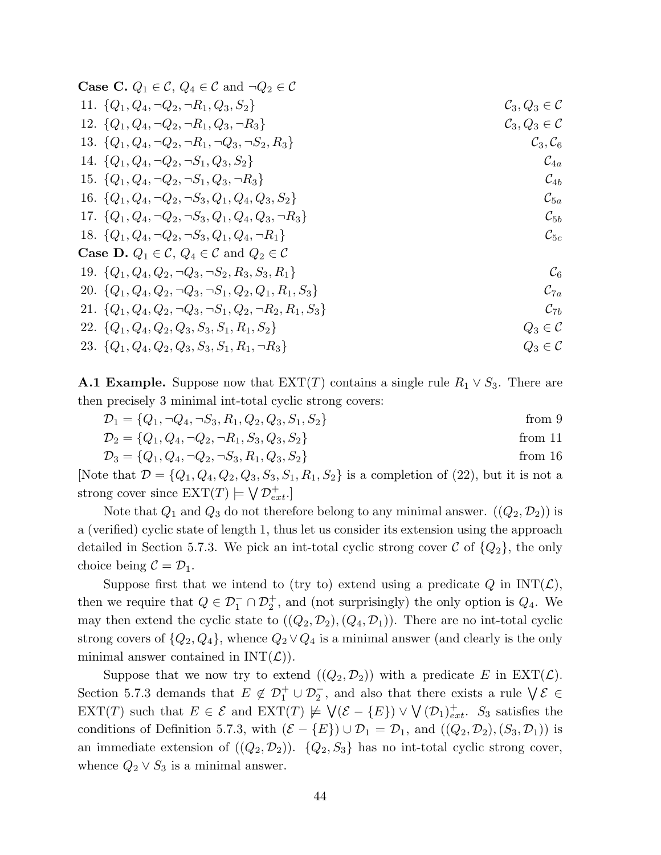| $\mathcal{C}_3, Q_3 \in \mathcal{C}$ |
|--------------------------------------|
| $\mathcal{C}_3, Q_3 \in \mathcal{C}$ |
| $\mathcal{C}_3, \mathcal{C}_6$       |
| $\mathcal{C}_{4a}$                   |
| $\mathcal{C}_{4b}$                   |
| $\mathcal{C}_{5a}$                   |
| $\mathcal{C}_{5b}$                   |
| $\mathcal{C}_{5c}$                   |
|                                      |
| $\mathcal{C}_6$                      |
| $\mathcal{C}_{7a}$                   |
| $\mathcal{C}_{7b}$                   |
| $Q_3 \in \mathcal{C}$                |
| $Q_3 \in \mathcal{C}$                |
|                                      |

**A.1 Example.** Suppose now that  $\text{EXT}(T)$  contains a single rule  $R_1 \vee S_3$ . There are then precisely 3 minimal int-total cyclic strong covers:

$$
\mathcal{D}_1 = \{Q_1, \neg Q_4, \neg S_3, R_1, Q_2, Q_3, S_1, S_2\} \quad \text{from } 9
$$

$$
\mathcal{D}_2 = \{Q_1, Q_4, \neg Q_2, \neg R_1, S_3, Q_3, S_2\} \qquad \text{from 11}
$$

$$
D_3 = \{Q_1, Q_4, \neg Q_2, \neg S_3, R_1, Q_3, S_2\} \qquad \text{from 16}
$$

[Note that  $\mathcal{D} = \{Q_1, Q_4, Q_2, Q_3, S_3, S_1, R_1, S_2\}$  is a completion of (22), but it is not a strong cover since  $\text{EXT}(T) \models \bigvee \mathcal{D}_{ext}^+$ .

Note that  $Q_1$  and  $Q_3$  do not therefore belong to any minimal answer.  $((Q_2, \mathcal{D}_2))$  is a (verified) cyclic state of length 1, thus let us consider its extension using the approach detailed in Section 5.7.3. We pick an int-total cyclic strong cover  $\mathcal{C}$  of  $\{Q_2\}$ , the only choice being  $\mathcal{C} = \mathcal{D}_1$ .

Suppose first that we intend to (try to) extend using a predicate Q in  $INT(L)$ , then we require that  $Q \in \mathcal{D}_1^- \cap \mathcal{D}_2^+$ , and (not surprisingly) the only option is  $Q_4$ . We may then extend the cyclic state to  $((Q_2, \mathcal{D}_2), (Q_4, \mathcal{D}_1))$ . There are no int-total cyclic strong covers of  $\{Q_2, Q_4\}$ , whence  $Q_2 \vee Q_4$  is a minimal answer (and clearly is the only minimal answer contained in  $INT(L)$ .

Suppose that we now try to extend  $((Q_2, \mathcal{D}_2))$  with a predicate E in EXT( $\mathcal{L}$ ). Section 5.7.3 demands that  $E \notin \mathcal{D}_1^+ \cup \mathcal{D}_2^-$ , and also that there exists a rule  $\bigvee \mathcal{E} \in$ EXT(T) such that  $E \in \mathcal{E}$  and  $\text{EXT}(T) \not\models \bigvee (\mathcal{E} - \{E\}) \vee \bigvee (\mathcal{D}_1)_{ext}^+$ .  $S_3$  satisfies the conditions of Definition 5.7.3, with  $(\mathcal{E} - \{E\}) \cup \mathcal{D}_1 = \mathcal{D}_1$ , and  $((Q_2, \mathcal{D}_2), (S_3, \mathcal{D}_1))$  is an immediate extension of  $((Q_2, \mathcal{D}_2))$ .  $\{Q_2, S_3\}$  has no int-total cyclic strong cover, whence  $Q_2 \vee S_3$  is a minimal answer.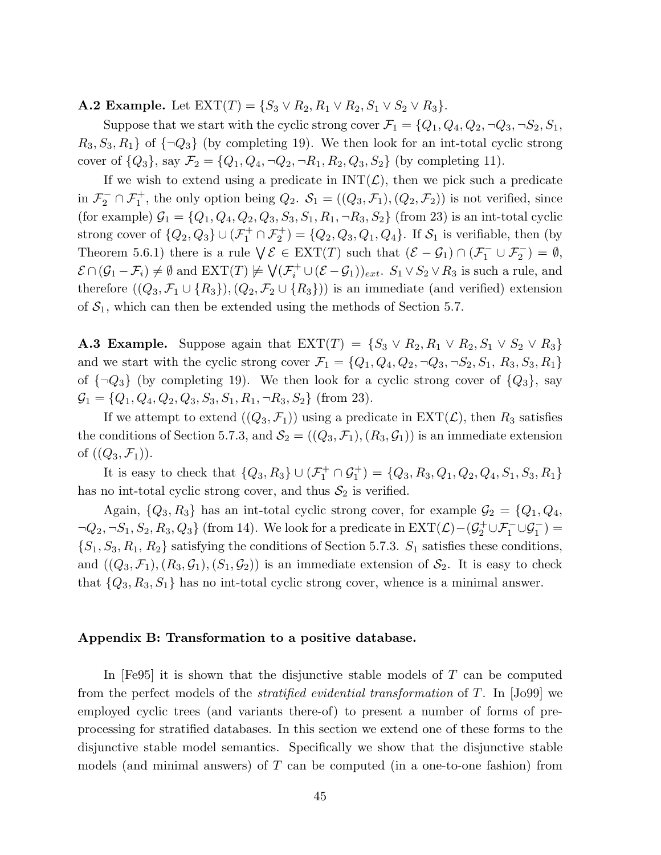**A.2 Example.** Let  $EXT(T) = \{S_3 \vee R_2, R_1 \vee R_2, S_1 \vee S_2 \vee R_3\}.$ 

Suppose that we start with the cyclic strong cover  $\mathcal{F}_1 = \{Q_1, Q_4, Q_2, \neg Q_3, \neg S_2, S_1, \neg Q_4, \neg Q_5, \neg Q_6, \neg Q_7, \neg Q_8, \neg Q_9, \neg Q_9, \neg Q_9, \neg Q_9, \neg Q_9, \neg Q_9, \neg Q_9, \neg Q_9, \neg Q_9, \neg Q_9, \neg Q_9, \neg Q_9, \neg Q_9, \neg Q_9, \neg Q_9, \neg Q_9, \neg Q_9$  $R_3, S_3, R_1$  of  $\{\neg Q_3\}$  (by completing 19). We then look for an int-total cyclic strong cover of  $\{Q_3\}$ , say  $\mathcal{F}_2 = \{Q_1, Q_4, \neg Q_2, \neg R_1, R_2, Q_3, S_2\}$  (by completing 11).

If we wish to extend using a predicate in  $INT(\mathcal{L})$ , then we pick such a predicate in  $\mathcal{F}_2^- \cap \mathcal{F}_1^+$ , the only option being  $Q_2$ .  $\mathcal{S}_1 = ((Q_3, \mathcal{F}_1), (Q_2, \mathcal{F}_2))$  is not verified, since (for example)  $G_1 = \{Q_1, Q_4, Q_2, Q_3, S_3, S_1, R_1, \neg R_3, S_2\}$  (from 23) is an int-total cyclic strong cover of  $\{Q_2, Q_3\} \cup (\mathcal{F}_1^+ \cap \mathcal{F}_2^+) = \{Q_2, Q_3, Q_1, Q_4\}$ . If  $\mathcal{S}_1$  is verifiable, then (by Theorem 5.6.1) there is a rule  $\forall \mathcal{E} \in \text{EXT}(T)$  such that  $(\mathcal{E} - \mathcal{G}_1) \cap (\mathcal{F}_1^- \cup \mathcal{F}_2^-) = \emptyset$ ,  $\mathcal{E} \cap (\mathcal{G}_1 - \mathcal{F}_i) \neq \emptyset$  and  $\operatorname{EXT}(T) \not\models \bigvee (\mathcal{F}^+_i \cup (\mathcal{E} - \mathcal{G}_1))_{ext}$ .  $S_1 \vee S_2 \vee R_3$  is such a rule, and therefore  $((Q_3, \mathcal{F}_1 \cup \{R_3\}), (Q_2, \mathcal{F}_2 \cup \{R_3\}))$  is an immediate (and verified) extension of  $S_1$ , which can then be extended using the methods of Section 5.7.

A.3 Example. Suppose again that  $EXT(T) = \{S_3 \vee R_2, R_1 \vee R_2, S_1 \vee S_2 \vee R_3\}$ and we start with the cyclic strong cover  $\mathcal{F}_1 = \{Q_1, Q_4, Q_2, \neg Q_3, \neg S_2, S_1, R_3, S_3, R_1\}$ of  $\{\neg Q_3\}$  (by completing 19). We then look for a cyclic strong cover of  $\{Q_3\}$ , say  $\mathcal{G}_1 = \{Q_1, Q_4, Q_2, Q_3, S_3, S_1, R_1, \neg R_3, S_2\}$  (from 23).

If we attempt to extend  $((Q_3, \mathcal{F}_1))$  using a predicate in  $\text{EXT}(\mathcal{L})$ , then  $R_3$  satisfies the conditions of Section 5.7.3, and  $S_2 = ((Q_3, \mathcal{F}_1), (R_3, \mathcal{G}_1))$  is an immediate extension of  $((Q_3,\mathcal{F}_1))$ .

It is easy to check that  $\{Q_3, R_3\} \cup (\mathcal{F}_1^+ \cap \mathcal{G}_1^+) = \{Q_3, R_3, Q_1, Q_2, Q_4, S_1, S_3, R_1\}$ has no int-total cyclic strong cover, and thus  $S_2$  is verified.

Again,  $\{Q_3, R_3\}$  has an int-total cyclic strong cover, for example  $\mathcal{G}_2 = \{Q_1, Q_4, Q_5\}$  $\neg Q_2, \neg S_1, S_2, R_3, Q_3$  (from 14). We look for a predicate in  $\text{EXT}(\mathcal{L})-(\mathcal{G}_2^+\cup\mathcal{F}_1^-\cup\mathcal{G}_1^-)=0$  $\{S_1, S_3, R_1, R_2\}$  satisfying the conditions of Section 5.7.3.  $S_1$  satisfies these conditions, and  $((Q_3, \mathcal{F}_1), (R_3, \mathcal{G}_1), (S_1, \mathcal{G}_2))$  is an immediate extension of  $\mathcal{S}_2$ . It is easy to check that  $\{Q_3, R_3, S_1\}$  has no int-total cyclic strong cover, whence is a minimal answer.

#### Appendix B: Transformation to a positive database.

In  $[Fe95]$  it is shown that the disjunctive stable models of T can be computed from the perfect models of the *stratified evidential transformation* of  $T$ . In [Jo99] we employed cyclic trees (and variants there-of) to present a number of forms of preprocessing for stratified databases. In this section we extend one of these forms to the disjunctive stable model semantics. Specifically we show that the disjunctive stable models (and minimal answers) of  $T$  can be computed (in a one-to-one fashion) from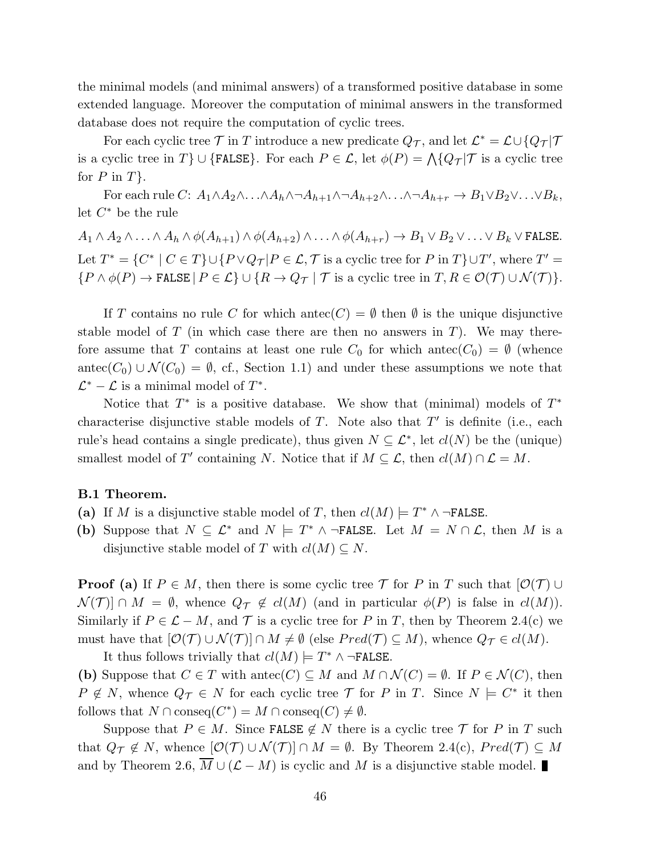the minimal models (and minimal answers) of a transformed positive database in some extended language. Moreover the computation of minimal answers in the transformed database does not require the computation of cyclic trees.

For each cyclic tree  $\mathcal T$  in  $T$  introduce a new predicate  $Q_{\mathcal T}$ , and let  $\mathcal L^* = \mathcal L \cup \{Q_{\mathcal T}| \mathcal T\}$ is a cyclic tree in T}  $\cup$  {FALSE}. For each  $P \in \mathcal{L}$ , let  $\phi(P) = \bigwedge \{Q_{\mathcal{T}} | \mathcal{T}$  is a cyclic tree for  $P$  in  $T$ .

For each rule C:  $A_1 \wedge A_2 \wedge \ldots \wedge A_h \wedge \neg A_{h+1} \wedge \neg A_{h+2} \wedge \ldots \wedge \neg A_{h+r} \rightarrow B_1 \vee B_2 \vee \ldots \vee B_k$ let  $C^*$  be the rule

 $A_1 \wedge A_2 \wedge \ldots \wedge A_h \wedge \phi(A_{h+1}) \wedge \phi(A_{h+2}) \wedge \ldots \wedge \phi(A_{h+r}) \rightarrow B_1 \vee B_2 \vee \ldots \vee B_k \vee \text{FALSE.}$ Let  $T^* = \{C^* | C \in T\} \cup \{P \lor Q_{\mathcal{T}} | P \in \mathcal{L}, \mathcal{T} \text{ is a cyclic tree for } P \text{ in } T\} \cup T', \text{ where } T' = T' \}$  ${P \land \phi(P) \to \text{FALSE} \mid P \in \mathcal{L}} \cup {R \to Q_{\mathcal{T}} \mid \mathcal{T} \text{ is a cyclic tree in } T, R \in \mathcal{O}(\mathcal{T}) \cup \mathcal{N}(\mathcal{T})}.$ 

If T contains no rule C for which antec(C) =  $\emptyset$  then  $\emptyset$  is the unique disjunctive stable model of  $T$  (in which case there are then no answers in  $T$ ). We may therefore assume that T contains at least one rule  $C_0$  for which antec( $C_0$ ) = Ø (whence antec( $C_0$ ) ∪  $\mathcal{N}(C_0) = \emptyset$ , cf., Section 1.1) and under these assumptions we note that  $\mathcal{L}^* - \mathcal{L}$  is a minimal model of  $T^*$ .

Notice that  $T^*$  is a positive database. We show that (minimal) models of  $T^*$ characterise disjunctive stable models of  $T$ . Note also that  $T'$  is definite (i.e., each rule's head contains a single predicate), thus given  $N \subseteq \mathcal{L}^*$ , let  $cl(N)$  be the (unique) smallest model of T' containing N. Notice that if  $M \subseteq \mathcal{L}$ , then  $cl(M) \cap \mathcal{L} = M$ .

#### B.1 Theorem.

- (a) If M is a disjunctive stable model of T, then  $cl(M) \models T^* \land \neg \texttt{FALSE}.$
- (b) Suppose that  $N \subseteq \mathcal{L}^*$  and  $N \models T^* \land \neg$ FALSE. Let  $M = N \cap \mathcal{L}$ , then M is a disjunctive stable model of T with  $cl(M) \subseteq N$ .

**Proof (a)** If  $P \in M$ , then there is some cyclic tree  $\mathcal T$  for P in T such that  $[O(\mathcal T) \cup$  $\mathcal{N}(\mathcal{T}) \cap M = \emptyset$ , whence  $Q_{\mathcal{T}} \notin cl(M)$  (and in particular  $\phi(P)$  is false in  $cl(M)$ ). Similarly if  $P \in \mathcal{L} - M$ , and  $\mathcal T$  is a cyclic tree for P in T, then by Theorem 2.4(c) we must have that  $[O(\mathcal{T}) \cup \mathcal{N}(\mathcal{T})] \cap M \neq \emptyset$  (else  $Pred(\mathcal{T}) \subseteq M$ ), whence  $Q_{\mathcal{T}} \in cl(M)$ .

It thus follows trivially that  $cl(M) \models T^* \land \neg \texttt{FALSE}.$ 

(b) Suppose that  $C \in T$  with antec $(C) \subseteq M$  and  $M \cap \mathcal{N}(C) = \emptyset$ . If  $P \in \mathcal{N}(C)$ , then  $P \notin N$ , whence  $Q_{\mathcal{T}} \in N$  for each cyclic tree  $\mathcal{T}$  for P in T. Since  $N \models C^*$  it then follows that  $N \cap \text{conseq}(C^*) = M \cap \text{conseq}(C) \neq \emptyset$ .

Suppose that  $P \in M$ . Since FALSE  $\notin N$  there is a cyclic tree  $\mathcal T$  for P in T such that  $Q_T \notin N$ , whence  $[\mathcal{O}(\mathcal{T}) \cup \mathcal{N}(\mathcal{T})] \cap M = \emptyset$ . By Theorem 2.4(c),  $Pred(\mathcal{T}) \subseteq M$ and by Theorem 2.6,  $\overline{M} \cup (\mathcal{L} - M)$  is cyclic and M is a disjunctive stable model.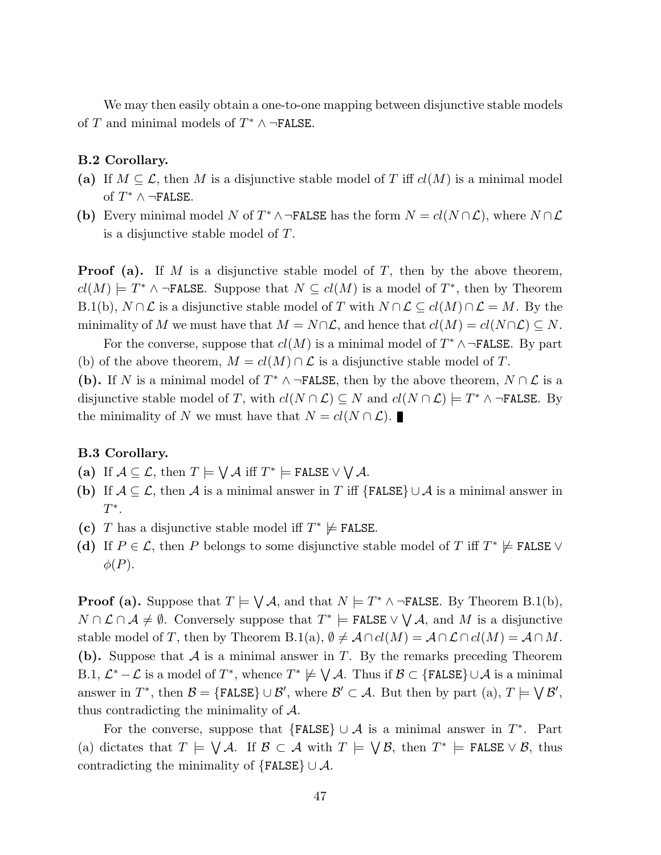We may then easily obtain a one-to-one mapping between disjunctive stable models of T and minimal models of  $T^* \wedge \neg$ FALSE.

# B.2 Corollary.

- (a) If  $M \subseteq \mathcal{L}$ , then M is a disjunctive stable model of T iff  $cl(M)$  is a minimal model of  $T^* \wedge \neg$ FALSE.
- (b) Every minimal model N of  $T^* \wedge \neg$ FALSE has the form  $N = cl(N \cap \mathcal{L})$ , where  $N \cap \mathcal{L}$ is a disjunctive stable model of T.

**Proof (a).** If M is a disjunctive stable model of T, then by the above theorem,  $cl(M) \models T^* \land \neg \texttt{FALSE. Suppose that } N \subseteq cl(M) \text{ is a model of } T^*, \text{ then by Theorem } \exists$ B.1(b),  $N \cap \mathcal{L}$  is a disjunctive stable model of T with  $N \cap \mathcal{L} \subseteq cl(M) \cap \mathcal{L} = M$ . By the minimality of M we must have that  $M = N \cap \mathcal{L}$ , and hence that  $cl(M) = cl(N \cap \mathcal{L}) \subseteq N$ .

For the converse, suppose that  $cl(M)$  is a minimal model of  $T^* \wedge \neg$ FALSE. By part (b) of the above theorem,  $M = cl(M) \cap \mathcal{L}$  is a disjunctive stable model of T.

(b). If N is a minimal model of  $T^* \wedge \neg$ FALSE, then by the above theorem,  $N \cap \mathcal{L}$  is a disjunctive stable model of T, with  $cl(N \cap \mathcal{L}) \subseteq N$  and  $cl(N \cap \mathcal{L}) \models T^* \wedge \neg$ FALSE. By the minimality of N we must have that  $N = cl(N \cap \mathcal{L})$ .

### B.3 Corollary.

- (a) If  $A \subseteq \mathcal{L}$ , then  $T \models \bigvee A$  iff  $T^* \models$  FALSE  $\vee \bigvee A$ .
- (b) If  $A \subseteq \mathcal{L}$ , then A is a minimal answer in T iff {FALSE}  $\cup A$  is a minimal answer in  $T^*$ .
- (c) T has a disjunctive stable model iff  $T^* \not\models$  FALSE.
- (d) If  $P \in \mathcal{L}$ , then P belongs to some disjunctive stable model of T iff  $T^* \not\models$  FALSE  $\vee$  $\phi(P)$ .

**Proof (a).** Suppose that  $T \models \bigvee A$ , and that  $N \models T^* \land \neg$ FALSE. By Theorem B.1(b),  $N \cap \mathcal{L} \cap \mathcal{A} \neq \emptyset$ . Conversely suppose that  $T^* \models$  FALSE  $\vee \bigvee \mathcal{A}$ , and M is a disjunctive stable model of T, then by Theorem B.1(a),  $\emptyset \neq A \cap cl(M) = A \cap L \cap cl(M) = A \cap M$ . (b). Suppose that  $A$  is a minimal answer in T. By the remarks preceding Theorem B.1,  $\mathcal{L}^* - \mathcal{L}$  is a model of  $T^*$ , whence  $T^* \not\models \bigvee \mathcal{A}$ . Thus if  $\mathcal{B} \subset \{\texttt{FALSE}\} \cup \mathcal{A}$  is a minimal answer in  $T^*$ , then  $\mathcal{B} = \{ \texttt{FALSE} \} \cup \mathcal{B}'$ , where  $\mathcal{B}' \subset \mathcal{A}$ . But then by part (a),  $T \models \bigvee \mathcal{B}'$ , thus contradicting the minimality of A.

For the converse, suppose that  ${FALSE} \cup A$  is a minimal answer in  $T^*$ . Part (a) dictates that  $T \models \bigvee \mathcal{A}$ . If  $\mathcal{B} \subset \mathcal{A}$  with  $T \models \bigvee \mathcal{B}$ , then  $T^* \models$  FALSE  $\vee \mathcal{B}$ , thus contradicting the minimality of  ${FALSE}$  ∪ A.